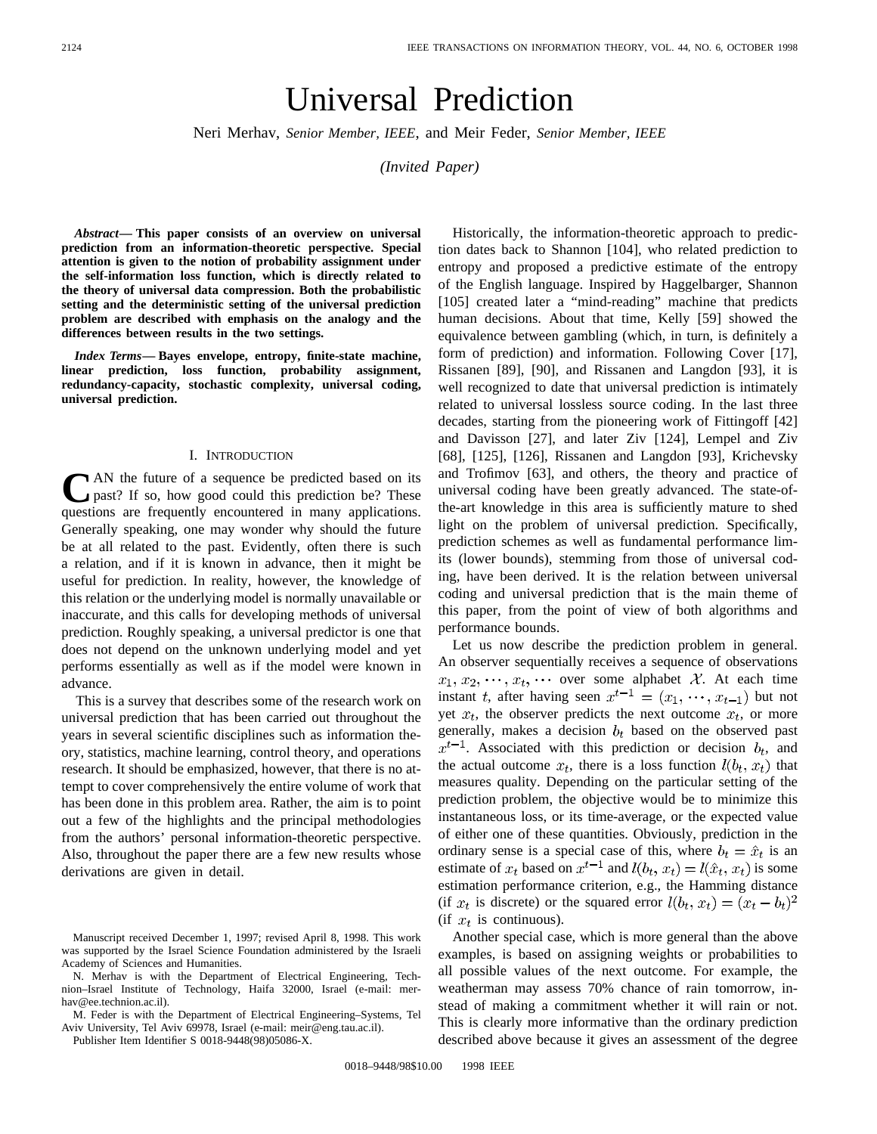# Universal Prediction

Neri Merhav, *Senior Member, IEEE*, and Meir Feder, *Senior Member, IEEE*

*(Invited Paper)*

*Abstract—* **This paper consists of an overview on universal prediction from an information-theoretic perspective. Special attention is given to the notion of probability assignment under the self-information loss function, which is directly related to the theory of universal data compression. Both the probabilistic setting and the deterministic setting of the universal prediction problem are described with emphasis on the analogy and the differences between results in the two settings.**

*Index Terms—* **Bayes envelope, entropy, finite-state machine, linear prediction, loss function, probability assignment, redundancy-capacity, stochastic complexity, universal coding, universal prediction.**

#### I. INTRODUCTION

**C**AN the future of a sequence be predicted based on its<br>past? If so, how good could this prediction be? These questions are frequently encountered in many applications. Generally speaking, one may wonder why should the future be at all related to the past. Evidently, often there is such a relation, and if it is known in advance, then it might be useful for prediction. In reality, however, the knowledge of this relation or the underlying model is normally unavailable or inaccurate, and this calls for developing methods of universal prediction. Roughly speaking, a universal predictor is one that does not depend on the unknown underlying model and yet performs essentially as well as if the model were known in advance.

This is a survey that describes some of the research work on universal prediction that has been carried out throughout the years in several scientific disciplines such as information theory, statistics, machine learning, control theory, and operations research. It should be emphasized, however, that there is no attempt to cover comprehensively the entire volume of work that has been done in this problem area. Rather, the aim is to point out a few of the highlights and the principal methodologies from the authors' personal information-theoretic perspective. Also, throughout the paper there are a few new results whose derivations are given in detail.

M. Feder is with the Department of Electrical Engineering–Systems, Tel Aviv University, Tel Aviv 69978, Israel (e-mail: meir@eng.tau.ac.il).

Publisher Item Identifier S 0018-9448(98)05086-X.

Historically, the information-theoretic approach to prediction dates back to Shannon [104], who related prediction to entropy and proposed a predictive estimate of the entropy of the English language. Inspired by Haggelbarger, Shannon [105] created later a "mind-reading" machine that predicts human decisions. About that time, Kelly [59] showed the equivalence between gambling (which, in turn, is definitely a form of prediction) and information. Following Cover [17], Rissanen [89], [90], and Rissanen and Langdon [93], it is well recognized to date that universal prediction is intimately related to universal lossless source coding. In the last three decades, starting from the pioneering work of Fittingoff [42] and Davisson [27], and later Ziv [124], Lempel and Ziv [68], [125], [126], Rissanen and Langdon [93], Krichevsky and Trofimov [63], and others, the theory and practice of universal coding have been greatly advanced. The state-ofthe-art knowledge in this area is sufficiently mature to shed light on the problem of universal prediction. Specifically, prediction schemes as well as fundamental performance limits (lower bounds), stemming from those of universal coding, have been derived. It is the relation between universal coding and universal prediction that is the main theme of this paper, from the point of view of both algorithms and performance bounds.

Let us now describe the prediction problem in general. An observer sequentially receives a sequence of observations  $x_1, x_2, \dots, x_t, \dots$  over some alphabet X. At each time instant t, after having seen  $x^{t-1} = (x_1, \dots, x_{t-1})$  but not yet  $x_t$ , the observer predicts the next outcome  $x_t$ , or more generally, makes a decision  $b_t$  based on the observed past  $x^{t-1}$ . Associated with this prediction or decision  $b_t$ , and the actual outcome  $x_t$ , there is a loss function  $l(b_t, x_t)$  that measures quality. Depending on the particular setting of the prediction problem, the objective would be to minimize this instantaneous loss, or its time-average, or the expected value of either one of these quantities. Obviously, prediction in the ordinary sense is a special case of this, where  $b_t = \hat{x}_t$  is an estimate of  $x_t$  based on  $x^{t-1}$  and  $l(b_t, x_t) = l(\hat{x}_t, x_t)$  is some estimation performance criterion, e.g., the Hamming distance (if  $x_t$  is discrete) or the squared error  $l(b_t, x_t) = (x_t - b_t)^2$ (if  $x_t$  is continuous).

Another special case, which is more general than the above examples, is based on assigning weights or probabilities to all possible values of the next outcome. For example, the weatherman may assess 70% chance of rain tomorrow, instead of making a commitment whether it will rain or not. This is clearly more informative than the ordinary prediction described above because it gives an assessment of the degree

Manuscript received December 1, 1997; revised April 8, 1998. This work was supported by the Israel Science Foundation administered by the Israeli Academy of Sciences and Humanities.

N. Merhav is with the Department of Electrical Engineering, Technion–Israel Institute of Technology, Haifa 32000, Israel (e-mail: merhav@ee.technion.ac.il).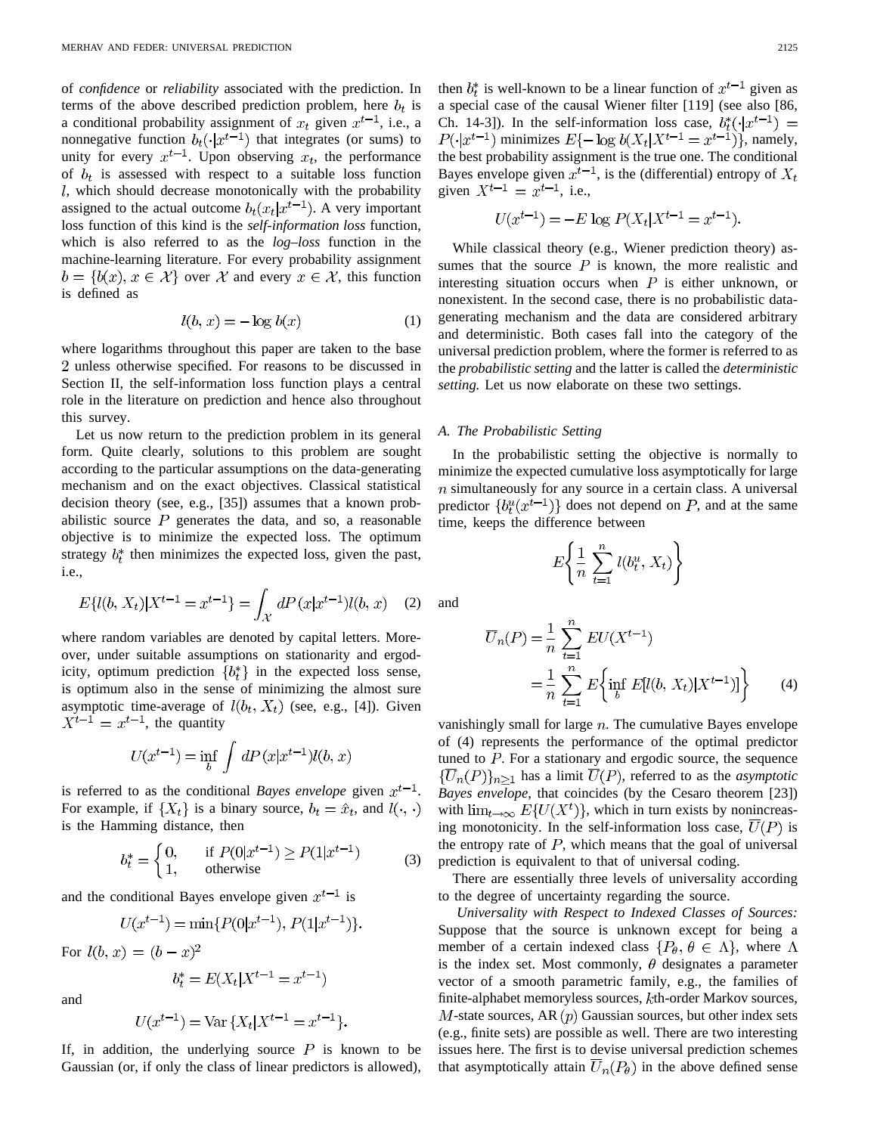of *confidence* or *reliability* associated with the prediction. In terms of the above described prediction problem, here  $b_t$  is a conditional probability assignment of  $x_t$  given  $x^{t-1}$ , i.e., a nonnegative function  $b_t(\cdot|x^{t-1})$  that integrates (or sums) to unity for every  $x^{t-1}$ . Upon observing  $x_t$ , the performance of  $b_t$  is assessed with respect to a suitable loss function , which should decrease monotonically with the probability assigned to the actual outcome  $b_t(x_t|x^{t-1})$ . A very important loss function of this kind is the *self-information loss* function, which is also referred to as the *log–loss* function in the machine-learning literature. For every probability assignment  $b = \{b(x), x \in \mathcal{X}\}\$ over  $\mathcal{X}$  and every  $x \in \mathcal{X}$ , this function is defined as

$$
l(b, x) = -\log b(x) \tag{1}
$$

where logarithms throughout this paper are taken to the base unless otherwise specified. For reasons to be discussed in Section II, the self-information loss function plays a central role in the literature on prediction and hence also throughout this survey.

Let us now return to the prediction problem in its general form. Quite clearly, solutions to this problem are sought according to the particular assumptions on the data-generating mechanism and on the exact objectives. Classical statistical decision theory (see, e.g., [35]) assumes that a known probabilistic source  $P$  generates the data, and so, a reasonable objective is to minimize the expected loss. The optimum strategy  $b_{t}^{*}$  then minimizes the expected loss, given the past, i.e.,

$$
E\{l(b, X_t)|X^{t-1} = x^{t-1}\} = \int_{\mathcal{X}} dP(x|x^{t-1})l(b, x) \quad (2)
$$

where random variables are denoted by capital letters. Moreover, under suitable assumptions on stationarity and ergodicity, optimum prediction  $\{b_t^*\}$  in the expected loss sense, is optimum also in the sense of minimizing the almost sure asymptotic time-average of  $l(b_t, X_t)$  (see, e.g., [4]). Given  $X^{t-1} = x^{t-1}$ , the quantity

$$
U(x^{t-1}) = \inf_b \int dP(x|x^{t-1})l(b, x)
$$

is referred to as the conditional *Bayes envelope* given  $x^{t-1}$ . For example, if  $\{X_t\}$  is a binary source,  $b_t = \hat{x}_t$ , and  $l(\cdot, \cdot)$ is the Hamming distance, then

$$
b_t^* = \begin{cases} 0, & \text{if } P(0|x^{t-1}) \ge P(1|x^{t-1})\\ 1, & \text{otherwise} \end{cases} \tag{3}
$$

and the conditional Bayes envelope given  $x^{t-1}$  is

$$
U(x^{t-1}) = \min\{P(0|x^{t-1}), P(1|x^{t-1})\}.
$$

For  $l(b, x) = (b - x)^2$ 

$$
b_t^* = E(X_t | X^{t-1} = x^{t-1})
$$

and

$$
U(x^{t-1}) = \text{Var}\{X_t | X^{t-1} = x^{t-1}\}.
$$

If, in addition, the underlying source  $P$  is known to be Gaussian (or, if only the class of linear predictors is allowed),

then  $b_t^*$  is well-known to be a linear function of  $x^{t-1}$  given as a special case of the causal Wiener filter [119] (see also [86, Ch. 14-3]). In the self-information loss case,  $b_t^*(\cdot|x^{t-1}) =$  $P(\cdot|x^{t-1})$  minimizes  $E\{-\log b(X_t|X^{t-1}=x^{t-1})\}$ , namely, the best probability assignment is the true one. The conditional Bayes envelope given  $x^{t-1}$ , is the (differential) entropy of  $X_t$ given  $X^{t-1} = x^{t-1}$ , i.e.,

$$
U(x^{t-1}) = -E \log P(X_t | X^{t-1} = x^{t-1}).
$$

While classical theory (e.g., Wiener prediction theory) assumes that the source  $P$  is known, the more realistic and interesting situation occurs when  $P$  is either unknown, or nonexistent. In the second case, there is no probabilistic datagenerating mechanism and the data are considered arbitrary and deterministic. Both cases fall into the category of the universal prediction problem, where the former is referred to as the *probabilistic setting* and the latter is called the *deterministic setting.* Let us now elaborate on these two settings.

# *A. The Probabilistic Setting*

and

In the probabilistic setting the objective is normally to minimize the expected cumulative loss asymptotically for large  $n$  simultaneously for any source in a certain class. A universal predictor  $\{b^u_t(x^{t-1})\}$  does not depend on P, and at the same time, keeps the difference between

$$
E\left\{\frac{1}{n}\sum_{t=1}^n l(b_t^u, X_t)\right\}
$$

$$
\overline{U}_n(P) = \frac{1}{n} \sum_{t=1}^n EU(X^{t-1})
$$
  
= 
$$
\frac{1}{n} \sum_{t=1}^n E\left\{ \inf_b E[l(b, X_t)|X^{t-1})] \right\}
$$
 (4)

vanishingly small for large  $n$ . The cumulative Bayes envelope of (4) represents the performance of the optimal predictor tuned to  $P$ . For a stationary and ergodic source, the sequence  ${\{\overline{U}_n(P)\}}_{n>1}$  has a limit  ${\overline{U}}(P)$ , referred to as the *asymptotic Bayes envelope*, that coincides (by the Cesaro theorem [23]) with  $\lim_{t\to\infty} E\{U(X^t)\}\,$ , which in turn exists by nonincreasing monotonicity. In the self-information loss case,  $\overline{U}(P)$  is the entropy rate of  $P$ , which means that the goal of universal prediction is equivalent to that of universal coding.

There are essentially three levels of universality according to the degree of uncertainty regarding the source.

*Universality with Respect to Indexed Classes of Sources:* Suppose that the source is unknown except for being a member of a certain indexed class  $\{P_{\theta}, \theta \in \Lambda\}$ , where  $\Lambda$ is the index set. Most commonly,  $\theta$  designates a parameter vector of a smooth parametric family, e.g., the families of finite-alphabet memoryless sources, kth-order Markov sources,  $M$ -state sources, AR  $(p)$  Gaussian sources, but other index sets (e.g., finite sets) are possible as well. There are two interesting issues here. The first is to devise universal prediction schemes that asymptotically attain  $\overline{U}_n(P_\theta)$  in the above defined sense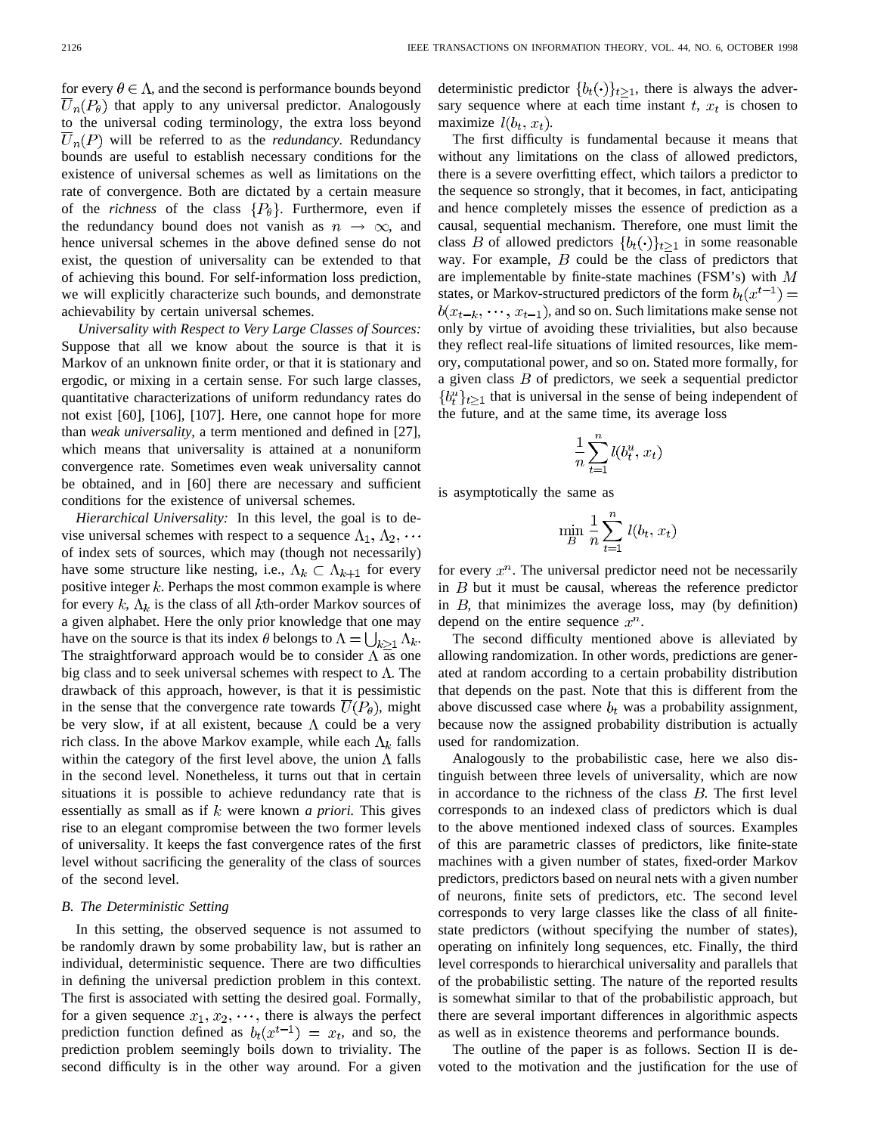for every  $\theta \in \Lambda$ , and the second is performance bounds beyond  $U_n(P_\theta)$  that apply to any universal predictor. Analogously to the universal coding terminology, the extra loss beyond  $\overline{U}_n(P)$  will be referred to as the *redundancy*. Redundancy bounds are useful to establish necessary conditions for the existence of universal schemes as well as limitations on the rate of convergence. Both are dictated by a certain measure of the *richness* of the class  $\{P_{\theta}\}\$ . Furthermore, even if the redundancy bound does not vanish as  $n \to \infty$ , and hence universal schemes in the above defined sense do not exist, the question of universality can be extended to that of achieving this bound. For self-information loss prediction, we will explicitly characterize such bounds, and demonstrate achievability by certain universal schemes.

*Universality with Respect to Very Large Classes of Sources:* Suppose that all we know about the source is that it is Markov of an unknown finite order, or that it is stationary and ergodic, or mixing in a certain sense. For such large classes, quantitative characterizations of uniform redundancy rates do not exist [60], [106], [107]. Here, one cannot hope for more than *weak universality*, a term mentioned and defined in [27], which means that universality is attained at a nonuniform convergence rate. Sometimes even weak universality cannot be obtained, and in [60] there are necessary and sufficient conditions for the existence of universal schemes.

*Hierarchical Universality:* In this level, the goal is to devise universal schemes with respect to a sequence  $\Lambda_1, \Lambda_2, \cdots$ of index sets of sources, which may (though not necessarily) have some structure like nesting, i.e.,  $\Lambda_k \subset \Lambda_{k+1}$  for every positive integer  $k$ . Perhaps the most common example is where for every  $k, \Lambda_k$  is the class of all kth-order Markov sources of a given alphabet. Here the only prior knowledge that one may have on the source is that its index  $\theta$  belongs to  $\Lambda = \bigcup_{k>1} \Lambda_k$ . The straightforward approach would be to consider  $\Lambda$  as one big class and to seek universal schemes with respect to  $\Lambda$ . The drawback of this approach, however, is that it is pessimistic in the sense that the convergence rate towards  $\overline{U}(P_{\theta})$ , might be very slow, if at all existent, because  $\Lambda$  could be a very rich class. In the above Markov example, while each  $\Lambda_k$  falls within the category of the first level above, the union  $\Lambda$  falls in the second level. Nonetheless, it turns out that in certain situations it is possible to achieve redundancy rate that is essentially as small as if  $k$  were known  $a$  priori. This gives rise to an elegant compromise between the two former levels of universality. It keeps the fast convergence rates of the first level without sacrificing the generality of the class of sources of the second level.

#### *B. The Deterministic Setting*

In this setting, the observed sequence is not assumed to be randomly drawn by some probability law, but is rather an individual, deterministic sequence. There are two difficulties in defining the universal prediction problem in this context. The first is associated with setting the desired goal. Formally, for a given sequence  $x_1, x_2, \dots$ , there is always the perfect prediction function defined as  $b_t(x^{t-1}) = x_t$ , and so, the prediction problem seemingly boils down to triviality. The second difficulty is in the other way around. For a given

deterministic predictor  ${b_t(\cdot)}_{t\geq 1}$ , there is always the adversary sequence where at each time instant  $t$ ,  $x_t$  is chosen to maximize  $l(b_t, x_t)$ .

The first difficulty is fundamental because it means that without any limitations on the class of allowed predictors, there is a severe overfitting effect, which tailors a predictor to the sequence so strongly, that it becomes, in fact, anticipating and hence completely misses the essence of prediction as a causal, sequential mechanism. Therefore, one must limit the class B of allowed predictors  $\{b_t(\cdot)\}_{t\geq 1}$  in some reasonable way. For example,  $B$  could be the class of predictors that are implementable by finite-state machines (FSM's) with  $M$ states, or Markov-structured predictors of the form  $b_t(x^{t-1}) =$  $b(x_{t-k}, \dots, x_{t-1})$ , and so on. Such limitations make sense not only by virtue of avoiding these trivialities, but also because they reflect real-life situations of limited resources, like memory, computational power, and so on. Stated more formally, for a given class  $B$  of predictors, we seek a sequential predictor  ${b<sub>t</sub><sup>u</sup>}_{t\geq 1}$  that is universal in the sense of being independent of the future, and at the same time, its average loss

$$
\frac{1}{n}\sum_{t=1}^{n}l(b_t^u, x_t)
$$

is asymptotically the same as

$$
\min_{B} \frac{1}{n} \sum_{t=1}^{n} l(b_t, x_t)
$$

for every  $x^n$ . The universal predictor need not be necessarily in  $B$  but it must be causal, whereas the reference predictor in  $B$ , that minimizes the average loss, may (by definition) depend on the entire sequence  $x^n$ .

The second difficulty mentioned above is alleviated by allowing randomization. In other words, predictions are generated at random according to a certain probability distribution that depends on the past. Note that this is different from the above discussed case where  $b_t$  was a probability assignment, because now the assigned probability distribution is actually used for randomization.

Analogously to the probabilistic case, here we also distinguish between three levels of universality, which are now in accordance to the richness of the class  $B$ . The first level corresponds to an indexed class of predictors which is dual to the above mentioned indexed class of sources. Examples of this are parametric classes of predictors, like finite-state machines with a given number of states, fixed-order Markov predictors, predictors based on neural nets with a given number of neurons, finite sets of predictors, etc. The second level corresponds to very large classes like the class of all finitestate predictors (without specifying the number of states), operating on infinitely long sequences, etc. Finally, the third level corresponds to hierarchical universality and parallels that of the probabilistic setting. The nature of the reported results is somewhat similar to that of the probabilistic approach, but there are several important differences in algorithmic aspects as well as in existence theorems and performance bounds.

The outline of the paper is as follows. Section II is devoted to the motivation and the justification for the use of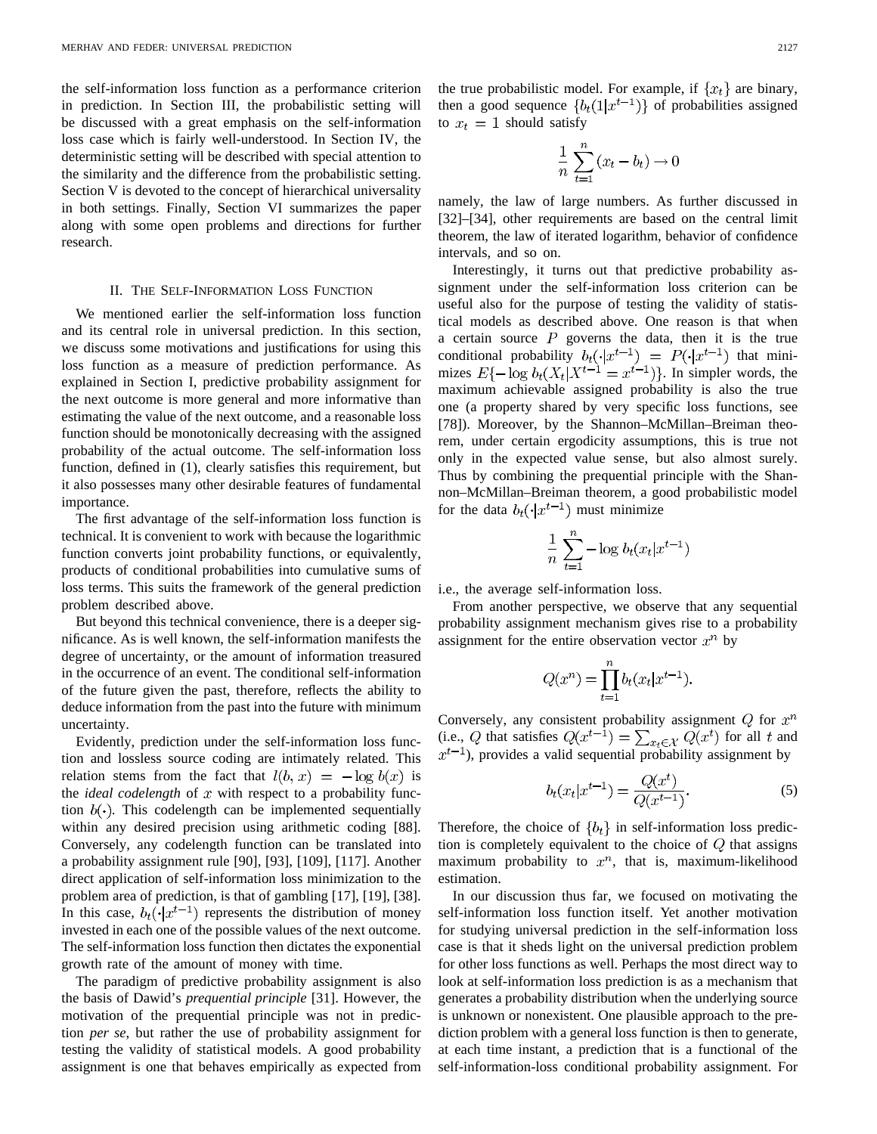the self-information loss function as a performance criterion in prediction. In Section III, the probabilistic setting will be discussed with a great emphasis on the self-information loss case which is fairly well-understood. In Section IV, the deterministic setting will be described with special attention to the similarity and the difference from the probabilistic setting. Section V is devoted to the concept of hierarchical universality in both settings. Finally, Section VI summarizes the paper along with some open problems and directions for further research.

#### II. THE SELF-INFORMATION LOSS FUNCTION

We mentioned earlier the self-information loss function and its central role in universal prediction. In this section, we discuss some motivations and justifications for using this loss function as a measure of prediction performance. As explained in Section I, predictive probability assignment for the next outcome is more general and more informative than estimating the value of the next outcome, and a reasonable loss function should be monotonically decreasing with the assigned probability of the actual outcome. The self-information loss function, defined in (1), clearly satisfies this requirement, but it also possesses many other desirable features of fundamental importance.

The first advantage of the self-information loss function is technical. It is convenient to work with because the logarithmic function converts joint probability functions, or equivalently, products of conditional probabilities into cumulative sums of loss terms. This suits the framework of the general prediction problem described above.

But beyond this technical convenience, there is a deeper significance. As is well known, the self-information manifests the degree of uncertainty, or the amount of information treasured in the occurrence of an event. The conditional self-information of the future given the past, therefore, reflects the ability to deduce information from the past into the future with minimum uncertainty.

Evidently, prediction under the self-information loss function and lossless source coding are intimately related. This relation stems from the fact that  $l(b, x) = -\log b(x)$  is the *ideal codelength* of  $x$  with respect to a probability function  $b(\cdot)$ . This codelength can be implemented sequentially within any desired precision using arithmetic coding [88]. Conversely, any codelength function can be translated into a probability assignment rule [90], [93], [109], [117]. Another direct application of self-information loss minimization to the problem area of prediction, is that of gambling [17], [19], [38]. In this case,  $b_t(\cdot|x^{t-1})$  represents the distribution of money invested in each one of the possible values of the next outcome. The self-information loss function then dictates the exponential growth rate of the amount of money with time.

The paradigm of predictive probability assignment is also the basis of Dawid's *prequential principle* [31]. However, the motivation of the prequential principle was not in prediction *per se*, but rather the use of probability assignment for testing the validity of statistical models. A good probability assignment is one that behaves empirically as expected from the true probabilistic model. For example, if  $\{x_t\}$  are binary, then a good sequence  $\{b_t(1|x^{t-1})\}$  of probabilities assigned to  $x_t = 1$  should satisfy

$$
\frac{1}{n}\sum_{t=1}^{n}(x_t - b_t) \to 0
$$

namely, the law of large numbers. As further discussed in [32]–[34], other requirements are based on the central limit theorem, the law of iterated logarithm, behavior of confidence intervals, and so on.

Interestingly, it turns out that predictive probability assignment under the self-information loss criterion can be useful also for the purpose of testing the validity of statistical models as described above. One reason is that when a certain source  $P$  governs the data, then it is the true conditional probability  $b_t(\cdot|x^{t-1}) = P(\cdot|x^{t-1})$  that minimizes  $E\{-\log b_t(X_t|X^{t-1}=x^{t-1})\}$ . In simpler words, the maximum achievable assigned probability is also the true one (a property shared by very specific loss functions, see [78]). Moreover, by the Shannon–McMillan–Breiman theorem, under certain ergodicity assumptions, this is true not only in the expected value sense, but also almost surely. Thus by combining the prequential principle with the Shannon–McMillan–Breiman theorem, a good probabilistic model for the data  $b_t(\cdot|x^{t-1})$  must minimize

$$
\frac{1}{n} \sum_{t=1}^{n} -\log b_t(x_t | x^{t-1})
$$

i.e., the average self-information loss.

From another perspective, we observe that any sequential probability assignment mechanism gives rise to a probability assignment for the entire observation vector  $x^n$  by

$$
Q(x^n) = \prod_{t=1}^n b_t(x_t|x^{t-1}).
$$

Conversely, any consistent probability assignment  $Q$  for (i.e., Q that satisfies  $Q(x^{t-1}) = \sum_{x_i \in \mathcal{X}} Q(x^t)$  for all t and  $x^{t-1}$ ), provides a valid sequential probability assignment by

$$
b_t(x_t|x^{t-1}) = \frac{Q(x^t)}{Q(x^{t-1})}.
$$
\n(5)

Therefore, the choice of  $\{b_t\}$  in self-information loss prediction is completely equivalent to the choice of  $Q$  that assigns maximum probability to  $x^n$ , that is, maximum-likelihood estimation.

In our discussion thus far, we focused on motivating the self-information loss function itself. Yet another motivation for studying universal prediction in the self-information loss case is that it sheds light on the universal prediction problem for other loss functions as well. Perhaps the most direct way to look at self-information loss prediction is as a mechanism that generates a probability distribution when the underlying source is unknown or nonexistent. One plausible approach to the prediction problem with a general loss function is then to generate, at each time instant, a prediction that is a functional of the self-information-loss conditional probability assignment. For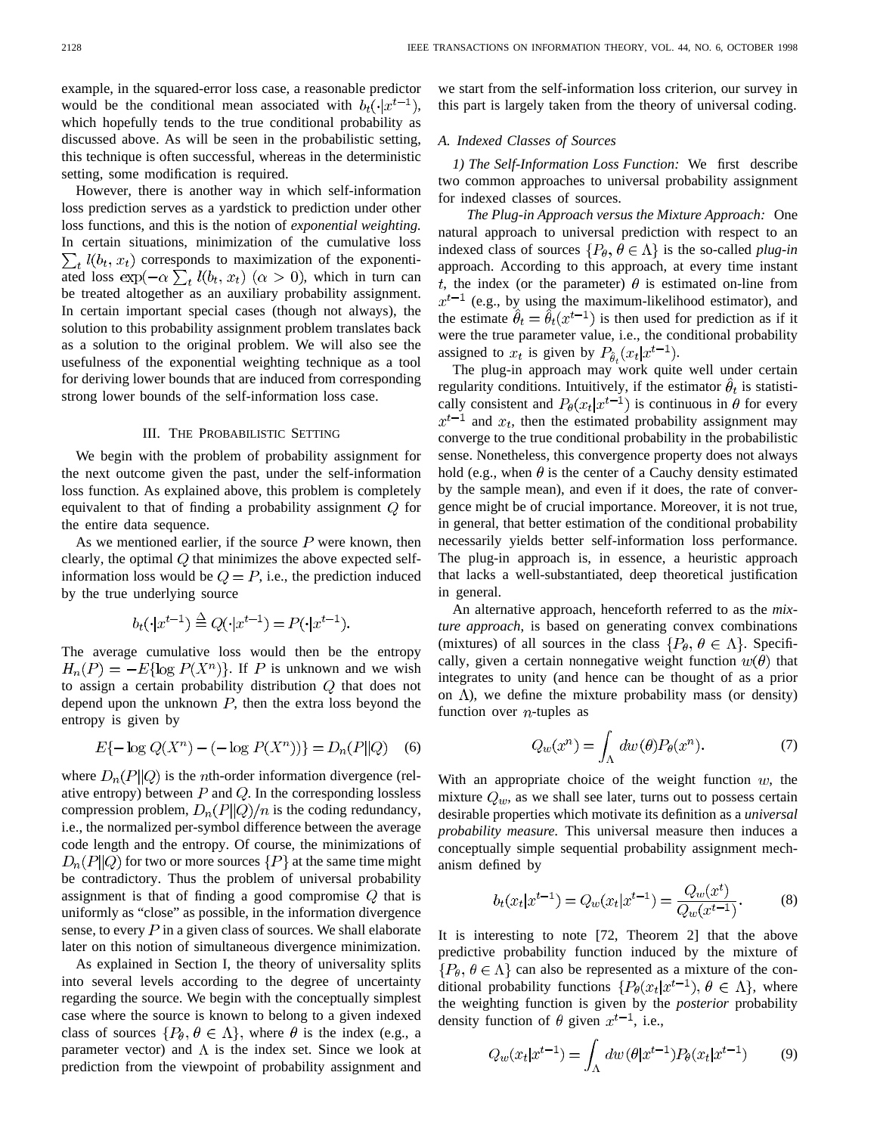example, in the squared-error loss case, a reasonable predictor would be the conditional mean associated with  $b_t(\cdot|x^{t-1})$ , which hopefully tends to the true conditional probability as discussed above. As will be seen in the probabilistic setting, this technique is often successful, whereas in the deterministic setting, some modification is required.

However, there is another way in which self-information loss prediction serves as a yardstick to prediction under other loss functions, and this is the notion of *exponential weighting.* In certain situations, minimization of the cumulative loss  $\sum_{t} l(b_t, x_t)$  corresponds to maximization of the exponentiated loss  $\exp(-\alpha \sum_{t} l(b_t, x_t)$   $(\alpha > 0)$ , which in turn can be treated altogether as an auxiliary probability assignment. In certain important special cases (though not always), the solution to this probability assignment problem translates back as a solution to the original problem. We will also see the usefulness of the exponential weighting technique as a tool for deriving lower bounds that are induced from corresponding strong lower bounds of the self-information loss case.

#### III. THE PROBABILISTIC SETTING

We begin with the problem of probability assignment for the next outcome given the past, under the self-information loss function. As explained above, this problem is completely equivalent to that of finding a probability assignment  $Q$  for the entire data sequence.

As we mentioned earlier, if the source  $P$  were known, then clearly, the optimal  $Q$  that minimizes the above expected selfinformation loss would be  $Q = P$ , i.e., the prediction induced by the true underlying source

$$
b_t(\cdot|x^{t-1}) \stackrel{\Delta}{=} Q(\cdot|x^{t-1}) = P(\cdot|x^{t-1}).
$$

The average cumulative loss would then be the entropy  $H_n(P) = -E\{\log P(X^n)\}\$ . If P is unknown and we wish to assign a certain probability distribution  $Q$  that does not depend upon the unknown  $P$ , then the extra loss beyond the entropy is given by

$$
E\{-\log Q(X^n) - (-\log P(X^n))\} = D_n(P||Q) \quad (6)
$$

where  $D_n(P||Q)$  is the *n*th-order information divergence (relative entropy) between  $P$  and  $Q$ . In the corresponding lossless compression problem,  $D_n(P||Q)/n$  is the coding redundancy, i.e., the normalized per-symbol difference between the average code length and the entropy. Of course, the minimizations of  $D_n(P||Q)$  for two or more sources  $\{P\}$  at the same time might be contradictory. Thus the problem of universal probability assignment is that of finding a good compromise  $Q$  that is uniformly as "close" as possible, in the information divergence sense, to every  $P$  in a given class of sources. We shall elaborate later on this notion of simultaneous divergence minimization.

As explained in Section I, the theory of universality splits into several levels according to the degree of uncertainty regarding the source. We begin with the conceptually simplest case where the source is known to belong to a given indexed class of sources  $\{P_{\theta}, \theta \in \Lambda\}$ , where  $\theta$  is the index (e.g., a parameter vector) and  $\Lambda$  is the index set. Since we look at prediction from the viewpoint of probability assignment and we start from the self-information loss criterion, our survey in this part is largely taken from the theory of universal coding.

# *A. Indexed Classes of Sources*

*1) The Self-Information Loss Function:* We first describe two common approaches to universal probability assignment for indexed classes of sources.

*The Plug-in Approach versus the Mixture Approach:* One natural approach to universal prediction with respect to an indexed class of sources  $\{P_{\theta}, \theta \in \Lambda\}$  is the so-called *plug-in* approach. According to this approach, at every time instant t, the index (or the parameter)  $\theta$  is estimated on-line from (e.g., by using the maximum-likelihood estimator), and the estimate  $\theta_t = \theta_t(x^{t-1})$  is then used for prediction as if it were the true parameter value, i.e., the conditional probability assigned to  $x_t$  is given by  $P_{\hat{\theta}_t}(x_t|x^{t-1})$ .

The plug-in approach may work quite well under certain regularity conditions. Intuitively, if the estimator  $\hat{\theta}_t$  is statistically consistent and  $P_{\theta}(x_t|x^{t-1})$  is continuous in  $\theta$  for every  $x^{t-1}$  and  $x_t$ , then the estimated probability assignment may converge to the true conditional probability in the probabilistic sense. Nonetheless, this convergence property does not always hold (e.g., when  $\theta$  is the center of a Cauchy density estimated by the sample mean), and even if it does, the rate of convergence might be of crucial importance. Moreover, it is not true, in general, that better estimation of the conditional probability necessarily yields better self-information loss performance. The plug-in approach is, in essence, a heuristic approach that lacks a well-substantiated, deep theoretical justification in general.

An alternative approach, henceforth referred to as the *mixture approach*, is based on generating convex combinations (mixtures) of all sources in the class  $\{P_{\theta}, \theta \in \Lambda\}$ . Specifically, given a certain nonnegative weight function  $w(\theta)$  that integrates to unity (and hence can be thought of as a prior on  $\Lambda$ ), we define the mixture probability mass (or density) function over  $n$ -tuples as

$$
Q_w(x^n) = \int_{\Lambda} dw(\theta) P_{\theta}(x^n). \tag{7}
$$

With an appropriate choice of the weight function  $w$ , the mixture  $Q_w$ , as we shall see later, turns out to possess certain desirable properties which motivate its definition as a *universal probability measure.* This universal measure then induces a conceptually simple sequential probability assignment mechanism defined by

$$
b_t(x_t|x^{t-1}) = Q_w(x_t|x^{t-1}) = \frac{Q_w(x^t)}{Q_w(x^{t-1})}.
$$
 (8)

It is interesting to note [72, Theorem 2] that the above predictive probability function induced by the mixture of  $\{P_{\theta}, \theta \in \Lambda\}$  can also be represented as a mixture of the conditional probability functions  $\{P_{\theta}(x_t|x^{t-1}), \theta \in \Lambda\}$ , where the weighting function is given by the *posterior* probability density function of  $\theta$  given  $x^{t-1}$ , i.e.,

$$
Q_w(x_t|x^{t-1}) = \int_{\Lambda} dw(\theta|x^{t-1})P_{\theta}(x_t|x^{t-1}) \tag{9}
$$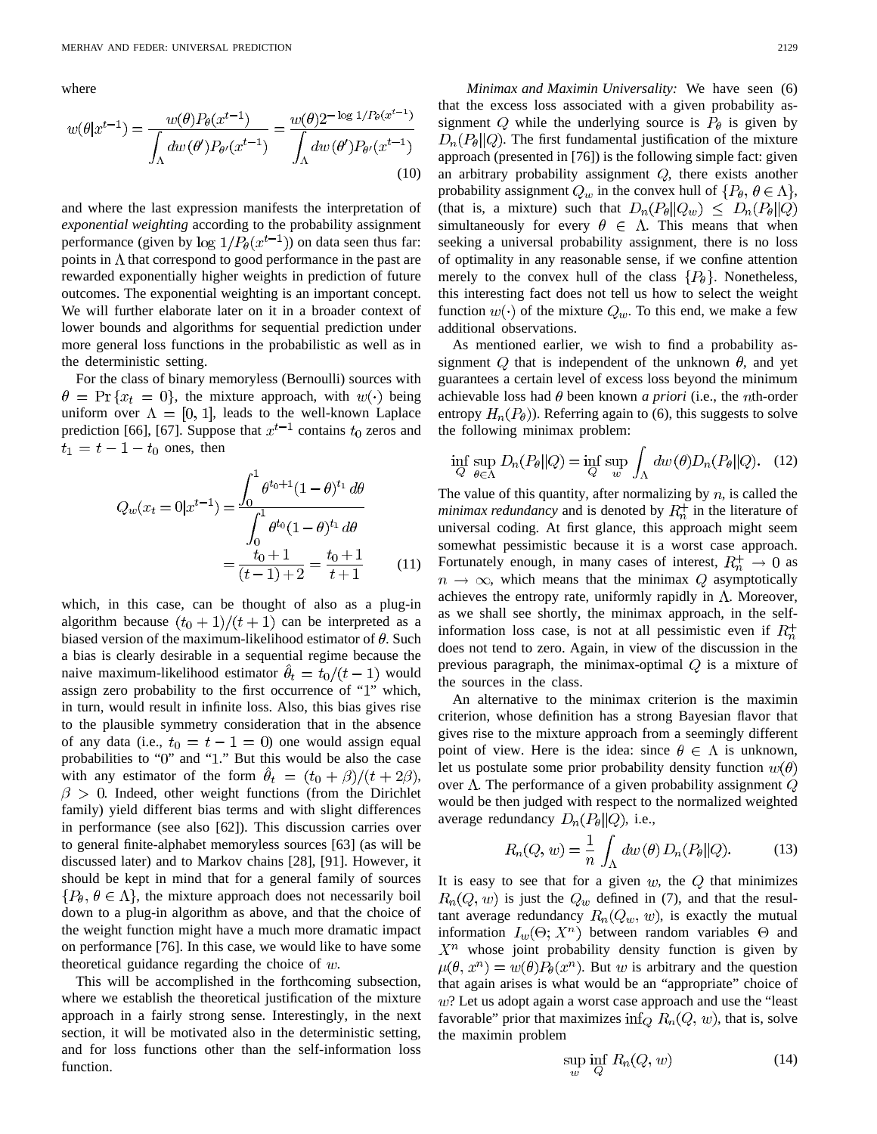where

$$
w(\theta|x^{t-1}) = \frac{w(\theta)P_{\theta}(x^{t-1})}{\int_{\Lambda} dw(\theta')P_{\theta'}(x^{t-1})} = \frac{w(\theta)2^{-\log 1/P_{\theta}(x^{t-1})}}{\int_{\Lambda} dw(\theta')P_{\theta'}(x^{t-1})}
$$
(10)

and where the last expression manifests the interpretation of *exponential weighting* according to the probability assignment performance (given by  $\log 1/P_{\theta}(x^{t-1})$ ) on data seen thus far: points in  $\Lambda$  that correspond to good performance in the past are rewarded exponentially higher weights in prediction of future outcomes. The exponential weighting is an important concept. We will further elaborate later on it in a broader context of lower bounds and algorithms for sequential prediction under more general loss functions in the probabilistic as well as in the deterministic setting.

For the class of binary memoryless (Bernoulli) sources with  $\theta = \Pr \{x_t = 0\}$ , the mixture approach, with  $w(\cdot)$  being uniform over  $\Lambda = [0, 1]$ , leads to the well-known Laplace prediction [66], [67]. Suppose that  $x^{t-1}$  contains  $t_0$  zeros and  $t_1 = t - 1 - t_0$  ones, then

$$
Q_w(x_t = 0|x^{t-1}) = \frac{\int_0^1 \theta^{t_0+1} (1-\theta)^{t_1} d\theta}{\int_0^1 \theta^{t_0} (1-\theta)^{t_1} d\theta}
$$

$$
= \frac{t_0+1}{(t-1)+2} = \frac{t_0+1}{t+1}
$$
(11)

which, in this case, can be thought of also as a plug-in algorithm because  $(t_0 + 1)/(t + 1)$  can be interpreted as a biased version of the maximum-likelihood estimator of  $\theta$ . Such a bias is clearly desirable in a sequential regime because the naive maximum-likelihood estimator  $\theta_t = t_0/(t-1)$  would assign zero probability to the first occurrence of "1" which, in turn, would result in infinite loss. Also, this bias gives rise to the plausible symmetry consideration that in the absence of any data (i.e.,  $t_0 = t - 1 = 0$ ) one would assign equal probabilities to " $0$ " and "1." But this would be also the case with any estimator of the form  $\hat{\theta}_t = (t_0 + \beta)/(t + 2\beta)$ ,  $\beta$  > 0. Indeed, other weight functions (from the Dirichlet family) yield different bias terms and with slight differences in performance (see also [62]). This discussion carries over to general finite-alphabet memoryless sources [63] (as will be discussed later) and to Markov chains [28], [91]. However, it should be kept in mind that for a general family of sources  $\{P_{\theta}, \theta \in \Lambda\}$ , the mixture approach does not necessarily boil down to a plug-in algorithm as above, and that the choice of the weight function might have a much more dramatic impact on performance [76]. In this case, we would like to have some theoretical guidance regarding the choice of  $w$ .

This will be accomplished in the forthcoming subsection, where we establish the theoretical justification of the mixture approach in a fairly strong sense. Interestingly, in the next section, it will be motivated also in the deterministic setting, and for loss functions other than the self-information loss function.

*Minimax and Maximin Universality:* We have seen (6) that the excess loss associated with a given probability assignment Q while the underlying source is  $P_{\theta}$  is given by  $D_n(P_\theta||Q)$ . The first fundamental justification of the mixture approach (presented in [76]) is the following simple fact: given an arbitrary probability assignment  $Q$ , there exists another probability assignment  $Q_w$  in the convex hull of  $\{P_\theta, \theta \in \Lambda\}$ , (that is, a mixture) such that  $D_n(P_\theta||Q_w) \leq D_n(P_\theta||Q)$ simultaneously for every  $\theta \in \Lambda$ . This means that when seeking a universal probability assignment, there is no loss of optimality in any reasonable sense, if we confine attention merely to the convex hull of the class  $\{P_{\theta}\}\$ . Nonetheless, this interesting fact does not tell us how to select the weight function  $w(\cdot)$  of the mixture  $Q_w$ . To this end, we make a few additional observations.

As mentioned earlier, we wish to find a probability assignment Q that is independent of the unknown  $\theta$ , and yet guarantees a certain level of excess loss beyond the minimum achievable loss had  $\theta$  been known *a priori* (i.e., the *n*th-order entropy  $H_n(P_\theta)$ ). Referring again to (6), this suggests to solve the following minimax problem:

$$
\inf_{Q} \sup_{\theta \in \Lambda} D_n(P_{\theta} || Q) = \inf_{Q} \sup_{w} \int_{\Lambda} dw(\theta) D_n(P_{\theta} || Q). \quad (12)
$$

The value of this quantity, after normalizing by  $n$ , is called the *minimax redundancy* and is denoted by  $R_n^+$  in the literature of universal coding. At first glance, this approach might seem somewhat pessimistic because it is a worst case approach. Fortunately enough, in many cases of interest,  $R_n^+ \rightarrow 0$  as  $n \to \infty$ , which means that the minimax Q asymptotically achieves the entropy rate, uniformly rapidly in  $\Lambda$ . Moreover, as we shall see shortly, the minimax approach, in the selfinformation loss case, is not at all pessimistic even if  $R_n^+$ does not tend to zero. Again, in view of the discussion in the previous paragraph, the minimax-optimal  $Q$  is a mixture of the sources in the class.

An alternative to the minimax criterion is the maximin criterion, whose definition has a strong Bayesian flavor that gives rise to the mixture approach from a seemingly different point of view. Here is the idea: since  $\theta \in \Lambda$  is unknown, let us postulate some prior probability density function  $w(\theta)$ over  $\Lambda$ . The performance of a given probability assignment Q would be then judged with respect to the normalized weighted average redundancy  $D_n(P_\theta||Q)$ , i.e.,

$$
R_n(Q, w) = \frac{1}{n} \int_{\Lambda} dw(\theta) D_n(P_{\theta} || Q).
$$
 (13)

It is easy to see that for a given  $w$ , the  $Q$  that minimizes  $R_n(Q, w)$  is just the  $Q_w$  defined in (7), and that the resultant average redundancy  $R_n(Q_w, w)$ , is exactly the mutual information  $I_w(\Theta; X^n)$  between random variables  $\Theta$  and  $X<sup>n</sup>$  whose joint probability density function is given by  $\mu(\theta, x^n) = w(\theta)P_{\theta}(x^n)$ . But w is arbitrary and the question that again arises is what would be an "appropriate" choice of  $w$ ? Let us adopt again a worst case approach and use the "least" favorable" prior that maximizes inf<sub>Q</sub>  $R_n(Q, w)$ , that is, solve the maximin problem

$$
\sup_{w} \inf_{Q} R_n(Q, w) \tag{14}
$$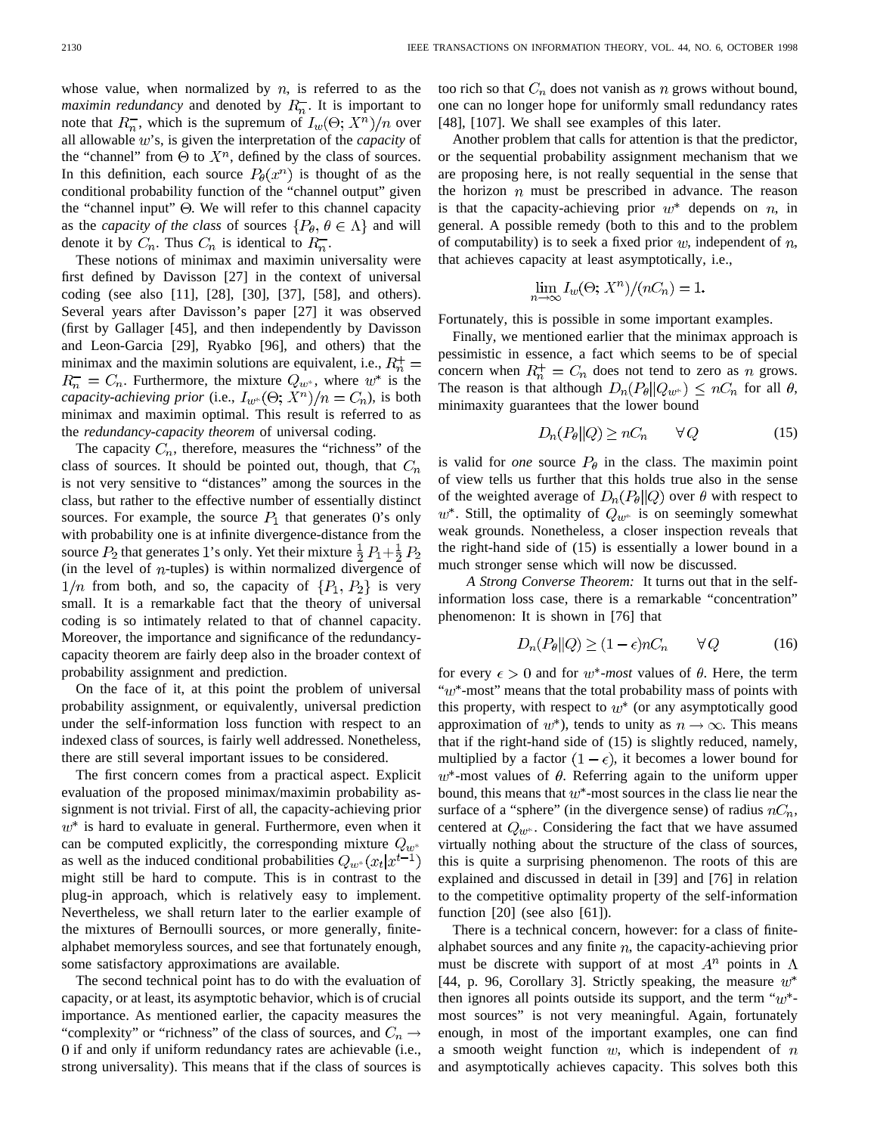whose value, when normalized by  $n$ , is referred to as the *maximin redundancy* and denoted by  $R_n$ . It is important to note that  $R_n^-$ , which is the supremum of  $I_w(\Theta; X^n)/n$  over all allowable w's, is given the interpretation of the *capacity* of the "channel" from  $\Theta$  to  $X^n$ , defined by the class of sources. In this definition, each source  $P_{\theta}(x^n)$  is thought of as the conditional probability function of the "channel output" given the "channel input"  $\Theta$ . We will refer to this channel capacity as the *capacity of the class* of sources  $\{P_\theta, \theta \in \Lambda\}$  and will denote it by  $C_n$ . Thus  $C_n$  is identical to  $R_n^-$ .

These notions of minimax and maximin universality were first defined by Davisson [27] in the context of universal coding (see also [11], [28], [30], [37], [58], and others). Several years after Davisson's paper [27] it was observed (first by Gallager [45], and then independently by Davisson and Leon-Garcia [29], Ryabko [96], and others) that the minimax and the maximin solutions are equivalent, i.e.,  $R_n^+$  =  $R_n^- = C_n$ . Furthermore, the mixture  $Q_{w^*}$ , where  $w^*$  is the *capacity-achieving prior* (i.e.,  $I_{w^*}(\Theta; X^n)/n = C_n$ ), is both minimax and maximin optimal. This result is referred to as the *redundancy-capacity theorem* of universal coding.

The capacity  $C_n$ , therefore, measures the "richness" of the class of sources. It should be pointed out, though, that  $C_n$ is not very sensitive to "distances" among the sources in the class, but rather to the effective number of essentially distinct sources. For example, the source  $P_1$  that generates 0's only with probability one is at infinite divergence-distance from the source  $P_2$  that generates 1's only. Yet their mixture  $\frac{1}{2}P_1 + \frac{1}{2}P_2$ (in the level of  $n$ -tuples) is within normalized divergence of  $1/n$  from both, and so, the capacity of  $\{P_1, P_2\}$  is very small. It is a remarkable fact that the theory of universal coding is so intimately related to that of channel capacity. Moreover, the importance and significance of the redundancycapacity theorem are fairly deep also in the broader context of probability assignment and prediction.

On the face of it, at this point the problem of universal probability assignment, or equivalently, universal prediction under the self-information loss function with respect to an indexed class of sources, is fairly well addressed. Nonetheless, there are still several important issues to be considered.

The first concern comes from a practical aspect. Explicit evaluation of the proposed minimax/maximin probability assignment is not trivial. First of all, the capacity-achieving prior  $w^*$  is hard to evaluate in general. Furthermore, even when it can be computed explicitly, the corresponding mixture  $Q_{w^*}$ as well as the induced conditional probabilities  $Q_{w^*}(x_t|x^{t-1})$ might still be hard to compute. This is in contrast to the plug-in approach, which is relatively easy to implement. Nevertheless, we shall return later to the earlier example of the mixtures of Bernoulli sources, or more generally, finitealphabet memoryless sources, and see that fortunately enough, some satisfactory approximations are available.

The second technical point has to do with the evaluation of capacity, or at least, its asymptotic behavior, which is of crucial importance. As mentioned earlier, the capacity measures the "complexity" or "richness" of the class of sources, and  $C_n \rightarrow$ if and only if uniform redundancy rates are achievable (i.e., strong universality). This means that if the class of sources is too rich so that  $C_n$  does not vanish as n grows without bound, one can no longer hope for uniformly small redundancy rates [48], [107]. We shall see examples of this later.

Another problem that calls for attention is that the predictor, or the sequential probability assignment mechanism that we are proposing here, is not really sequential in the sense that the horizon  $n$  must be prescribed in advance. The reason is that the capacity-achieving prior  $w^*$  depends on  $n$ , in general. A possible remedy (both to this and to the problem of computability) is to seek a fixed prior  $w$ , independent of  $n$ , that achieves capacity at least asymptotically, i.e.,

$$
\lim_{n \to \infty} I_w(\Theta; X^n) / (nC_n) = 1.
$$

Fortunately, this is possible in some important examples.

Finally, we mentioned earlier that the minimax approach is pessimistic in essence, a fact which seems to be of special concern when  $R_n^+ = C_n$  does not tend to zero as n grows. The reason is that although  $D_n(P_\theta||Q_{w^*}) \leq nC_n$  for all  $\theta$ , minimaxity guarantees that the lower bound

$$
D_n(P_\theta \| Q) \ge nC_n \qquad \forall Q \tag{15}
$$

is valid for *one* source  $P_{\theta}$  in the class. The maximin point of view tells us further that this holds true also in the sense of the weighted average of  $D_n(P_\theta||Q)$  over  $\theta$  with respect to  $w^*$ . Still, the optimality of  $Q_{w^*}$  is on seemingly somewhat weak grounds. Nonetheless, a closer inspection reveals that the right-hand side of (15) is essentially a lower bound in a much stronger sense which will now be discussed.

*A Strong Converse Theorem:* It turns out that in the selfinformation loss case, there is a remarkable "concentration" phenomenon: It is shown in [76] that

$$
D_n(P_\theta||Q) \ge (1 - \epsilon)nC_n \qquad \forall Q \tag{16}
$$

for every  $\epsilon > 0$  and for w<sup>\*</sup>-most values of  $\theta$ . Here, the term " $w^*$ -most" means that the total probability mass of points with this property, with respect to  $w^*$  (or any asymptotically good approximation of  $w^*$ ), tends to unity as  $n \to \infty$ . This means that if the right-hand side of (15) is slightly reduced, namely, multiplied by a factor  $(1 - \epsilon)$ , it becomes a lower bound for  $w^*$ -most values of  $\theta$ . Referring again to the uniform upper bound, this means that  $w^*$ -most sources in the class lie near the surface of a "sphere" (in the divergence sense) of radius  $nC_n$ , centered at  $Q_{w^*}$ . Considering the fact that we have assumed virtually nothing about the structure of the class of sources, this is quite a surprising phenomenon. The roots of this are explained and discussed in detail in [39] and [76] in relation to the competitive optimality property of the self-information function [20] (see also [61]).

There is a technical concern, however: for a class of finitealphabet sources and any finite  $n$ , the capacity-achieving prior must be discrete with support of at most  $A^n$  points in  $\Lambda$ [44, p. 96, Corollary 3]. Strictly speaking, the measure  $w^*$ then ignores all points outside its support, and the term " $w^*$ most sources" is not very meaningful. Again, fortunately enough, in most of the important examples, one can find a smooth weight function  $w$ , which is independent of  $n$ and asymptotically achieves capacity. This solves both this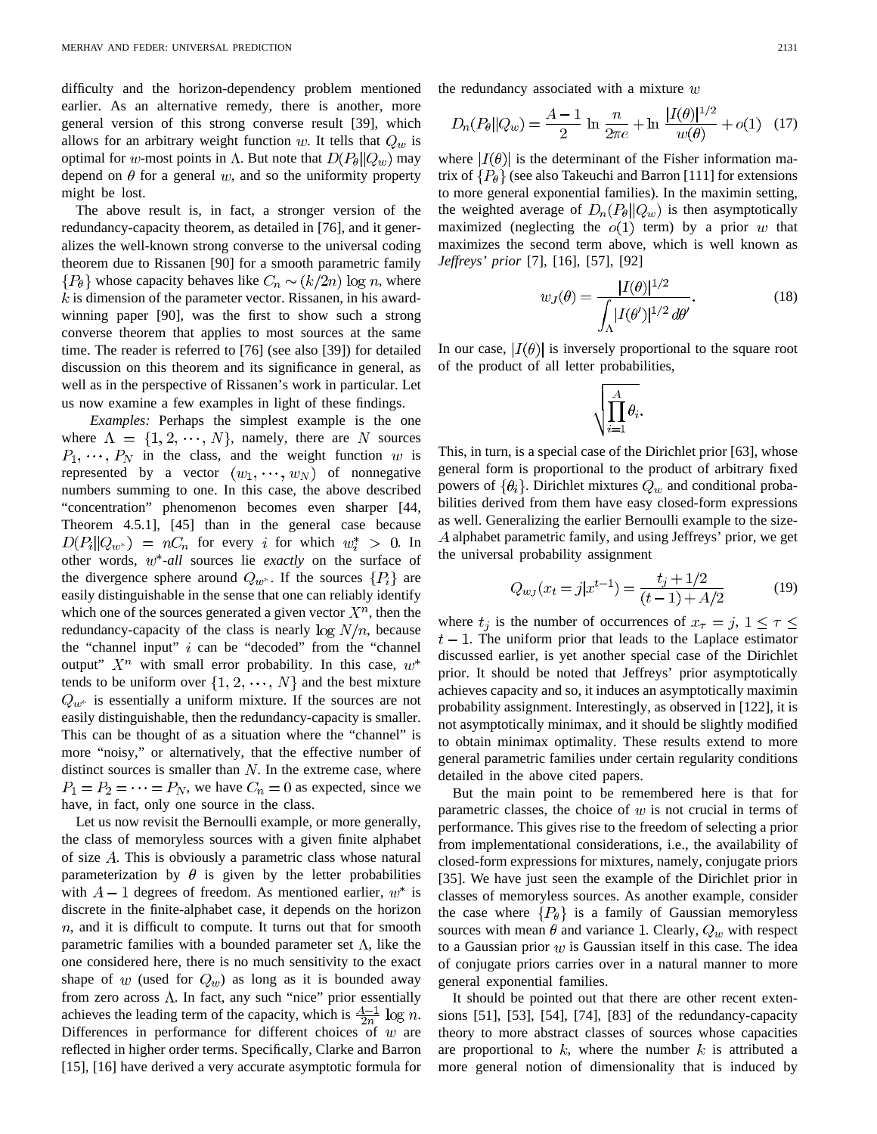difficulty and the horizon-dependency problem mentioned earlier. As an alternative remedy, there is another, more general version of this strong converse result [39], which allows for an arbitrary weight function  $w$ . It tells that  $Q_w$  is optimal for w-most points in  $\Lambda$ . But note that  $D(P_{\theta}||Q_w)$  may depend on  $\theta$  for a general w, and so the uniformity property might be lost.

The above result is, in fact, a stronger version of the redundancy-capacity theorem, as detailed in [76], and it generalizes the well-known strong converse to the universal coding theorem due to Rissanen [90] for a smooth parametric family  $\{P_{\theta}\}\$  whose capacity behaves like  $C_n \sim (k/2n) \log n$ , where  $k$  is dimension of the parameter vector. Rissanen, in his awardwinning paper [90], was the first to show such a strong converse theorem that applies to most sources at the same time. The reader is referred to [76] (see also [39]) for detailed discussion on this theorem and its significance in general, as well as in the perspective of Rissanen's work in particular. Let us now examine a few examples in light of these findings.

*Examples:* Perhaps the simplest example is the one where  $\Lambda = \{1, 2, \dots, N\}$ , namely, there are N sources  $P_1, \dots, P_N$  in the class, and the weight function w is represented by a vector  $(w_1, \dots, w_N)$  of nonnegative numbers summing to one. In this case, the above described "concentration" phenomenon becomes even sharper [44, Theorem 4.5.1], [45] than in the general case because  $D(P_i||Q_{w^*}) = nC_n$  for every i for which  $w_i^* > 0$ . In other words,  $w^*$ -all sources lie *exactly* on the surface of the divergence sphere around  $Q_{w^*}$ . If the sources  $\{P_i\}$  are easily distinguishable in the sense that one can reliably identify which one of the sources generated a given vector  $X^n$ , then the redundancy-capacity of the class is nearly  $\log N/n$ , because the "channel input"  $i$  can be "decoded" from the "channel output"  $X^n$  with small error probability. In this case,  $w^*$ tends to be uniform over  $\{1, 2, \dots, N\}$  and the best mixture  $Q_{w^*}$  is essentially a uniform mixture. If the sources are not easily distinguishable, then the redundancy-capacity is smaller. This can be thought of as a situation where the "channel" is more "noisy," or alternatively, that the effective number of distinct sources is smaller than  $N$ . In the extreme case, where  $P_1 = P_2 = \cdots = P_N$ , we have  $C_n = 0$  as expected, since we have, in fact, only one source in the class.

Let us now revisit the Bernoulli example, or more generally, the class of memoryless sources with a given finite alphabet of size  $A$ . This is obviously a parametric class whose natural parameterization by  $\theta$  is given by the letter probabilities with  $A-1$  degrees of freedom. As mentioned earlier,  $w^*$  is discrete in the finite-alphabet case, it depends on the horizon  $n$ , and it is difficult to compute. It turns out that for smooth parametric families with a bounded parameter set  $\Lambda$ , like the one considered here, there is no much sensitivity to the exact shape of  $w$  (used for  $Q_w$ ) as long as it is bounded away from zero across  $\Lambda$ . In fact, any such "nice" prior essentially achieves the leading term of the capacity, which is  $\frac{A-1}{2n} \log n$ . Differences in performance for different choices of  $w$  are reflected in higher order terms. Specifically, Clarke and Barron [15], [16] have derived a very accurate asymptotic formula for the redundancy associated with a mixture  $w$ 

$$
D_n(P_{\theta}||Q_w) = \frac{A-1}{2} \ln \frac{n}{2\pi e} + \ln \frac{|I(\theta)|^{1/2}}{w(\theta)} + o(1) \quad (17)
$$

where  $|I(\theta)|$  is the determinant of the Fisher information matrix of  $\{P_\theta\}$  (see also Takeuchi and Barron [111] for extensions to more general exponential families). In the maximin setting, the weighted average of  $D_n(P_\theta||Q_w)$  is then asymptotically maximized (neglecting the  $o(1)$  term) by a prior w that maximizes the second term above, which is well known as *Jeffreys' prior* [7], [16], [57], [92]

$$
w_J(\theta) = \frac{|I(\theta)|^{1/2}}{\int_{\Lambda} |I(\theta')|^{1/2} d\theta'}.
$$
 (18)

In our case,  $|I(\theta)|$  is inversely proportional to the square root of the product of all letter probabilities,

$$
\sqrt{\prod_{i=1}^A \theta_i}.
$$

This, in turn, is a special case of the Dirichlet prior [63], whose general form is proportional to the product of arbitrary fixed powers of  $\{\theta_i\}$ . Dirichlet mixtures  $Q_w$  and conditional probabilities derived from them have easy closed-form expressions as well. Generalizing the earlier Bernoulli example to the size-A alphabet parametric family, and using Jeffreys' prior, we get the universal probability assignment

$$
Q_{w_J}(x_t = j|x^{t-1}) = \frac{t_j + 1/2}{(t-1) + A/2}
$$
(19)

where  $t_i$  is the number of occurrences of  $x_{\tau} = j$ ,  $1 \leq \tau \leq$  $t - 1$ . The uniform prior that leads to the Laplace estimator discussed earlier, is yet another special case of the Dirichlet prior. It should be noted that Jeffreys' prior asymptotically achieves capacity and so, it induces an asymptotically maximin probability assignment. Interestingly, as observed in [122], it is not asymptotically minimax, and it should be slightly modified to obtain minimax optimality. These results extend to more general parametric families under certain regularity conditions detailed in the above cited papers.

But the main point to be remembered here is that for parametric classes, the choice of  $w$  is not crucial in terms of performance. This gives rise to the freedom of selecting a prior from implementational considerations, i.e., the availability of closed-form expressions for mixtures, namely, conjugate priors [35]. We have just seen the example of the Dirichlet prior in classes of memoryless sources. As another example, consider the case where  $\{P_{\theta}\}\$ is a family of Gaussian memoryless sources with mean  $\theta$  and variance 1. Clearly,  $Q_w$  with respect to a Gaussian prior  $w$  is Gaussian itself in this case. The idea of conjugate priors carries over in a natural manner to more general exponential families.

It should be pointed out that there are other recent extensions [51], [53], [54], [74], [83] of the redundancy-capacity theory to more abstract classes of sources whose capacities are proportional to  $k$ , where the number  $k$  is attributed a more general notion of dimensionality that is induced by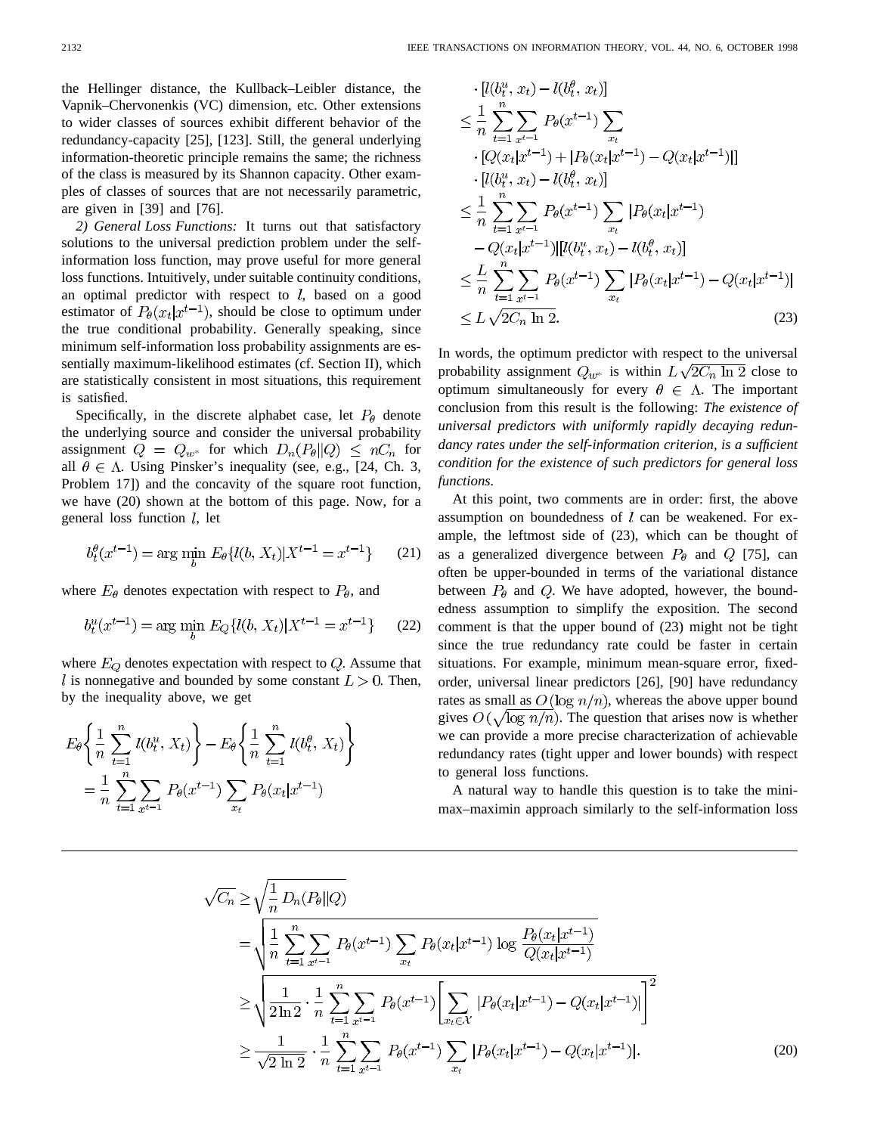the Hellinger distance, the Kullback–Leibler distance, the Vapnik–Chervonenkis (VC) dimension, etc. Other extensions to wider classes of sources exhibit different behavior of the redundancy-capacity [25], [123]. Still, the general underlying information-theoretic principle remains the same; the richness of the class is measured by its Shannon capacity. Other examples of classes of sources that are not necessarily parametric, are given in [39] and [76].

*2) General Loss Functions:* It turns out that satisfactory solutions to the universal prediction problem under the selfinformation loss function, may prove useful for more general loss functions. Intuitively, under suitable continuity conditions, an optimal predictor with respect to  $l$ , based on a good estimator of  $P_{\theta}(x_t|x^{t-1})$ , should be close to optimum under the true conditional probability. Generally speaking, since minimum self-information loss probability assignments are essentially maximum-likelihood estimates (cf. Section II), which are statistically consistent in most situations, this requirement is satisfied.

Specifically, in the discrete alphabet case, let  $P_{\theta}$  denote the underlying source and consider the universal probability assignment  $Q = Q_{w^*}$  for which  $D_n(P_{\theta}||Q) \leq nC_n$  for all  $\theta \in \Lambda$ . Using Pinsker's inequality (see, e.g., [24, Ch. 3, Problem 17]) and the concavity of the square root function, we have (20) shown at the bottom of this page. Now, for a general loss function  $l$ , let

$$
b_t^{\theta}(x^{t-1}) = \arg\min_b E_{\theta}\{l(b, X_t)|X^{t-1} = x^{t-1}\}\qquad(21)
$$

where  $E_{\theta}$  denotes expectation with respect to  $P_{\theta}$ , and

$$
b_t^u(x^{t-1}) = \arg\min_b E_Q\{l(b, X_t)|X^{t-1} = x^{t-1}\}\qquad(22)
$$

where  $E_Q$  denotes expectation with respect to  $Q$ . Assume that l is nonnegative and bounded by some constant  $L > 0$ . Then, by the inequality above, we get

$$
E_{\theta}\left\{\frac{1}{n}\sum_{t=1}^{n}l(b_{t}^{u}, X_{t})\right\} - E_{\theta}\left\{\frac{1}{n}\sum_{t=1}^{n}l(b_{t}^{\theta}, X_{t})\right\}
$$

$$
= \frac{1}{n}\sum_{t=1}^{n}\sum_{x^{t-1}} P_{\theta}(x^{t-1}) \sum_{x_{t}} P_{\theta}(x_{t}|x^{t-1})
$$

$$
\begin{split}\n& \cdot \left[ l(b_t^u, x_t) - l(b_t^{\theta}, x_t) \right] \\
&\leq \frac{1}{n} \sum_{t=1}^n \sum_{x^{t-1}} P_{\theta}(x^{t-1}) \sum_{x_t} \\
& \cdot \left[ Q(x_t | x^{t-1}) + |P_{\theta}(x_t | x^{t-1}) - Q(x_t | x^{t-1})| \right] \\
& \cdot \left[ l(b_t^u, x_t) - l(b_t^{\theta}, x_t) \right] \\
&\leq \frac{1}{n} \sum_{t=1}^n \sum_{x^{t-1}} P_{\theta}(x^{t-1}) \sum_{x_t} |P_{\theta}(x_t | x^{t-1}) \\
&\quad - Q(x_t | x^{t-1}) \left[ l(b_t^u, x_t) - l(b_t^{\theta}, x_t) \right] \\
&\leq \frac{L}{n} \sum_{t=1}^n \sum_{x^{t-1}} P_{\theta}(x^{t-1}) \sum_{x_t} |P_{\theta}(x_t | x^{t-1}) - Q(x_t | x^{t-1})| \\
&\leq L \sqrt{2C_n} \ln 2.\n\end{split}
$$
\n(23)

In words, the optimum predictor with respect to the universal probability assignment  $Q_{w^*}$  is within  $L\sqrt{2C_n \ln 2}$  close to optimum simultaneously for every  $\theta \in \Lambda$ . The important conclusion from this result is the following: *The existence of universal predictors with uniformly rapidly decaying redundancy rates under the self-information criterion, is a sufficient condition for the existence of such predictors for general loss functions.*

At this point, two comments are in order: first, the above assumption on boundedness of  $l$  can be weakened. For example, the leftmost side of (23), which can be thought of as a generalized divergence between  $P_{\theta}$  and  $Q$  [75], can often be upper-bounded in terms of the variational distance between  $P_{\theta}$  and Q. We have adopted, however, the boundedness assumption to simplify the exposition. The second comment is that the upper bound of (23) might not be tight since the true redundancy rate could be faster in certain situations. For example, minimum mean-square error, fixedorder, universal linear predictors [26], [90] have redundancy rates as small as  $O(\log n/n)$ , whereas the above upper bound gives  $O(\sqrt{\log n/n})$ . The question that arises now is whether we can provide a more precise characterization of achievable redundancy rates (tight upper and lower bounds) with respect to general loss functions.

A natural way to handle this question is to take the minimax–maximin approach similarly to the self-information loss

$$
\sqrt{C_n} \ge \sqrt{\frac{1}{n} D_n(P_{\theta}||Q)}
$$
\n
$$
= \sqrt{\frac{1}{n} \sum_{t=1}^n \sum_{x^{t-1}} P_{\theta}(x^{t-1}) \sum_{x_t} P_{\theta}(x_t|x^{t-1}) \log \frac{P_{\theta}(x_t|x^{t-1})}{Q(x_t|x^{t-1})}}
$$
\n
$$
\ge \sqrt{\frac{1}{2\ln 2} \cdot \frac{1}{n} \sum_{t=1}^n \sum_{x^{t-1}} P_{\theta}(x^{t-1}) \left[ \sum_{x_t \in \mathcal{X}} |P_{\theta}(x_t|x^{t-1}) - Q(x_t|x^{t-1})| \right]^2}
$$
\n
$$
\ge \frac{1}{\sqrt{2\ln 2}} \cdot \frac{1}{n} \sum_{t=1}^n \sum_{x^{t-1}} P_{\theta}(x^{t-1}) \sum_{x_t} |P_{\theta}(x_t|x^{t-1}) - Q(x_t|x^{t-1})|.
$$
\n(20)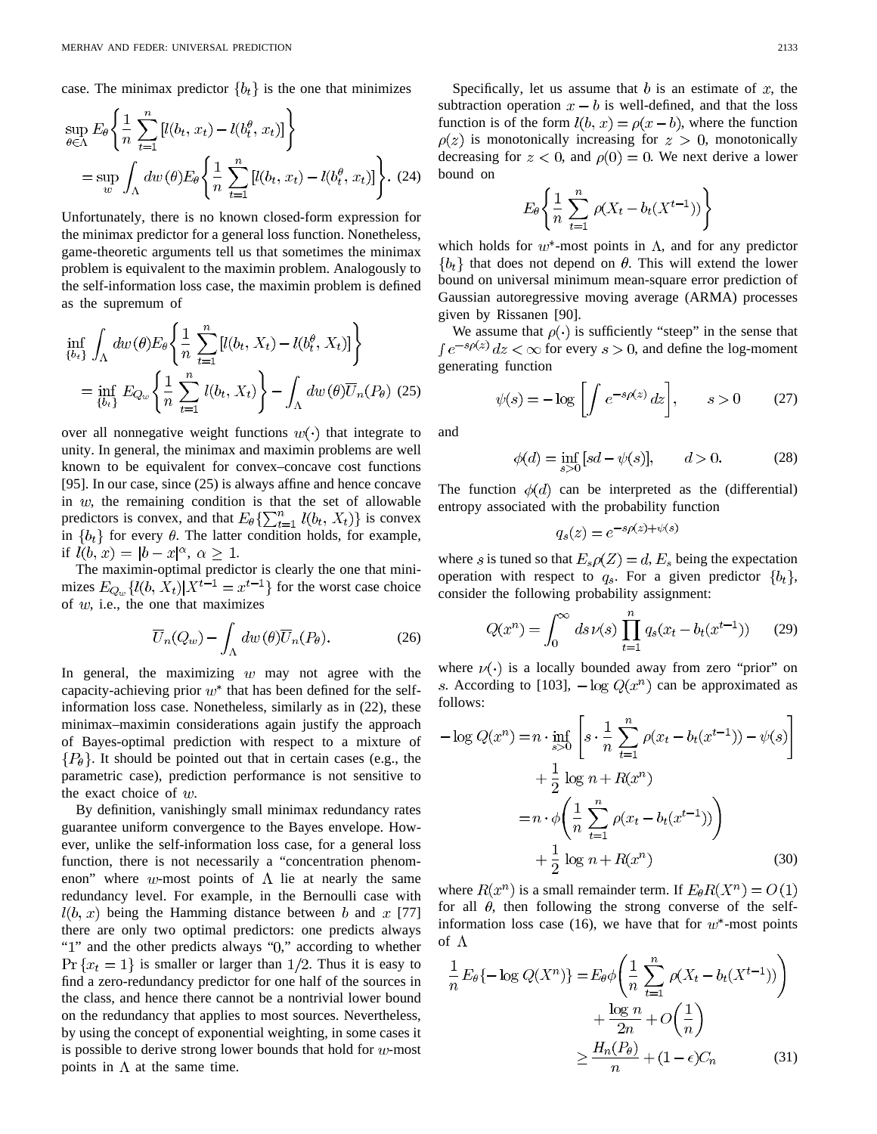case. The minimax predictor  $\{b_t\}$  is the one that minimizes

$$
\sup_{\theta \in \Lambda} E_{\theta} \left\{ \frac{1}{n} \sum_{t=1}^{n} \left[ l(b_t, x_t) - l(b_t^{\theta}, x_t) \right] \right\}
$$

$$
= \sup_{w} \int_{\Lambda} dw \, (\theta) E_{\theta} \left\{ \frac{1}{n} \sum_{t=1}^{n} \left[ l(b_t, x_t) - l(b_t^{\theta}, x_t) \right] \right\}. (24)
$$

Unfortunately, there is no known closed-form expression for the minimax predictor for a general loss function. Nonetheless, game-theoretic arguments tell us that sometimes the minimax problem is equivalent to the maximin problem. Analogously to the self-information loss case, the maximin problem is defined as the supremum of

$$
\inf_{\{b_t\}} \int_{\Lambda} dw \,(\theta) E_{\theta} \left\{ \frac{1}{n} \sum_{t=1}^n \left[ l(b_t, X_t) - l(b_t^{\theta}, X_t) \right] \right\}
$$
\n
$$
= \inf_{\{b_t\}} E_{Q_w} \left\{ \frac{1}{n} \sum_{t=1}^n l(b_t, X_t) \right\} - \int_{\Lambda} dw \,(\theta) \overline{U}_n(P_{\theta}) \, (25)
$$

over all nonnegative weight functions  $w(\cdot)$  that integrate to unity. In general, the minimax and maximin problems are well known to be equivalent for convex–concave cost functions [95]. In our case, since (25) is always affine and hence concave in  $w$ , the remaining condition is that the set of allowable predictors is convex, and that  $E_{\theta} \{\sum_{t=1}^{n} l(b_t, X_t)\}\$ is convex in  ${b_t}$  for every  $\theta$ . The latter condition holds, for example, if  $l(b, x) = |b - x|^{\alpha}, \alpha \geq 1.$ 

The maximin-optimal predictor is clearly the one that minimizes  $E_{Q_w}\{l(b, X_t)|X^{t-1} = x^{t-1}\}\$  for the worst case choice of  $w$ , i.e., the one that maximizes

$$
\overline{U}_n(Q_w) - \int_{\Lambda} dw(\theta) \overline{U}_n(P_{\theta}). \tag{26}
$$

In general, the maximizing  $w$  may not agree with the capacity-achieving prior  $w^*$  that has been defined for the selfinformation loss case. Nonetheless, similarly as in (22), these minimax–maximin considerations again justify the approach of Bayes-optimal prediction with respect to a mixture of  $\{P_{\theta}\}\$ . It should be pointed out that in certain cases (e.g., the parametric case), prediction performance is not sensitive to the exact choice of  $w$ .

By definition, vanishingly small minimax redundancy rates guarantee uniform convergence to the Bayes envelope. However, unlike the self-information loss case, for a general loss function, there is not necessarily a "concentration phenomenon" where w-most points of  $\Lambda$  lie at nearly the same redundancy level. For example, in the Bernoulli case with  $l(b, x)$  being the Hamming distance between b and x [77] there are only two optimal predictors: one predicts always " $1$ " and the other predicts always " $0$ ," according to whether  $\Pr\{x_t = 1\}$  is smaller or larger than 1/2. Thus it is easy to find a zero-redundancy predictor for one half of the sources in the class, and hence there cannot be a nontrivial lower bound on the redundancy that applies to most sources. Nevertheless, by using the concept of exponential weighting, in some cases it is possible to derive strong lower bounds that hold for  $w$ -most points in  $\Lambda$  at the same time.

Specifically, let us assume that  $b$  is an estimate of  $x$ , the subtraction operation  $x - b$  is well-defined, and that the loss function is of the form  $l(b, x) = \rho(x - b)$ , where the function  $\rho(z)$  is monotonically increasing for  $z > 0$ , monotonically decreasing for  $z < 0$ , and  $\rho(0) = 0$ . We next derive a lower bound on

$$
E_{\theta}\left\{\frac{1}{n}\sum_{t=1}^{n}\rho(X_t-b_t(X^{t-1}))\right\}
$$

which holds for  $w^*$ -most points in  $\Lambda$ , and for any predictor  ${b_t}$  that does not depend on  $\theta$ . This will extend the lower bound on universal minimum mean-square error prediction of Gaussian autoregressive moving average (ARMA) processes given by Rissanen [90].

We assume that  $\rho(\cdot)$  is sufficiently "steep" in the sense that  $\int e^{-s\rho(z)} dz < \infty$  for every  $s > 0$ , and define the log-moment generating function

$$
\psi(s) = -\log\left[\int e^{-s\rho(z)} \, dz\right], \qquad s > 0 \tag{27}
$$

and

$$
\phi(d) = \inf_{s>0} [sd - \psi(s)], \qquad d > 0. \tag{28}
$$

The function  $\phi(d)$  can be interpreted as the (differential) entropy associated with the probability function

$$
q_s(z) = e^{-s\rho(z) + \psi(s)}
$$

where s is tuned so that  $E_s \rho(Z) = d, E_s$  being the expectation operation with respect to  $q_s$ . For a given predictor  $\{b_t\}$ , consider the following probability assignment:

$$
Q(x^n) = \int_0^\infty ds \,\nu(s) \prod_{t=1}^n q_s(x_t - b_t(x^{t-1})) \tag{29}
$$

where  $\nu(\cdot)$  is a locally bounded away from zero "prior" on s. According to [103],  $-\log Q(x^n)$  can be approximated as follows:

$$
-\log Q(x^n) = n \cdot \inf_{s>0} \left[ s \cdot \frac{1}{n} \sum_{t=1}^n \rho(x_t - b_t(x^{t-1})) - \psi(s) \right] + \frac{1}{2} \log n + R(x^n) = n \cdot \phi \left( \frac{1}{n} \sum_{t=1}^n \rho(x_t - b_t(x^{t-1})) \right) + \frac{1}{2} \log n + R(x^n) \tag{30}
$$

where  $R(x^n)$  is a small remainder term. If  $E_{\theta}R(X^n) = O(1)$ for all  $\theta$ , then following the strong converse of the selfinformation loss case (16), we have that for  $w^*$ -most points of  $\Lambda$ 

$$
\frac{1}{n} E_{\theta} \{-\log Q(X^n)\} = E_{\theta} \phi \left(\frac{1}{n} \sum_{t=1}^n \rho(X_t - b_t(X^{t-1}))\right) \n+ \frac{\log n}{2n} + O\left(\frac{1}{n}\right) \n\ge \frac{H_n(P_{\theta})}{n} + (1 - \epsilon)C_n
$$
\n(31)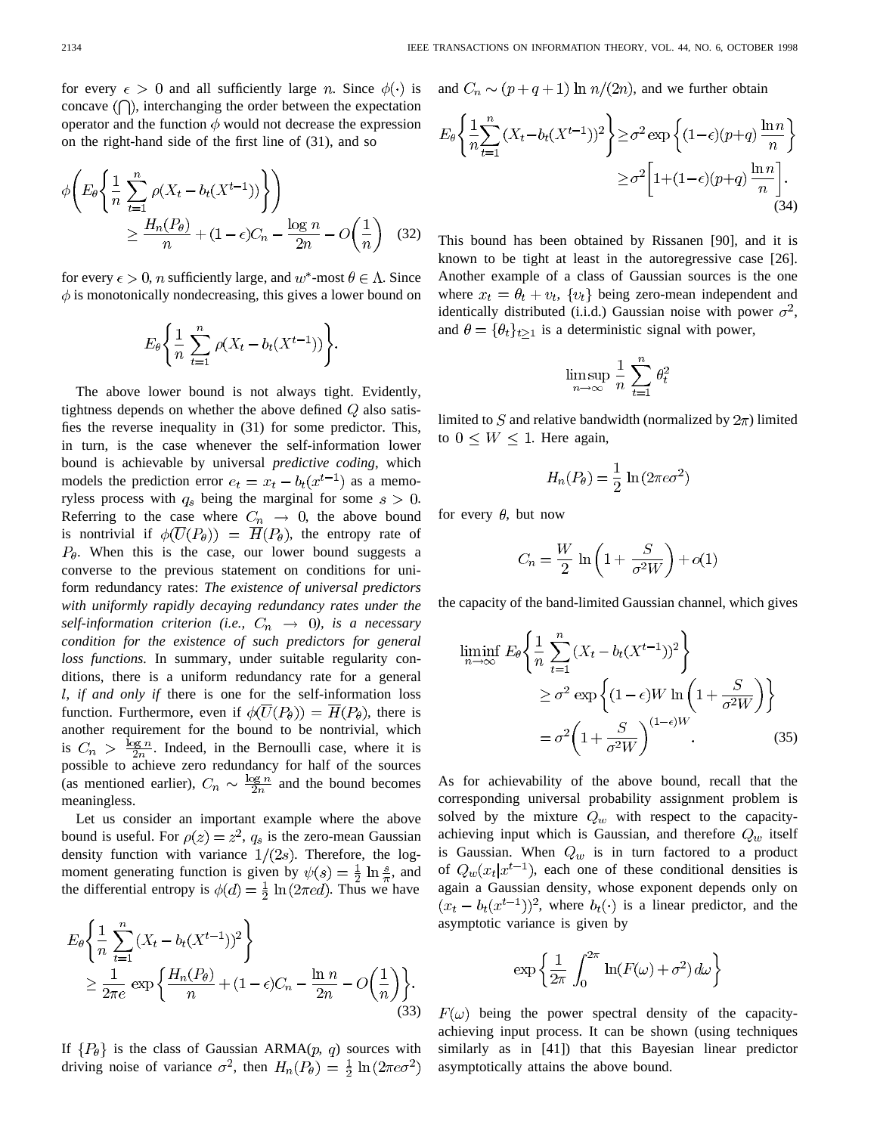for every  $\epsilon > 0$  and all sufficiently large *n*. Since  $\phi(\cdot)$  is concave  $( \bigcap )$ , interchanging the order between the expectation operator and the function  $\phi$  would not decrease the expression on the right-hand side of the first line of (31), and so

$$
\phi\left(E_{\theta}\left\{\frac{1}{n}\sum_{t=1}^{n}\rho(X_t - b_t(X^{t-1}))\right\}\right) \ge \frac{H_n(P_{\theta})}{n} + (1-\epsilon)C_n - \frac{\log n}{2n} - O\left(\frac{1}{n}\right) \quad (32)
$$

for every  $\epsilon > 0$ , *n* sufficiently large, and w<sup>\*</sup>-most  $\theta \in \Lambda$ . Since  $\phi$  is monotonically nondecreasing, this gives a lower bound on

$$
E_{\theta}\bigg\{\frac{1}{n}\sum_{t=1}^n\rho(X_t-b_t(X^{t-1}))\bigg\}.
$$

The above lower bound is not always tight. Evidently, tightness depends on whether the above defined  $Q$  also satisfies the reverse inequality in (31) for some predictor. This, in turn, is the case whenever the self-information lower bound is achievable by universal *predictive coding*, which models the prediction error  $e_t = x_t - b_t(x^{t-1})$  as a memoryless process with  $q_s$  being the marginal for some  $s > 0$ . Referring to the case where  $C_n \rightarrow 0$ , the above bound is nontrivial if  $\phi(\overline{U}(P_{\theta})) = \overline{H}(P_{\theta})$ , the entropy rate of  $P_{\theta}$ . When this is the case, our lower bound suggests a converse to the previous statement on conditions for uniform redundancy rates: *The existence of universal predictors with uniformly rapidly decaying redundancy rates under the self-information criterion (i.e.,*  $C_n \rightarrow 0$ ), is a necessary *condition for the existence of such predictors for general loss functions.* In summary, under suitable regularity conditions, there is a uniform redundancy rate for a general , *if and only if* there is one for the self-information loss function. Furthermore, even if  $\phi(\overline{U}(P_{\theta})) = \overline{H}(P_{\theta})$ , there is another requirement for the bound to be nontrivial, which is  $C_n > \frac{\log n}{2n}$ . Indeed, in the Bernoulli case, where it is possible to achieve zero redundancy for half of the sources (as mentioned earlier),  $C_n \sim \frac{\log n}{2n}$  and the bound becomes meaningless.

Let us consider an important example where the above bound is useful. For  $\rho(z) = z^2$ ,  $q_s$  is the zero-mean Gaussian density function with variance  $1/(2s)$ . Therefore, the logmoment generating function is given by  $\psi(s) = \frac{1}{2} \ln \frac{s}{\pi}$ , and the differential entropy is  $\phi(d) = \frac{1}{2} \ln(2\pi \epsilon d)$ . Thus we have

$$
E_{\theta}\left\{\frac{1}{n}\sum_{t=1}^{n}(X_t - b_t(X^{t-1}))^2\right\}
$$
  
\n
$$
\geq \frac{1}{2\pi e}\exp\left\{\frac{H_n(P_{\theta})}{n} + (1-\epsilon)C_n - \frac{\ln n}{2n} - O\left(\frac{1}{n}\right)\right\}.
$$
\n(33)

If  $\{P_\theta\}$  is the class of Gaussian ARMA(p, q) sources with driving noise of variance  $\sigma^2$ , then  $H_n(P_\theta) = \frac{1}{2} \ln(2\pi e \sigma^2)$  and  $C_n \sim (p+q+1) \ln n/(2n)$ , and we further obtain

$$
E_{\theta}\left\{\frac{1}{n}\sum_{t=1}^{n}(X_t - b_t(X^{t-1}))^2\right\} \ge \sigma^2 \exp\left\{(1-\epsilon)(p+q)\frac{\ln n}{n}\right\}
$$

$$
\ge \sigma^2 \left[1+(1-\epsilon)(p+q)\frac{\ln n}{n}\right].
$$
\n(34)

This bound has been obtained by Rissanen [90], and it is known to be tight at least in the autoregressive case [26]. Another example of a class of Gaussian sources is the one where  $x_t = \theta_t + v_t$ ,  $\{v_t\}$  being zero-mean independent and identically distributed (i.i.d.) Gaussian noise with power  $\sigma^2$ , and  $\theta = {\theta_t}_{t\geq 1}$  is a deterministic signal with power,

$$
\limsup_{n \to \infty} \frac{1}{n} \sum_{t=1}^{n} \theta_t^2
$$

limited to S and relative bandwidth (normalized by  $2\pi$ ) limited to  $0 \leq W \leq 1$ . Here again,

$$
H_n(P_\theta) = \frac{1}{2} \ln(2\pi e \sigma^2)
$$

for every  $\theta$ , but now

$$
C_n = \frac{W}{2} \ln \left( 1 + \frac{S}{\sigma^2 W} \right) + o(1)
$$

the capacity of the band-limited Gaussian channel, which gives

$$
\liminf_{n \to \infty} E_{\theta} \left\{ \frac{1}{n} \sum_{t=1}^{n} (X_t - b_t (X^{t-1}))^2 \right\}
$$
  
\n
$$
\geq \sigma^2 \exp \left\{ (1 - \epsilon) W \ln \left( 1 + \frac{S}{\sigma^2 W} \right) \right\}
$$
  
\n
$$
= \sigma^2 \left( 1 + \frac{S}{\sigma^2 W} \right)^{(1 - \epsilon)W} .
$$
 (35)

As for achievability of the above bound, recall that the corresponding universal probability assignment problem is solved by the mixture  $Q_w$  with respect to the capacityachieving input which is Gaussian, and therefore  $Q_w$  itself is Gaussian. When  $Q_w$  is in turn factored to a product of  $Q_w(x_t|x^{t-1})$ , each one of these conditional densities is again a Gaussian density, whose exponent depends only on  $(x_t - b_t(x^{t-1}))^2$ , where  $b_t(\cdot)$  is a linear predictor, and the asymptotic variance is given by

$$
\exp\left\{\frac{1}{2\pi} \int_0^{2\pi} \ln(F(\omega) + \sigma^2) d\omega\right\}
$$

 $F(\omega)$  being the power spectral density of the capacityachieving input process. It can be shown (using techniques similarly as in [41]) that this Bayesian linear predictor asymptotically attains the above bound.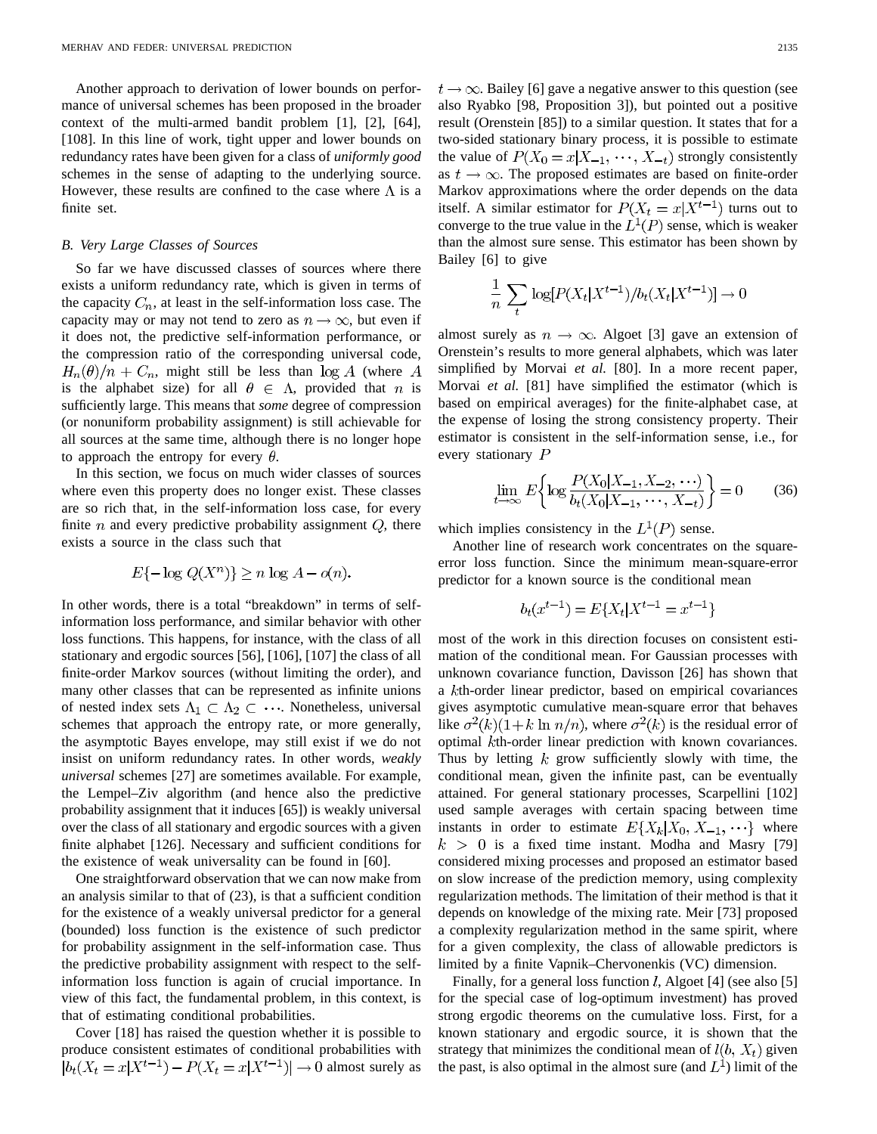Another approach to derivation of lower bounds on performance of universal schemes has been proposed in the broader context of the multi-armed bandit problem [1], [2], [64], [108]. In this line of work, tight upper and lower bounds on redundancy rates have been given for a class of *uniformly good* schemes in the sense of adapting to the underlying source. However, these results are confined to the case where  $\Lambda$  is a finite set.

## *B. Very Large Classes of Sources*

So far we have discussed classes of sources where there exists a uniform redundancy rate, which is given in terms of the capacity  $C_n$ , at least in the self-information loss case. The capacity may or may not tend to zero as  $n \to \infty$ , but even if it does not, the predictive self-information performance, or the compression ratio of the corresponding universal code,  $H_n(\theta)/n + C_n$ , might still be less than  $\log A$  (where A is the alphabet size) for all  $\theta \in \Lambda$ , provided that *n* is sufficiently large. This means that *some* degree of compression (or nonuniform probability assignment) is still achievable for all sources at the same time, although there is no longer hope to approach the entropy for every  $\theta$ .

In this section, we focus on much wider classes of sources where even this property does no longer exist. These classes are so rich that, in the self-information loss case, for every finite *n* and every predictive probability assignment  $Q$ , there exists a source in the class such that

$$
E\{-\log Q(X^n)\} \ge n \log A - o(n).
$$

In other words, there is a total "breakdown" in terms of selfinformation loss performance, and similar behavior with other loss functions. This happens, for instance, with the class of all stationary and ergodic sources [56], [106], [107] the class of all finite-order Markov sources (without limiting the order), and many other classes that can be represented as infinite unions of nested index sets  $\Lambda_1 \subset \Lambda_2 \subset \cdots$ . Nonetheless, universal schemes that approach the entropy rate, or more generally, the asymptotic Bayes envelope, may still exist if we do not insist on uniform redundancy rates. In other words, *weakly universal* schemes [27] are sometimes available. For example, the Lempel–Ziv algorithm (and hence also the predictive probability assignment that it induces [65]) is weakly universal over the class of all stationary and ergodic sources with a given finite alphabet [126]. Necessary and sufficient conditions for the existence of weak universality can be found in [60].

One straightforward observation that we can now make from an analysis similar to that of (23), is that a sufficient condition for the existence of a weakly universal predictor for a general (bounded) loss function is the existence of such predictor for probability assignment in the self-information case. Thus the predictive probability assignment with respect to the selfinformation loss function is again of crucial importance. In view of this fact, the fundamental problem, in this context, is that of estimating conditional probabilities.

Cover [18] has raised the question whether it is possible to produce consistent estimates of conditional probabilities with  $|b_t(X_t = x | X^{t-1}) - P(X_t = x | X^{t-1})| \rightarrow 0$  almost surely as  $t \to \infty$ . Bailey [6] gave a negative answer to this question (see also Ryabko [98, Proposition 3]), but pointed out a positive result (Orenstein [85]) to a similar question. It states that for a two-sided stationary binary process, it is possible to estimate the value of  $P(X_0 = x | X_{-1}, \dots, X_{-t})$  strongly consistently as  $t \to \infty$ . The proposed estimates are based on finite-order Markov approximations where the order depends on the data itself. A similar estimator for  $P(X_t = x | X^{t-1})$  turns out to converge to the true value in the  $L^1(P)$  sense, which is weaker than the almost sure sense. This estimator has been shown by Bailey [6] to give

$$
\frac{1}{n}\sum_{t}\log[P(X_t|X^{t-1})/b_t(X_t|X^{t-1})] \to 0
$$

almost surely as  $n \to \infty$ . Algoet [3] gave an extension of Orenstein's results to more general alphabets, which was later simplified by Morvai *et al.* [80]. In a more recent paper, Morvai *et al.* [81] have simplified the estimator (which is based on empirical averages) for the finite-alphabet case, at the expense of losing the strong consistency property. Their estimator is consistent in the self-information sense, i.e., for every stationary  $P$ 

$$
\lim_{t \to \infty} E\left\{ \log \frac{P(X_0|X_{-1}, X_{-2}, \cdots)}{b_t(X_0|X_{-1}, \cdots, X_{-t})} \right\} = 0 \tag{36}
$$

which implies consistency in the  $L^1(P)$  sense.

Another line of research work concentrates on the squareerror loss function. Since the minimum mean-square-error predictor for a known source is the conditional mean

$$
b_t(x^{t-1}) = E\{X_t | X^{t-1} = x^{t-1}\}
$$

most of the work in this direction focuses on consistent estimation of the conditional mean. For Gaussian processes with unknown covariance function, Davisson [26] has shown that a kth-order linear predictor, based on empirical covariances gives asymptotic cumulative mean-square error that behaves like  $\sigma^2(k)(1+k \ln n/n)$ , where  $\sigma^2(k)$  is the residual error of optimal  $k$ th-order linear prediction with known covariances. Thus by letting  $k$  grow sufficiently slowly with time, the conditional mean, given the infinite past, can be eventually attained. For general stationary processes, Scarpellini [102] used sample averages with certain spacing between time instants in order to estimate  $E\{X_k|X_0, X_{-1}, \cdots\}$  where  $k > 0$  is a fixed time instant. Modha and Masry [79] considered mixing processes and proposed an estimator based on slow increase of the prediction memory, using complexity regularization methods. The limitation of their method is that it depends on knowledge of the mixing rate. Meir [73] proposed a complexity regularization method in the same spirit, where for a given complexity, the class of allowable predictors is limited by a finite Vapnik–Chervonenkis (VC) dimension.

Finally, for a general loss function  $l$ , Algoet [4] (see also [5] for the special case of log-optimum investment) has proved strong ergodic theorems on the cumulative loss. First, for a known stationary and ergodic source, it is shown that the strategy that minimizes the conditional mean of  $l(b, X_t)$  given the past, is also optimal in the almost sure (and  $L<sup>1</sup>$ ) limit of the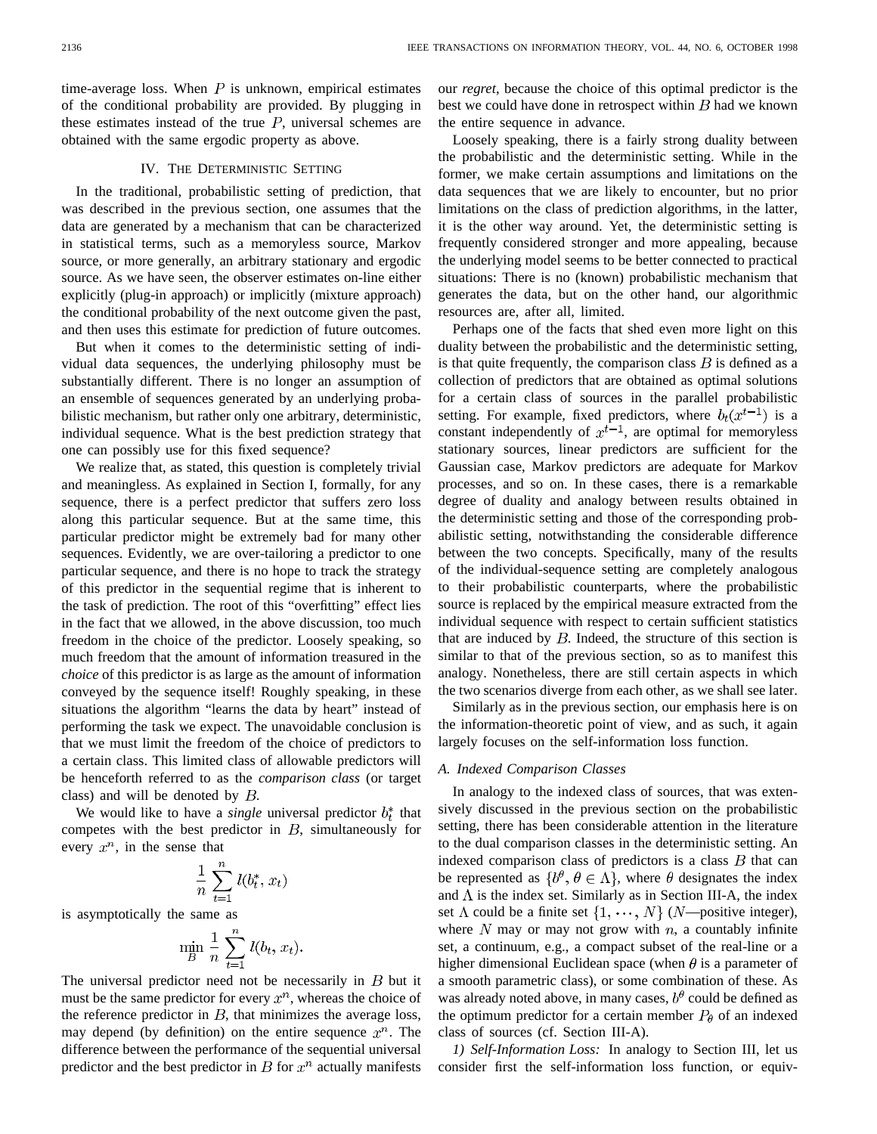time-average loss. When  $P$  is unknown, empirical estimates of the conditional probability are provided. By plugging in these estimates instead of the true  $P$ , universal schemes are obtained with the same ergodic property as above.

#### IV. THE DETERMINISTIC SETTING

In the traditional, probabilistic setting of prediction, that was described in the previous section, one assumes that the data are generated by a mechanism that can be characterized in statistical terms, such as a memoryless source, Markov source, or more generally, an arbitrary stationary and ergodic source. As we have seen, the observer estimates on-line either explicitly (plug-in approach) or implicitly (mixture approach) the conditional probability of the next outcome given the past, and then uses this estimate for prediction of future outcomes.

But when it comes to the deterministic setting of individual data sequences, the underlying philosophy must be substantially different. There is no longer an assumption of an ensemble of sequences generated by an underlying probabilistic mechanism, but rather only one arbitrary, deterministic, individual sequence. What is the best prediction strategy that one can possibly use for this fixed sequence?

We realize that, as stated, this question is completely trivial and meaningless. As explained in Section I, formally, for any sequence, there is a perfect predictor that suffers zero loss along this particular sequence. But at the same time, this particular predictor might be extremely bad for many other sequences. Evidently, we are over-tailoring a predictor to one particular sequence, and there is no hope to track the strategy of this predictor in the sequential regime that is inherent to the task of prediction. The root of this "overfitting" effect lies in the fact that we allowed, in the above discussion, too much freedom in the choice of the predictor. Loosely speaking, so much freedom that the amount of information treasured in the *choice* of this predictor is as large as the amount of information conveyed by the sequence itself! Roughly speaking, in these situations the algorithm "learns the data by heart" instead of performing the task we expect. The unavoidable conclusion is that we must limit the freedom of the choice of predictors to a certain class. This limited class of allowable predictors will be henceforth referred to as the *comparison class* (or target class) and will be denoted by  $B$ .

We would like to have a *single* universal predictor  $b_t^*$  that competes with the best predictor in  $B$ , simultaneously for every  $x^n$ , in the sense that

$$
\frac{1}{n}\sum_{t=1}^n l(b_t^*, x_t)
$$

is asymptotically the same as

$$
\min_B \frac{1}{n} \sum_{t=1}^n l(b_t, x_t).
$$

The universal predictor need not be necessarily in  $B$  but it must be the same predictor for every  $x^n$ , whereas the choice of the reference predictor in  $B$ , that minimizes the average loss, may depend (by definition) on the entire sequence  $x^n$ . The difference between the performance of the sequential universal predictor and the best predictor in  $B$  for  $x^n$  actually manifests

our *regret*, because the choice of this optimal predictor is the best we could have done in retrospect within  $B$  had we known the entire sequence in advance.

Loosely speaking, there is a fairly strong duality between the probabilistic and the deterministic setting. While in the former, we make certain assumptions and limitations on the data sequences that we are likely to encounter, but no prior limitations on the class of prediction algorithms, in the latter, it is the other way around. Yet, the deterministic setting is frequently considered stronger and more appealing, because the underlying model seems to be better connected to practical situations: There is no (known) probabilistic mechanism that generates the data, but on the other hand, our algorithmic resources are, after all, limited.

Perhaps one of the facts that shed even more light on this duality between the probabilistic and the deterministic setting, is that quite frequently, the comparison class  $B$  is defined as a collection of predictors that are obtained as optimal solutions for a certain class of sources in the parallel probabilistic setting. For example, fixed predictors, where  $b_t(x^{t-1})$  is a constant independently of  $x^{t-1}$ , are optimal for memoryless stationary sources, linear predictors are sufficient for the Gaussian case, Markov predictors are adequate for Markov processes, and so on. In these cases, there is a remarkable degree of duality and analogy between results obtained in the deterministic setting and those of the corresponding probabilistic setting, notwithstanding the considerable difference between the two concepts. Specifically, many of the results of the individual-sequence setting are completely analogous to their probabilistic counterparts, where the probabilistic source is replaced by the empirical measure extracted from the individual sequence with respect to certain sufficient statistics that are induced by  $B$ . Indeed, the structure of this section is similar to that of the previous section, so as to manifest this analogy. Nonetheless, there are still certain aspects in which the two scenarios diverge from each other, as we shall see later.

Similarly as in the previous section, our emphasis here is on the information-theoretic point of view, and as such, it again largely focuses on the self-information loss function.

## *A. Indexed Comparison Classes*

In analogy to the indexed class of sources, that was extensively discussed in the previous section on the probabilistic setting, there has been considerable attention in the literature to the dual comparison classes in the deterministic setting. An indexed comparison class of predictors is a class  $B$  that can be represented as  $\{b^{\theta}, \theta \in \Lambda\}$ , where  $\theta$  designates the index and  $\Lambda$  is the index set. Similarly as in Section III-A, the index set  $\Lambda$  could be a finite set  $\{1, \dots, N\}$  (*N*—positive integer), where  $N$  may or may not grow with  $n$ , a countably infinite set, a continuum, e.g., a compact subset of the real-line or a higher dimensional Euclidean space (when  $\theta$  is a parameter of a smooth parametric class), or some combination of these. As was already noted above, in many cases,  $b^{\theta}$  could be defined as the optimum predictor for a certain member  $P_{\theta}$  of an indexed class of sources (cf. Section III-A).

*1) Self-Information Loss:* In analogy to Section III, let us consider first the self-information loss function, or equiv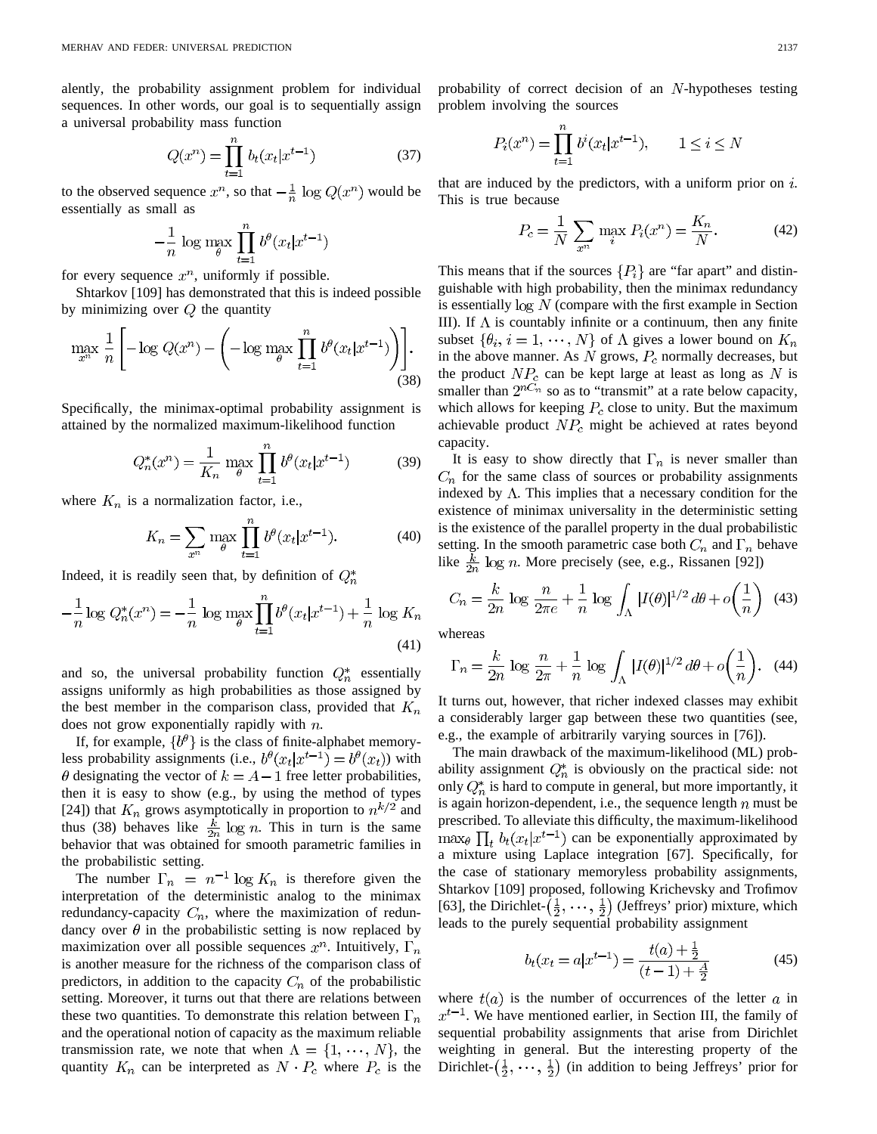alently, the probability assignment problem for individual sequences. In other words, our goal is to sequentially assign a universal probability mass function

$$
Q(x^n) = \prod_{t=1}^{n} b_t(x_t|x^{t-1})
$$
\n(37)

to the observed sequence  $x^n$ , so that  $-\frac{1}{n} \log Q(x^n)$  would be essentially as small as

$$
-\frac{1}{n}\log\max_{\theta}\prod_{t=1}^n b^{\theta}(x_t|x^{t-1})
$$

for every sequence  $x^n$ , uniformly if possible.

Shtarkov [109] has demonstrated that this is indeed possible by minimizing over  $Q$  the quantity

$$
\max_{x^n} \frac{1}{n} \left[ -\log Q(x^n) - \left( -\log \max_{\theta} \prod_{t=1}^n b^{\theta}(x_t | x^{t-1}) \right) \right].
$$
\n(38)

Specifically, the minimax-optimal probability assignment is attained by the normalized maximum-likelihood function

$$
Q_n^*(x^n) = \frac{1}{K_n} \max_{\theta} \prod_{t=1}^n b^{\theta}(x_t | x^{t-1})
$$
 (39)

where  $K_n$  is a normalization factor, i.e.,

$$
K_n = \sum_{x^n} \max_{\theta} \prod_{t=1}^n b^{\theta}(x_t | x^{t-1}).
$$
 (40)

Indeed, it is readily seen that, by definition of  $Q_n^*$ 

$$
-\frac{1}{n}\log Q_n^*(x^n) = -\frac{1}{n}\log \max_{\theta} \prod_{t=1}^n b^{\theta}(x_t|x^{t-1}) + \frac{1}{n}\log K_n
$$
\n(41)

and so, the universal probability function  $Q_n^*$  essentially assigns uniformly as high probabilities as those assigned by the best member in the comparison class, provided that  $K_n$ does not grow exponentially rapidly with  $n$ .

If, for example,  $\{b^{\theta}\}\$ is the class of finite-alphabet memoryless probability assignments (i.e.,  $b^{\theta}(x_t|x^{t-1}) = b^{\theta}(x_t)$ ) with  $\theta$  designating the vector of  $k = A - 1$  free letter probabilities, then it is easy to show (e.g., by using the method of types [24]) that  $K_n$  grows asymptotically in proportion to  $n^{k/2}$  and thus (38) behaves like  $\frac{k}{2n} \log n$ . This in turn is the same behavior that was obtained for smooth parametric families in the probabilistic setting.

The number  $\Gamma_n = n^{-1} \log K_n$  is therefore given the interpretation of the deterministic analog to the minimax redundancy-capacity  $C_n$ , where the maximization of redundancy over  $\theta$  in the probabilistic setting is now replaced by maximization over all possible sequences  $x^n$ . Intuitively,  $\Gamma_n$ is another measure for the richness of the comparison class of predictors, in addition to the capacity  $C_n$  of the probabilistic setting. Moreover, it turns out that there are relations between these two quantities. To demonstrate this relation between  $\Gamma_n$ and the operational notion of capacity as the maximum reliable transmission rate, we note that when  $\Lambda = \{1, \dots, N\}$ , the quantity  $K_n$  can be interpreted as  $N \cdot P_c$  where  $P_c$  is the probability of correct decision of an  $N$ -hypotheses testing problem involving the sources

$$
P_i(x^n) = \prod_{t=1}^n b^i(x_t | x^{t-1}), \qquad 1 \le i \le N
$$

that are induced by the predictors, with a uniform prior on  $i$ . This is true because

$$
P_c = \frac{1}{N} \sum_{x^n} \max_i P_i(x^n) = \frac{K_n}{N}.
$$
 (42)

This means that if the sources  $\{P_i\}$  are "far apart" and distinguishable with high probability, then the minimax redundancy is essentially  $log N$  (compare with the first example in Section III). If  $\Lambda$  is countably infinite or a continuum, then any finite subset  $\{\theta_i, i = 1, \dots, N\}$  of  $\Lambda$  gives a lower bound on  $K_n$ in the above manner. As  $N$  grows,  $P_c$  normally decreases, but the product  $NP_c$  can be kept large at least as long as N is smaller than  $2^{nC_n}$  so as to "transmit" at a rate below capacity, which allows for keeping  $P_c$  close to unity. But the maximum achievable product  $NP_c$  might be achieved at rates beyond capacity.

It is easy to show directly that  $\Gamma_n$  is never smaller than  $C_n$  for the same class of sources or probability assignments indexed by  $\Lambda$ . This implies that a necessary condition for the existence of minimax universality in the deterministic setting is the existence of the parallel property in the dual probabilistic setting. In the smooth parametric case both  $C_n$  and  $\Gamma_n$  behave like  $\frac{k}{2n}$  log *n*. More precisely (see, e.g., Rissanen [92])

$$
C_n = \frac{k}{2n} \log \frac{n}{2\pi e} + \frac{1}{n} \log \int_{\Lambda} |I(\theta)|^{1/2} d\theta + o\left(\frac{1}{n}\right)
$$
(43)

whereas

$$
\Gamma_n = \frac{k}{2n} \log \frac{n}{2\pi} + \frac{1}{n} \log \int_{\Lambda} |I(\theta)|^{1/2} d\theta + o\left(\frac{1}{n}\right).
$$
 (44)

It turns out, however, that richer indexed classes may exhibit a considerably larger gap between these two quantities (see, e.g., the example of arbitrarily varying sources in [76]).

The main drawback of the maximum-likelihood (ML) probability assignment  $Q_n^*$  is obviously on the practical side: not only  $Q_n^*$  is hard to compute in general, but more importantly, it is again horizon-dependent, i.e., the sequence length  $n$  must be prescribed. To alleviate this difficulty, the maximum-likelihood  $\max_{\theta} \prod_t b_t(x_t|x^{t-1})$  can be exponentially approximated by a mixture using Laplace integration [67]. Specifically, for the case of stationary memoryless probability assignments, Shtarkov [109] proposed, following Krichevsky and Trofimov [63], the Dirichlet- $(\frac{1}{2}, \cdots, \frac{1}{2})$  (Jeffreys' prior) mixture, which leads to the purely sequential probability assignment

$$
b_t(x_t = a|x^{t-1}) = \frac{t(a) + \frac{1}{2}}{(t-1) + \frac{A}{2}}
$$
(45)

where  $t(a)$  is the number of occurrences of the letter a in  $x^{t-1}$ . We have mentioned earlier, in Section III, the family of sequential probability assignments that arise from Dirichlet weighting in general. But the interesting property of the Dirichlet- $(\frac{1}{2}, \cdots, \frac{1}{2})$  (in addition to being Jeffreys' prior for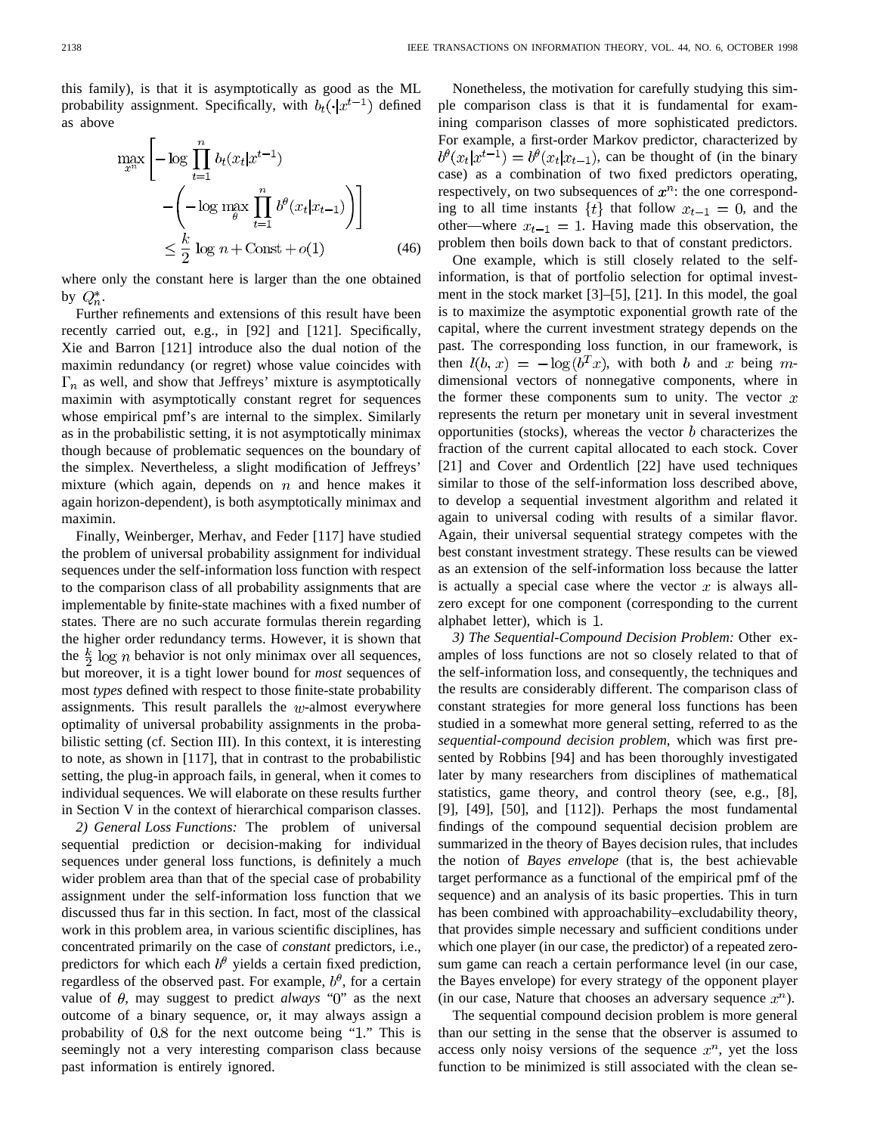this family), is that it is asymptotically as good as the ML probability assignment. Specifically, with  $b_t(\cdot|x^{t-1})$  defined as above

$$
\max_{x^n} \left[ -\log \prod_{t=1}^n b_t(x_t | x^{t-1}) - \left( -\log \max_{\theta} \prod_{t=1}^n b^{\theta}(x_t | x_{t-1}) \right) \right]
$$
  

$$
\leq \frac{k}{2} \log n + \text{Const} + o(1) \tag{46}
$$

where only the constant here is larger than the one obtained by  $Q_n^*$ .

Further refinements and extensions of this result have been recently carried out, e.g., in [92] and [121]. Specifically, Xie and Barron [121] introduce also the dual notion of the maximin redundancy (or regret) whose value coincides with  $\Gamma_n$  as well, and show that Jeffreys' mixture is asymptotically maximin with asymptotically constant regret for sequences whose empirical pmf's are internal to the simplex. Similarly as in the probabilistic setting, it is not asymptotically minimax though because of problematic sequences on the boundary of the simplex. Nevertheless, a slight modification of Jeffreys' mixture (which again, depends on  $n$  and hence makes it again horizon-dependent), is both asymptotically minimax and maximin.

Finally, Weinberger, Merhav, and Feder [117] have studied the problem of universal probability assignment for individual sequences under the self-information loss function with respect to the comparison class of all probability assignments that are implementable by finite-state machines with a fixed number of states. There are no such accurate formulas therein regarding the higher order redundancy terms. However, it is shown that the  $\frac{k}{2}$  log *n* behavior is not only minimax over all sequences, but moreover, it is a tight lower bound for *most* sequences of most *types* defined with respect to those finite-state probability assignments. This result parallels the  $w$ -almost everywhere optimality of universal probability assignments in the probabilistic setting (cf. Section III). In this context, it is interesting to note, as shown in [117], that in contrast to the probabilistic setting, the plug-in approach fails, in general, when it comes to individual sequences. We will elaborate on these results further in Section V in the context of hierarchical comparison classes.

*2) General Loss Functions:* The problem of universal sequential prediction or decision-making for individual sequences under general loss functions, is definitely a much wider problem area than that of the special case of probability assignment under the self-information loss function that we discussed thus far in this section. In fact, most of the classical work in this problem area, in various scientific disciplines, has concentrated primarily on the case of *constant* predictors, i.e., predictors for which each  $b^{\theta}$  yields a certain fixed prediction, regardless of the observed past. For example,  $b^{\theta}$ , for a certain value of  $\theta$ , may suggest to predict *always* " $0$ " as the next outcome of a binary sequence, or, it may always assign a probability of 0.8 for the next outcome being "1." This is seemingly not a very interesting comparison class because past information is entirely ignored.

Nonetheless, the motivation for carefully studying this simple comparison class is that it is fundamental for examining comparison classes of more sophisticated predictors. For example, a first-order Markov predictor, characterized by  $b^{\theta}(x_t|x^{t-1}) = b^{\theta}(x_t|x_{t-1})$ , can be thought of (in the binary case) as a combination of two fixed predictors operating, respectively, on two subsequences of  $x^n$ : the one corresponding to all time instants  $\{t\}$  that follow  $x_{t-1} = 0$ , and the other—where  $x_{t-1} = 1$ . Having made this observation, the problem then boils down back to that of constant predictors.

One example, which is still closely related to the selfinformation, is that of portfolio selection for optimal investment in the stock market [3]–[5], [21]. In this model, the goal is to maximize the asymptotic exponential growth rate of the capital, where the current investment strategy depends on the past. The corresponding loss function, in our framework, is then  $l(b, x) = -\log(b^T x)$ , with both b and x being mdimensional vectors of nonnegative components, where in the former these components sum to unity. The vector  $x$ represents the return per monetary unit in several investment opportunities (stocks), whereas the vector  $b$  characterizes the fraction of the current capital allocated to each stock. Cover [21] and Cover and Ordentlich [22] have used techniques similar to those of the self-information loss described above, to develop a sequential investment algorithm and related it again to universal coding with results of a similar flavor. Again, their universal sequential strategy competes with the best constant investment strategy. These results can be viewed as an extension of the self-information loss because the latter is actually a special case where the vector  $x$  is always allzero except for one component (corresponding to the current alphabet letter), which is 1.

*3) The Sequential-Compound Decision Problem:* Other examples of loss functions are not so closely related to that of the self-information loss, and consequently, the techniques and the results are considerably different. The comparison class of constant strategies for more general loss functions has been studied in a somewhat more general setting, referred to as the *sequential-compound decision problem*, which was first presented by Robbins [94] and has been thoroughly investigated later by many researchers from disciplines of mathematical statistics, game theory, and control theory (see, e.g., [8], [9], [49], [50], and [112]). Perhaps the most fundamental findings of the compound sequential decision problem are summarized in the theory of Bayes decision rules, that includes the notion of *Bayes envelope* (that is, the best achievable target performance as a functional of the empirical pmf of the sequence) and an analysis of its basic properties. This in turn has been combined with approachability–excludability theory, that provides simple necessary and sufficient conditions under which one player (in our case, the predictor) of a repeated zerosum game can reach a certain performance level (in our case, the Bayes envelope) for every strategy of the opponent player (in our case, Nature that chooses an adversary sequence  $x^n$ ).

The sequential compound decision problem is more general than our setting in the sense that the observer is assumed to access only noisy versions of the sequence  $x^n$ , yet the loss function to be minimized is still associated with the clean se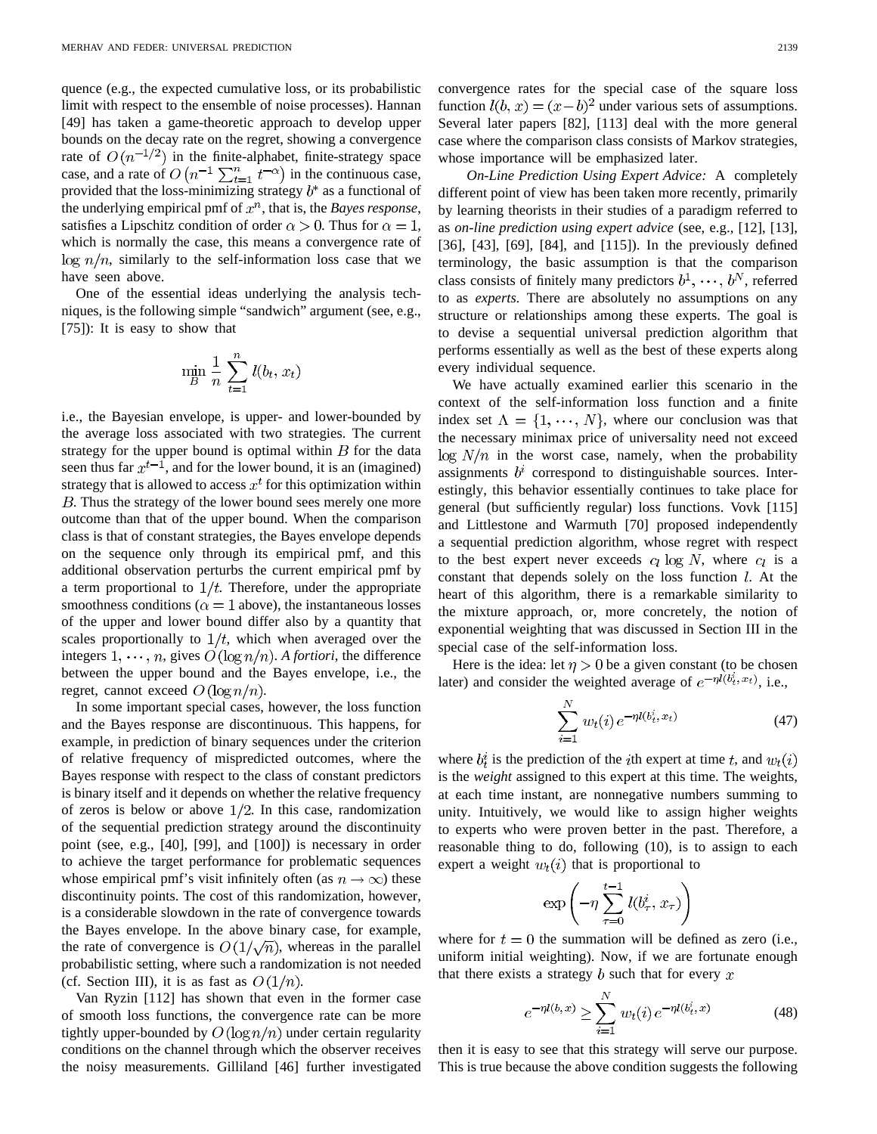quence (e.g., the expected cumulative loss, or its probabilistic limit with respect to the ensemble of noise processes). Hannan [49] has taken a game-theoretic approach to develop upper bounds on the decay rate on the regret, showing a convergence rate of  $O(n^{-1/2})$  in the finite-alphabet, finite-strategy space case, and a rate of  $O(n^{-1}\sum_{t=1}^n t^{-\alpha})$  in the continuous case, provided that the loss-minimizing strategy  $b^*$  as a functional of the underlying empirical pmf of  $x^n$ , that is, the *Bayes response*, satisfies a Lipschitz condition of order  $\alpha > 0$ . Thus for  $\alpha = 1$ , which is normally the case, this means a convergence rate of  $\log n/n$ , similarly to the self-information loss case that we have seen above.

One of the essential ideas underlying the analysis techniques, is the following simple "sandwich" argument (see, e.g., [75]): It is easy to show that

$$
\min_B \frac{1}{n} \sum_{t=1}^n l(b_t, x_t)
$$

i.e., the Bayesian envelope, is upper- and lower-bounded by the average loss associated with two strategies. The current strategy for the upper bound is optimal within  $B$  for the data seen thus far  $x^{t-1}$ , and for the lower bound, it is an (imagined) strategy that is allowed to access  $x^t$  for this optimization within . Thus the strategy of the lower bound sees merely one more outcome than that of the upper bound. When the comparison class is that of constant strategies, the Bayes envelope depends on the sequence only through its empirical pmf, and this additional observation perturbs the current empirical pmf by a term proportional to  $1/t$ . Therefore, under the appropriate smoothness conditions ( $\alpha = 1$  above), the instantaneous losses of the upper and lower bound differ also by a quantity that scales proportionally to  $1/t$ , which when averaged over the integers  $1, \dots, n$ , gives  $O(\log n/n)$ . A fortiori, the difference between the upper bound and the Bayes envelope, i.e., the regret, cannot exceed  $O(\log n/n)$ .

In some important special cases, however, the loss function and the Bayes response are discontinuous. This happens, for example, in prediction of binary sequences under the criterion of relative frequency of mispredicted outcomes, where the Bayes response with respect to the class of constant predictors is binary itself and it depends on whether the relative frequency of zeros is below or above  $1/2$ . In this case, randomization of the sequential prediction strategy around the discontinuity point (see, e.g., [40], [99], and [100]) is necessary in order to achieve the target performance for problematic sequences whose empirical pmf's visit infinitely often (as  $n \to \infty$ ) these discontinuity points. The cost of this randomization, however, is a considerable slowdown in the rate of convergence towards the Bayes envelope. In the above binary case, for example, the rate of convergence is  $O(1/\sqrt{n})$ , whereas in the parallel probabilistic setting, where such a randomization is not needed (cf. Section III), it is as fast as  $O(1/n)$ .

Van Ryzin [112] has shown that even in the former case of smooth loss functions, the convergence rate can be more tightly upper-bounded by  $O(\log n/n)$  under certain regularity conditions on the channel through which the observer receives the noisy measurements. Gilliland [46] further investigated convergence rates for the special case of the square loss function  $l(b, x) = (x - b)^2$  under various sets of assumptions. Several later papers [82], [113] deal with the more general case where the comparison class consists of Markov strategies, whose importance will be emphasized later.

*On-Line Prediction Using Expert Advice:* A completely different point of view has been taken more recently, primarily by learning theorists in their studies of a paradigm referred to as *on-line prediction using expert advice* (see, e.g., [12], [13], [36], [43], [69], [84], and [115]). In the previously defined terminology, the basic assumption is that the comparison class consists of finitely many predictors  $b^1, \dots, b^N$ , referred to as *experts.* There are absolutely no assumptions on any structure or relationships among these experts. The goal is to devise a sequential universal prediction algorithm that performs essentially as well as the best of these experts along every individual sequence.

We have actually examined earlier this scenario in the context of the self-information loss function and a finite index set  $\Lambda = \{1, \dots, N\}$ , where our conclusion was that the necessary minimax price of universality need not exceed  $\log N/n$  in the worst case, namely, when the probability assignments  $b^i$  correspond to distinguishable sources. Interestingly, this behavior essentially continues to take place for general (but sufficiently regular) loss functions. Vovk [115] and Littlestone and Warmuth [70] proposed independently a sequential prediction algorithm, whose regret with respect to the best expert never exceeds  $q \log N$ , where  $q \text{ is a}$ constant that depends solely on the loss function  $l$ . At the heart of this algorithm, there is a remarkable similarity to the mixture approach, or, more concretely, the notion of exponential weighting that was discussed in Section III in the special case of the self-information loss.

Here is the idea: let  $\eta > 0$  be a given constant (to be chosen later) and consider the weighted average of  $e^{-\eta l(b_t^i, x_t)}$ , i.e.,

$$
\sum_{i=1}^{N} w_t(i) e^{-\eta l(b_t^i, x_t)}
$$
\n(47)

where  $b_t^i$  is the prediction of the *i*th expert at time t, and  $w_t(i)$ is the *weight* assigned to this expert at this time. The weights, at each time instant, are nonnegative numbers summing to unity. Intuitively, we would like to assign higher weights to experts who were proven better in the past. Therefore, a reasonable thing to do, following (10), is to assign to each expert a weight  $w_t(i)$  that is proportional to

$$
\exp\left(-\eta \sum_{\tau=0}^{t-1} l(b_{\tau}^i, x_{\tau})\right)
$$

where for  $t=0$  the summation will be defined as zero (i.e., uniform initial weighting). Now, if we are fortunate enough that there exists a strategy  $b$  such that for every  $x$ 

$$
e^{-\eta l(b,x)} \ge \sum_{i=1}^{N} w_t(i) e^{-\eta l(b_t^i, x)}
$$
(48)

then it is easy to see that this strategy will serve our purpose. This is true because the above condition suggests the following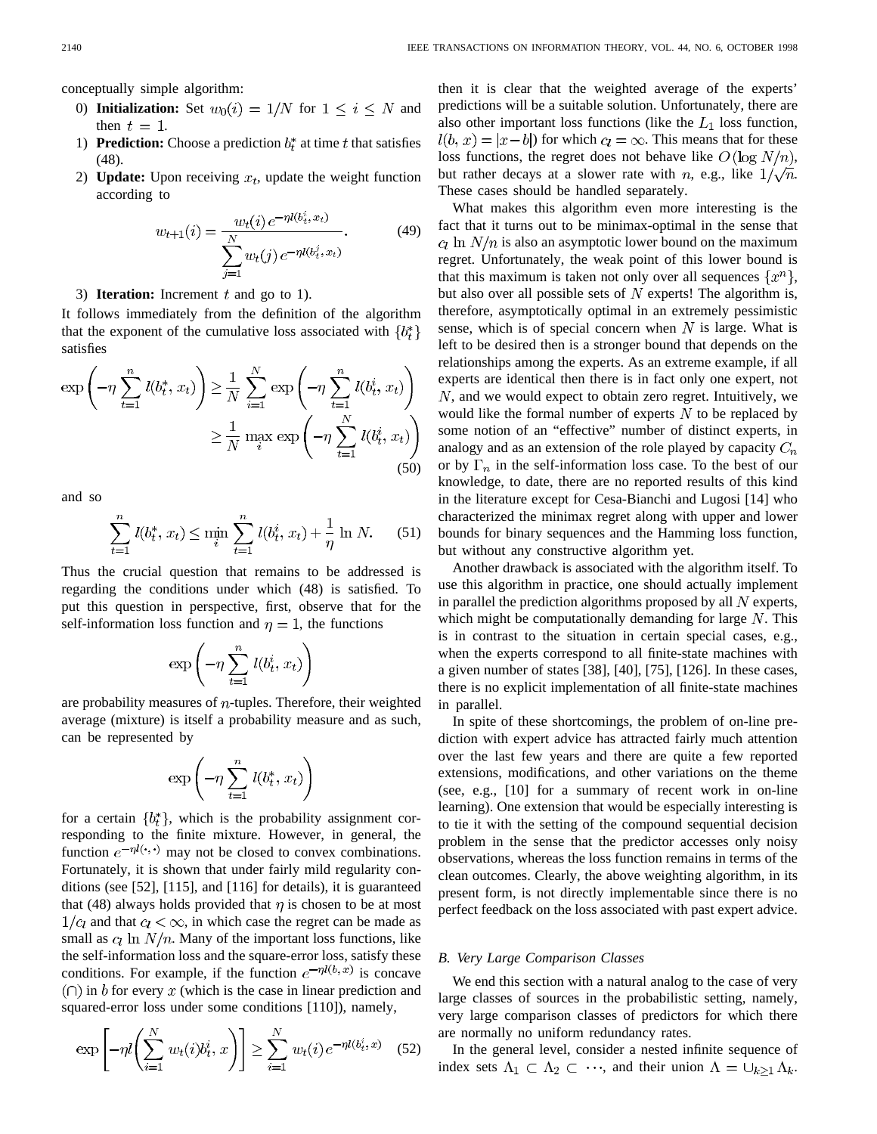conceptually simple algorithm:

- 0) **Initialization:** Set  $w_0(i) = 1/N$  for  $1 \leq i \leq N$  and then  $t = 1$ .
- 1) **Prediction:** Choose a prediction  $b_t^*$  at time t that satisfies (48).
- 2) **Update:** Upon receiving  $x_t$ , update the weight function according to

$$
w_{t+1}(i) = \frac{w_t(i) e^{-\eta l(b_t^i, x_t)}}{\sum_{j=1}^N w_t(j) e^{-\eta l(b_t^j, x_t)}}.
$$
 (49)

3) **Iteration:** Increment  $t$  and go to 1).

It follows immediately from the definition of the algorithm that the exponent of the cumulative loss associated with  $\{b_i^*\}$ satisfies

$$
\exp\left(-\eta \sum_{t=1}^{n} l(b_t^*, x_t)\right) \geq \frac{1}{N} \sum_{i=1}^{N} \exp\left(-\eta \sum_{t=1}^{n} l(b_t^i, x_t)\right)
$$

$$
\geq \frac{1}{N} \max_{i} \exp\left(-\eta \sum_{t=1}^{N} l(b_t^i, x_t)\right)
$$
(50)

and so

$$
\sum_{t=1}^{n} l(b_t^*, x_t) \le \min_i \sum_{t=1}^{n} l(b_t^i, x_t) + \frac{1}{\eta} \ln N.
$$
 (51)

Thus the crucial question that remains to be addressed is regarding the conditions under which (48) is satisfied. To put this question in perspective, first, observe that for the self-information loss function and  $\eta = 1$ , the functions

$$
\exp\left(-\eta \sum_{t=1}^n l(b_t^i, x_t)\right)
$$

are probability measures of  $n$ -tuples. Therefore, their weighted average (mixture) is itself a probability measure and as such, can be represented by

$$
\exp\left(-\eta \sum_{t=1}^n l(b_t^*, x_t)\right)
$$

for a certain  ${b<sub>t</sub><sup>*</sup>},$  which is the probability assignment corresponding to the finite mixture. However, in general, the function  $e^{-\eta l(\cdot,\cdot)}$  may not be closed to convex combinations. Fortunately, it is shown that under fairly mild regularity conditions (see [52], [115], and [116] for details), it is guaranteed that (48) always holds provided that  $\eta$  is chosen to be at most  $1/c_l$  and that  $c_l < \infty$ , in which case the regret can be made as small as  $q \ln N/n$ . Many of the important loss functions, like the self-information loss and the square-error loss, satisfy these conditions. For example, if the function  $e^{-\eta l(b,x)}$  is concave  $(\cap)$  in b for every x (which is the case in linear prediction and squared-error loss under some conditions [110]), namely,

$$
\exp\left[-\eta l\left(\sum_{i=1}^N w_t(i)b_t^i, x\right)\right] \ge \sum_{i=1}^N w_t(i) e^{-\eta l(b_t^i, x)} \quad (52)
$$

then it is clear that the weighted average of the experts' predictions will be a suitable solution. Unfortunately, there are also other important loss functions (like the  $L_1$  loss function,  $l(b, x) = |x - b|$  for which  $c_l = \infty$ . This means that for these loss functions, the regret does not behave like  $O(\log N/n)$ , but rather decays at a slower rate with n, e.g., like  $1/\sqrt{n}$ . These cases should be handled separately.

What makes this algorithm even more interesting is the fact that it turns out to be minimax-optimal in the sense that  $c_l$  ln  $N/n$  is also an asymptotic lower bound on the maximum regret. Unfortunately, the weak point of this lower bound is that this maximum is taken not only over all sequences  $\{x^n\}$ , but also over all possible sets of  $N$  experts! The algorithm is, therefore, asymptotically optimal in an extremely pessimistic sense, which is of special concern when  $N$  is large. What is left to be desired then is a stronger bound that depends on the relationships among the experts. As an extreme example, if all experts are identical then there is in fact only one expert, not  $N$ , and we would expect to obtain zero regret. Intuitively, we would like the formal number of experts  $N$  to be replaced by some notion of an "effective" number of distinct experts, in analogy and as an extension of the role played by capacity  $C_n$ or by  $\Gamma_n$  in the self-information loss case. To the best of our knowledge, to date, there are no reported results of this kind in the literature except for Cesa-Bianchi and Lugosi [14] who characterized the minimax regret along with upper and lower bounds for binary sequences and the Hamming loss function, but without any constructive algorithm yet.

Another drawback is associated with the algorithm itself. To use this algorithm in practice, one should actually implement in parallel the prediction algorithms proposed by all  $N$  experts, which might be computationally demanding for large  $N$ . This is in contrast to the situation in certain special cases, e.g., when the experts correspond to all finite-state machines with a given number of states [38], [40], [75], [126]. In these cases, there is no explicit implementation of all finite-state machines in parallel.

In spite of these shortcomings, the problem of on-line prediction with expert advice has attracted fairly much attention over the last few years and there are quite a few reported extensions, modifications, and other variations on the theme (see, e.g., [10] for a summary of recent work in on-line learning). One extension that would be especially interesting is to tie it with the setting of the compound sequential decision problem in the sense that the predictor accesses only noisy observations, whereas the loss function remains in terms of the clean outcomes. Clearly, the above weighting algorithm, in its present form, is not directly implementable since there is no perfect feedback on the loss associated with past expert advice.

# *B. Very Large Comparison Classes*

We end this section with a natural analog to the case of very large classes of sources in the probabilistic setting, namely, very large comparison classes of predictors for which there are normally no uniform redundancy rates.

In the general level, consider a nested infinite sequence of index sets  $\Lambda_1 \subset \Lambda_2 \subset \cdots$ , and their union  $\Lambda = \bigcup_{k>1} \Lambda_k$ .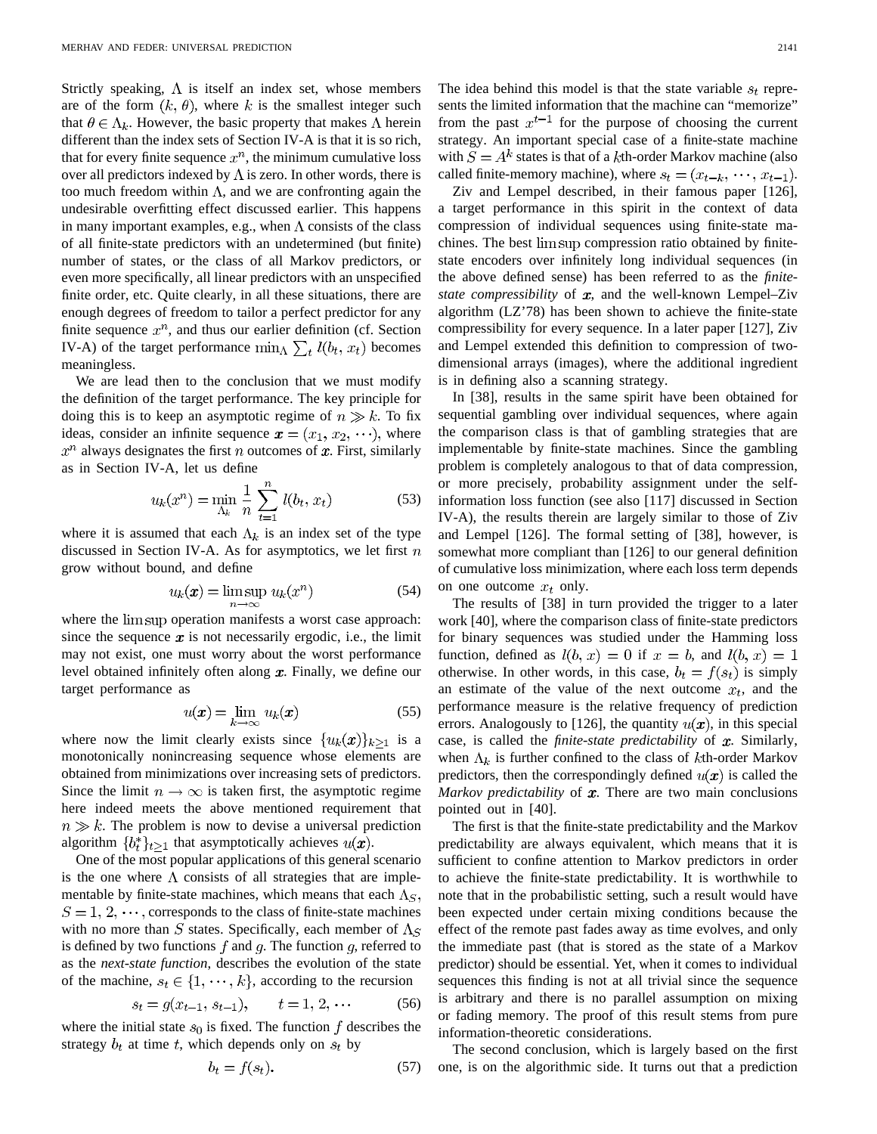Strictly speaking,  $\Lambda$  is itself an index set, whose members are of the form  $(k, \theta)$ , where k is the smallest integer such that  $\theta \in \Lambda_k$ . However, the basic property that makes  $\Lambda$  herein different than the index sets of Section IV-A is that it is so rich, that for every finite sequence  $x^n$ , the minimum cumulative loss over all predictors indexed by  $\Lambda$  is zero. In other words, there is too much freedom within  $\Lambda$ , and we are confronting again the undesirable overfitting effect discussed earlier. This happens in many important examples, e.g., when  $\Lambda$  consists of the class of all finite-state predictors with an undetermined (but finite) number of states, or the class of all Markov predictors, or even more specifically, all linear predictors with an unspecified finite order, etc. Quite clearly, in all these situations, there are enough degrees of freedom to tailor a perfect predictor for any finite sequence  $x^n$ , and thus our earlier definition (cf. Section IV-A) of the target performance  $\min_{\Lambda} \sum_{t} l(b_t, x_t)$  becomes meaningless.

We are lead then to the conclusion that we must modify the definition of the target performance. The key principle for doing this is to keep an asymptotic regime of  $n \gg k$ . To fix ideas, consider an infinite sequence  $\mathbf{x} = (x_1, x_2, \dots)$ , where  $x^n$  always designates the first *n* outcomes of x. First, similarly as in Section IV-A, let us define

$$
u_k(x^n) = \min_{\Lambda_k} \frac{1}{n} \sum_{t=1}^n l(b_t, x_t)
$$
 (53)

where it is assumed that each  $\Lambda_k$  is an index set of the type discussed in Section IV-A. As for asymptotics, we let first  $n$ grow without bound, and define

$$
u_k(\boldsymbol{x}) = \limsup_{n \to \infty} u_k(x^n) \tag{54}
$$

where the  $\limsup$  operation manifests a worst case approach: since the sequence  $x$  is not necessarily ergodic, i.e., the limit may not exist, one must worry about the worst performance level obtained infinitely often along  $x$ . Finally, we define our target performance as

$$
u(\mathbf{x}) = \lim_{k \to \infty} u_k(\mathbf{x}) \tag{55}
$$

where now the limit clearly exists since  $\{u_k(\bm{x})\}_{k>1}$  is a monotonically nonincreasing sequence whose elements are obtained from minimizations over increasing sets of predictors. Since the limit  $n \to \infty$  is taken first, the asymptotic regime here indeed meets the above mentioned requirement that  $n \gg k$ . The problem is now to devise a universal prediction algorithm  $\{b_t^*\}_{t>1}$  that asymptotically achieves  $u(x)$ .

One of the most popular applications of this general scenario is the one where  $\Lambda$  consists of all strategies that are implementable by finite-state machines, which means that each  $\Lambda$ <sub>S</sub>,  $S = 1, 2, \dots$ , corresponds to the class of finite-state machines with no more than S states. Specifically, each member of  $\Lambda_S$ is defined by two functions  $f$  and  $g$ . The function  $g$ , referred to as the *next-state function*, describes the evolution of the state of the machine,  $s_t \in \{1, \dots, k\}$ , according to the recursion

$$
s_t = g(x_{t-1}, s_{t-1}), \qquad t = 1, 2, \cdots \tag{56}
$$

where the initial state  $s_0$  is fixed. The function f describes the strategy  $b_t$  at time t, which depends only on  $s_t$  by

$$
b_t = f(s_t). \tag{57}
$$

The idea behind this model is that the state variable  $s_t$  represents the limited information that the machine can "memorize" from the past  $x^{t-1}$  for the purpose of choosing the current strategy. An important special case of a finite-state machine with  $S = A^k$  states is that of a kth-order Markov machine (also called finite-memory machine), where  $s_t = (x_{t-k}, \dots, x_{t-1})$ .

Ziv and Lempel described, in their famous paper [126], a target performance in this spirit in the context of data compression of individual sequences using finite-state machines. The best  $limsup$  compression ratio obtained by finitestate encoders over infinitely long individual sequences (in the above defined sense) has been referred to as the *finitestate compressibility* of  $x$ , and the well-known Lempel–Ziv algorithm (LZ'78) has been shown to achieve the finite-state compressibility for every sequence. In a later paper [127], Ziv and Lempel extended this definition to compression of twodimensional arrays (images), where the additional ingredient is in defining also a scanning strategy.

In [38], results in the same spirit have been obtained for sequential gambling over individual sequences, where again the comparison class is that of gambling strategies that are implementable by finite-state machines. Since the gambling problem is completely analogous to that of data compression, or more precisely, probability assignment under the selfinformation loss function (see also [117] discussed in Section IV-A), the results therein are largely similar to those of Ziv and Lempel [126]. The formal setting of [38], however, is somewhat more compliant than [126] to our general definition of cumulative loss minimization, where each loss term depends on one outcome  $x_t$  only.

The results of [38] in turn provided the trigger to a later work [40], where the comparison class of finite-state predictors for binary sequences was studied under the Hamming loss function, defined as  $l(b, x) = 0$  if  $x = b$ , and  $l(b, x) = 1$ otherwise. In other words, in this case,  $b_t = f(s_t)$  is simply an estimate of the value of the next outcome  $x_t$ , and the performance measure is the relative frequency of prediction errors. Analogously to [126], the quantity  $u(x)$ , in this special case, is called the *finite-state predictability* of x. Similarly, when  $\Lambda_k$  is further confined to the class of kth-order Markov predictors, then the correspondingly defined  $u(x)$  is called the *Markov predictability* of  $x$ . There are two main conclusions pointed out in [40].

The first is that the finite-state predictability and the Markov predictability are always equivalent, which means that it is sufficient to confine attention to Markov predictors in order to achieve the finite-state predictability. It is worthwhile to note that in the probabilistic setting, such a result would have been expected under certain mixing conditions because the effect of the remote past fades away as time evolves, and only the immediate past (that is stored as the state of a Markov predictor) should be essential. Yet, when it comes to individual sequences this finding is not at all trivial since the sequence is arbitrary and there is no parallel assumption on mixing or fading memory. The proof of this result stems from pure information-theoretic considerations.

The second conclusion, which is largely based on the first one, is on the algorithmic side. It turns out that a prediction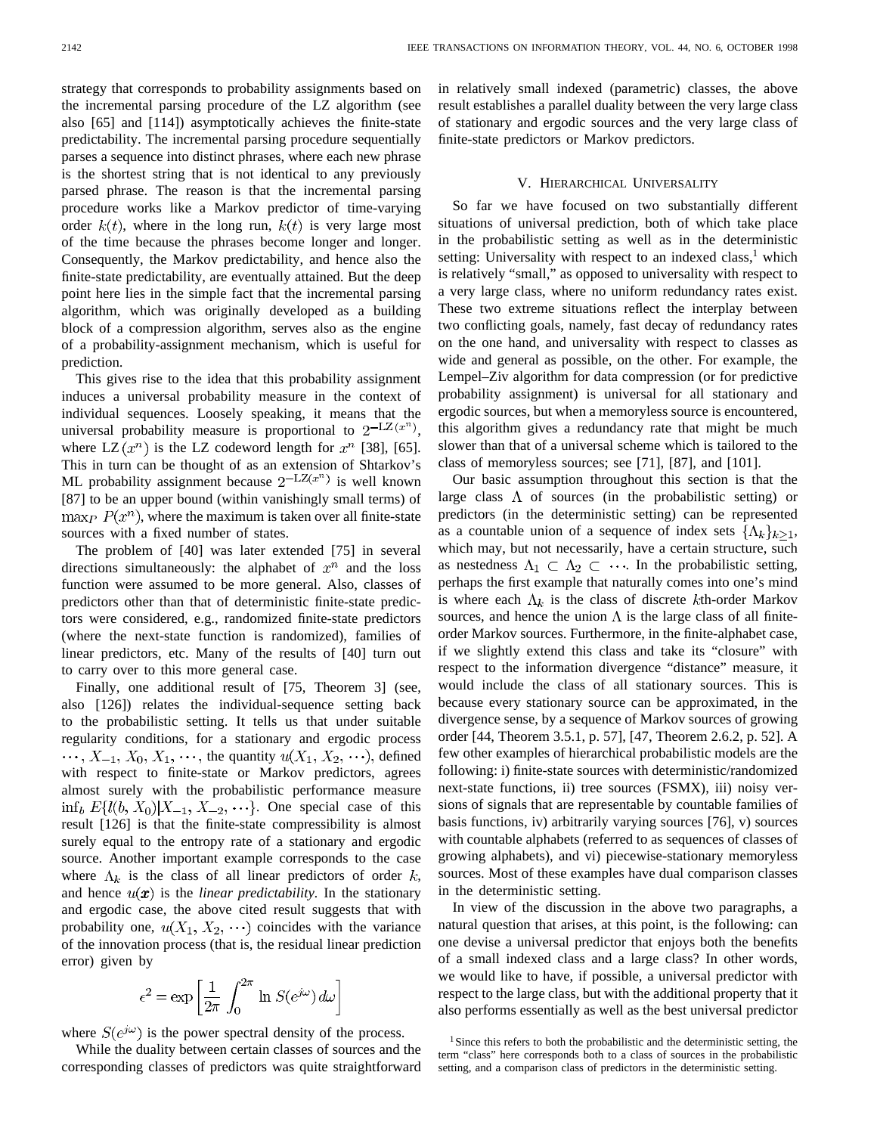strategy that corresponds to probability assignments based on the incremental parsing procedure of the LZ algorithm (see also [65] and [114]) asymptotically achieves the finite-state predictability. The incremental parsing procedure sequentially parses a sequence into distinct phrases, where each new phrase is the shortest string that is not identical to any previously parsed phrase. The reason is that the incremental parsing procedure works like a Markov predictor of time-varying order  $k(t)$ , where in the long run,  $k(t)$  is very large most of the time because the phrases become longer and longer. Consequently, the Markov predictability, and hence also the finite-state predictability, are eventually attained. But the deep point here lies in the simple fact that the incremental parsing algorithm, which was originally developed as a building block of a compression algorithm, serves also as the engine of a probability-assignment mechanism, which is useful for prediction.

This gives rise to the idea that this probability assignment induces a universal probability measure in the context of individual sequences. Loosely speaking, it means that the universal probability measure is proportional to  $2^{-LZ(x^n)}$ , where LZ  $(x^n)$  is the LZ codeword length for  $x^n$  [38], [65]. This in turn can be thought of as an extension of Shtarkov's ML probability assignment because  $2^{-LZ(x^n)}$  is well known [87] to be an upper bound (within vanishingly small terms) of  $\max_{P} P(x^n)$ , where the maximum is taken over all finite-state sources with a fixed number of states.

The problem of [40] was later extended [75] in several directions simultaneously: the alphabet of  $x^n$  and the loss function were assumed to be more general. Also, classes of predictors other than that of deterministic finite-state predictors were considered, e.g., randomized finite-state predictors (where the next-state function is randomized), families of linear predictors, etc. Many of the results of [40] turn out to carry over to this more general case.

Finally, one additional result of [75, Theorem 3] (see, also [126]) relates the individual-sequence setting back to the probabilistic setting. It tells us that under suitable regularity conditions, for a stationary and ergodic process  $\cdots$ ,  $X_{-1}$ ,  $X_0$ ,  $X_1$ ,  $\cdots$ , the quantity  $u(X_1, X_2, \cdots)$ , defined with respect to finite-state or Markov predictors, agrees almost surely with the probabilistic performance measure inf<sub>b</sub>  $E\{l(b, X_0)|X_{-1}, X_{-2}, \cdots\}$ . One special case of this result [126] is that the finite-state compressibility is almost surely equal to the entropy rate of a stationary and ergodic source. Another important example corresponds to the case where  $\Lambda_k$  is the class of all linear predictors of order k, and hence  $u(x)$  is the *linear predictability*. In the stationary and ergodic case, the above cited result suggests that with probability one,  $u(X_1, X_2, \cdots)$  coincides with the variance of the innovation process (that is, the residual linear prediction error) given by

$$
\epsilon^2 = \exp\left[\frac{1}{2\pi} \int_0^{2\pi} \ln S(e^{j\omega}) d\omega\right]
$$

where  $S(e^{j\omega})$  is the power spectral density of the process.

While the duality between certain classes of sources and the corresponding classes of predictors was quite straightforward in relatively small indexed (parametric) classes, the above result establishes a parallel duality between the very large class of stationary and ergodic sources and the very large class of finite-state predictors or Markov predictors.

## V. HIERARCHICAL UNIVERSALITY

So far we have focused on two substantially different situations of universal prediction, both of which take place in the probabilistic setting as well as in the deterministic setting: Universality with respect to an indexed class, $<sup>1</sup>$  which</sup> is relatively "small," as opposed to universality with respect to a very large class, where no uniform redundancy rates exist. These two extreme situations reflect the interplay between two conflicting goals, namely, fast decay of redundancy rates on the one hand, and universality with respect to classes as wide and general as possible, on the other. For example, the Lempel–Ziv algorithm for data compression (or for predictive probability assignment) is universal for all stationary and ergodic sources, but when a memoryless source is encountered, this algorithm gives a redundancy rate that might be much slower than that of a universal scheme which is tailored to the class of memoryless sources; see [71], [87], and [101].

Our basic assumption throughout this section is that the large class  $\Lambda$  of sources (in the probabilistic setting) or predictors (in the deterministic setting) can be represented as a countable union of a sequence of index sets  $\{\Lambda_k\}_{k>1}$ , which may, but not necessarily, have a certain structure, such as nestedness  $\Lambda_1 \subset \Lambda_2 \subset \cdots$ . In the probabilistic setting, perhaps the first example that naturally comes into one's mind is where each  $\Lambda_k$  is the class of discrete kth-order Markov sources, and hence the union  $\Lambda$  is the large class of all finiteorder Markov sources. Furthermore, in the finite-alphabet case, if we slightly extend this class and take its "closure" with respect to the information divergence "distance" measure, it would include the class of all stationary sources. This is because every stationary source can be approximated, in the divergence sense, by a sequence of Markov sources of growing order [44, Theorem 3.5.1, p. 57], [47, Theorem 2.6.2, p. 52]. A few other examples of hierarchical probabilistic models are the following: i) finite-state sources with deterministic/randomized next-state functions, ii) tree sources (FSMX), iii) noisy versions of signals that are representable by countable families of basis functions, iv) arbitrarily varying sources [76], v) sources with countable alphabets (referred to as sequences of classes of growing alphabets), and vi) piecewise-stationary memoryless sources. Most of these examples have dual comparison classes in the deterministic setting.

In view of the discussion in the above two paragraphs, a natural question that arises, at this point, is the following: can one devise a universal predictor that enjoys both the benefits of a small indexed class and a large class? In other words, we would like to have, if possible, a universal predictor with respect to the large class, but with the additional property that it also performs essentially as well as the best universal predictor

<sup>&</sup>lt;sup>1</sup> Since this refers to both the probabilistic and the deterministic setting, the term "class" here corresponds both to a class of sources in the probabilistic setting, and a comparison class of predictors in the deterministic setting.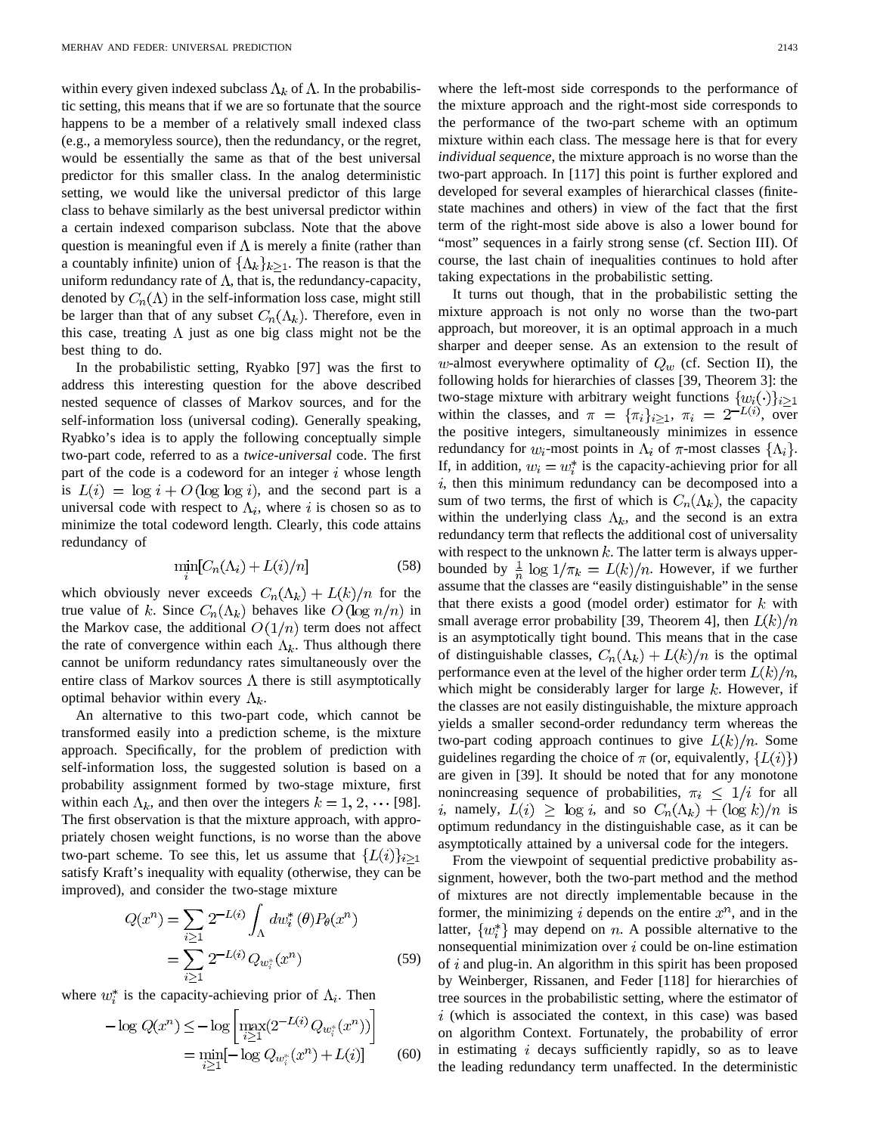within every given indexed subclass  $\Lambda_k$  of  $\Lambda$ . In the probabilistic setting, this means that if we are so fortunate that the source happens to be a member of a relatively small indexed class (e.g., a memoryless source), then the redundancy, or the regret, would be essentially the same as that of the best universal predictor for this smaller class. In the analog deterministic setting, we would like the universal predictor of this large class to behave similarly as the best universal predictor within a certain indexed comparison subclass. Note that the above question is meaningful even if  $\Lambda$  is merely a finite (rather than a countably infinite) union of  $\{\Lambda_k\}_{k>1}$ . The reason is that the uniform redundancy rate of  $\Lambda$ , that is, the redundancy-capacity, denoted by  $C_n(\Lambda)$  in the self-information loss case, might still be larger than that of any subset  $C_n(\Lambda_k)$ . Therefore, even in this case, treating  $\Lambda$  just as one big class might not be the best thing to do.

In the probabilistic setting, Ryabko [97] was the first to address this interesting question for the above described nested sequence of classes of Markov sources, and for the self-information loss (universal coding). Generally speaking, Ryabko's idea is to apply the following conceptually simple two-part code, referred to as a *twice-universal* code. The first part of the code is a codeword for an integer  $i$  whose length is  $L(i) = \log i + O(\log \log i)$ , and the second part is a universal code with respect to  $\Lambda_i$ , where i is chosen so as to minimize the total codeword length. Clearly, this code attains redundancy of

$$
\min[C_n(\Lambda_i) + L(i)/n] \tag{58}
$$

which obviously never exceeds  $C_n(\Lambda_k) + L(k)/n$  for the true value of k. Since  $C_n(\Lambda_k)$  behaves like  $O(\log n/n)$  in the Markov case, the additional  $O(1/n)$  term does not affect the rate of convergence within each  $\Lambda_k$ . Thus although there cannot be uniform redundancy rates simultaneously over the entire class of Markov sources  $\Lambda$  there is still asymptotically optimal behavior within every  $\Lambda_k$ .

An alternative to this two-part code, which cannot be transformed easily into a prediction scheme, is the mixture approach. Specifically, for the problem of prediction with self-information loss, the suggested solution is based on a probability assignment formed by two-stage mixture, first within each  $\Lambda_k$ , and then over the integers  $k = 1, 2, \dots$  [98]. The first observation is that the mixture approach, with appropriately chosen weight functions, is no worse than the above two-part scheme. To see this, let us assume that  ${L(i)}_{i\geq 1}$ satisfy Kraft's inequality with equality (otherwise, they can be improved), and consider the two-stage mixture

$$
Q(x^n) = \sum_{i\geq 1} 2^{-L(i)} \int_{\Lambda} dw_i^* (\theta) P_{\theta}(x^n)
$$
  
= 
$$
\sum_{i\geq 1} 2^{-L(i)} Q_{w_i^*}(x^n)
$$
 (59)

where  $w_i^*$  is the capacity-achieving prior of  $\Lambda_i$ . Then

$$
-\log Q(x^n) \le -\log \left[ \max_{i \ge 1} (2^{-L(i)} Q_{w_i^*}(x^n)) \right]
$$
  
= 
$$
\min_{i \ge 1} [-\log Q_{w_i^*}(x^n) + L(i)]
$$
 (60)

where the left-most side corresponds to the performance of the mixture approach and the right-most side corresponds to the performance of the two-part scheme with an optimum mixture within each class. The message here is that for every *individual sequence*, the mixture approach is no worse than the two-part approach. In [117] this point is further explored and developed for several examples of hierarchical classes (finitestate machines and others) in view of the fact that the first term of the right-most side above is also a lower bound for "most" sequences in a fairly strong sense (cf. Section III). Of course, the last chain of inequalities continues to hold after taking expectations in the probabilistic setting.

It turns out though, that in the probabilistic setting the mixture approach is not only no worse than the two-part approach, but moreover, it is an optimal approach in a much sharper and deeper sense. As an extension to the result of w-almost everywhere optimality of  $Q_w$  (cf. Section II), the following holds for hierarchies of classes [39, Theorem 3]: the two-stage mixture with arbitrary weight functions  $\{w_i(\cdot)\}_{i\geq 1}$ within the classes, and  $\pi = {\pi_i}_{i \geq 1}$ ,  $\pi_i = 2^{-L(i)}$ , over the positive integers, simultaneously minimizes in essence redundancy for  $w_i$ -most points in  $\Lambda_i$  of  $\pi$ -most classes  $\{\Lambda_i\}.$ If, in addition,  $w_i = w_i^*$  is the capacity-achieving prior for all  $i$ , then this minimum redundancy can be decomposed into a sum of two terms, the first of which is  $C_n(\Lambda_k)$ , the capacity within the underlying class  $\Lambda_k$ , and the second is an extra redundancy term that reflects the additional cost of universality with respect to the unknown  $k$ . The latter term is always upperbounded by  $\frac{1}{n} \log 1/\pi_k = L(k)/n$ . However, if we further assume that the classes are "easily distinguishable" in the sense that there exists a good (model order) estimator for  $k$  with small average error probability [39, Theorem 4], then  $L(k)/n$ is an asymptotically tight bound. This means that in the case of distinguishable classes,  $C_n(\Lambda_k) + L(k)/n$  is the optimal performance even at the level of the higher order term  $L(k)/n$ , which might be considerably larger for large  $k$ . However, if the classes are not easily distinguishable, the mixture approach yields a smaller second-order redundancy term whereas the two-part coding approach continues to give  $L(k)/n$ . Some guidelines regarding the choice of  $\pi$  (or, equivalently,  $\{L(i)\}\$ ) are given in [39]. It should be noted that for any monotone nonincreasing sequence of probabilities,  $\pi_i \leq 1/i$  for all i, namely,  $L(i) \geq \log i$ , and so  $C_n(\Lambda_k) + (\log k)/n$  is optimum redundancy in the distinguishable case, as it can be asymptotically attained by a universal code for the integers.

From the viewpoint of sequential predictive probability assignment, however, both the two-part method and the method of mixtures are not directly implementable because in the former, the minimizing i depends on the entire  $x^n$ , and in the latter,  $\{w_i^*\}$  may depend on n. A possible alternative to the nonsequential minimization over  $i$  could be on-line estimation of  $i$  and plug-in. An algorithm in this spirit has been proposed by Weinberger, Rissanen, and Feder [118] for hierarchies of tree sources in the probabilistic setting, where the estimator of  $i$  (which is associated the context, in this case) was based on algorithm Context. Fortunately, the probability of error in estimating  $i$  decays sufficiently rapidly, so as to leave the leading redundancy term unaffected. In the deterministic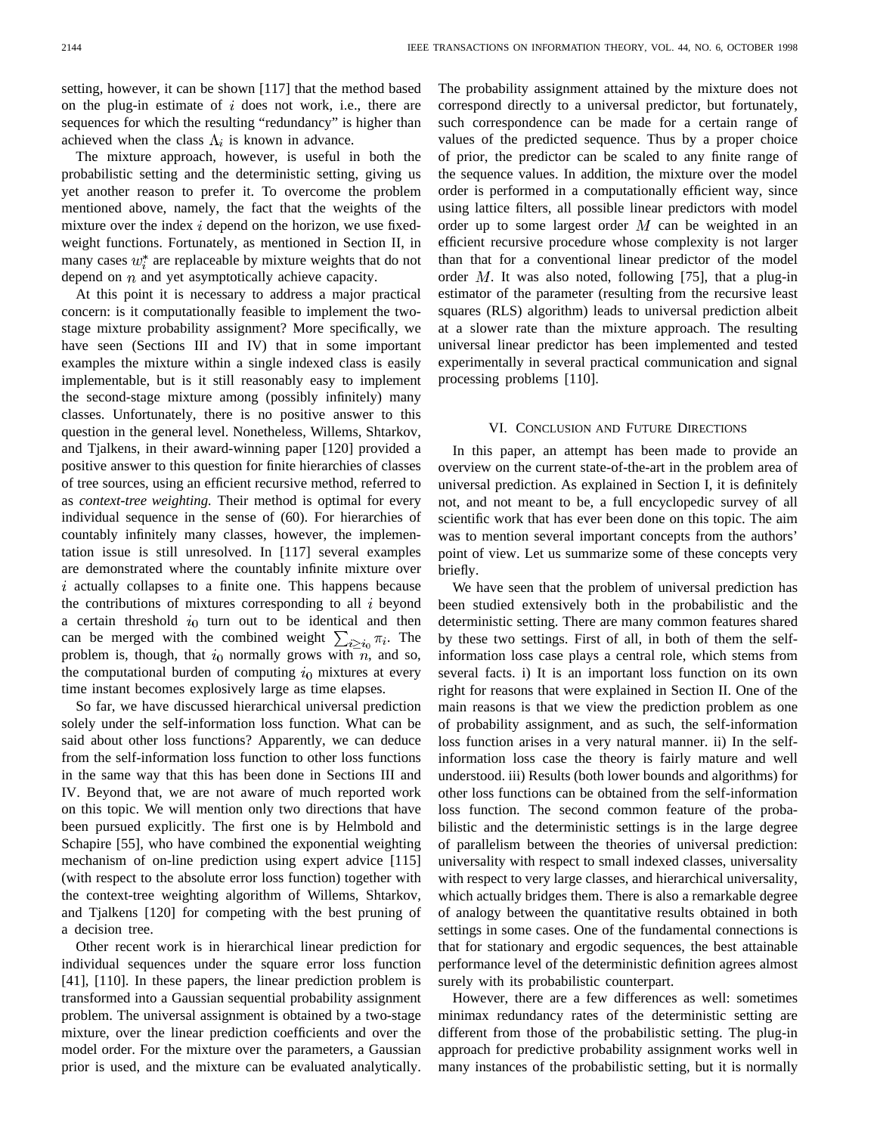setting, however, it can be shown [117] that the method based on the plug-in estimate of  $i$  does not work, i.e., there are sequences for which the resulting "redundancy" is higher than achieved when the class  $\Lambda_i$  is known in advance.

The mixture approach, however, is useful in both the probabilistic setting and the deterministic setting, giving us yet another reason to prefer it. To overcome the problem mentioned above, namely, the fact that the weights of the mixture over the index  $i$  depend on the horizon, we use fixedweight functions. Fortunately, as mentioned in Section II, in many cases  $w_i^*$  are replaceable by mixture weights that do not depend on  $n$  and yet asymptotically achieve capacity.

At this point it is necessary to address a major practical concern: is it computationally feasible to implement the twostage mixture probability assignment? More specifically, we have seen (Sections III and IV) that in some important examples the mixture within a single indexed class is easily implementable, but is it still reasonably easy to implement the second-stage mixture among (possibly infinitely) many classes. Unfortunately, there is no positive answer to this question in the general level. Nonetheless, Willems, Shtarkov, and Tjalkens, in their award-winning paper [120] provided a positive answer to this question for finite hierarchies of classes of tree sources, using an efficient recursive method, referred to as *context-tree weighting.* Their method is optimal for every individual sequence in the sense of (60). For hierarchies of countably infinitely many classes, however, the implementation issue is still unresolved. In [117] several examples are demonstrated where the countably infinite mixture over  $i$  actually collapses to a finite one. This happens because the contributions of mixtures corresponding to all  $i$  beyond a certain threshold  $i_0$  turn out to be identical and then can be merged with the combined weight  $\sum_{i\geq i_0} \pi_i$ . The problem is, though, that  $i_0$  normally grows with  $n$ , and so, the computational burden of computing  $i_0$  mixtures at every time instant becomes explosively large as time elapses.

So far, we have discussed hierarchical universal prediction solely under the self-information loss function. What can be said about other loss functions? Apparently, we can deduce from the self-information loss function to other loss functions in the same way that this has been done in Sections III and IV. Beyond that, we are not aware of much reported work on this topic. We will mention only two directions that have been pursued explicitly. The first one is by Helmbold and Schapire [55], who have combined the exponential weighting mechanism of on-line prediction using expert advice [115] (with respect to the absolute error loss function) together with the context-tree weighting algorithm of Willems, Shtarkov, and Tjalkens [120] for competing with the best pruning of a decision tree.

Other recent work is in hierarchical linear prediction for individual sequences under the square error loss function [41], [110]. In these papers, the linear prediction problem is transformed into a Gaussian sequential probability assignment problem. The universal assignment is obtained by a two-stage mixture, over the linear prediction coefficients and over the model order. For the mixture over the parameters, a Gaussian prior is used, and the mixture can be evaluated analytically. The probability assignment attained by the mixture does not correspond directly to a universal predictor, but fortunately, such correspondence can be made for a certain range of values of the predicted sequence. Thus by a proper choice of prior, the predictor can be scaled to any finite range of the sequence values. In addition, the mixture over the model order is performed in a computationally efficient way, since using lattice filters, all possible linear predictors with model order up to some largest order  $M$  can be weighted in an efficient recursive procedure whose complexity is not larger than that for a conventional linear predictor of the model order  $M$ . It was also noted, following [75], that a plug-in estimator of the parameter (resulting from the recursive least squares (RLS) algorithm) leads to universal prediction albeit at a slower rate than the mixture approach. The resulting universal linear predictor has been implemented and tested experimentally in several practical communication and signal processing problems [110].

## VI. CONCLUSION AND FUTURE DIRECTIONS

In this paper, an attempt has been made to provide an overview on the current state-of-the-art in the problem area of universal prediction. As explained in Section I, it is definitely not, and not meant to be, a full encyclopedic survey of all scientific work that has ever been done on this topic. The aim was to mention several important concepts from the authors' point of view. Let us summarize some of these concepts very briefly.

We have seen that the problem of universal prediction has been studied extensively both in the probabilistic and the deterministic setting. There are many common features shared by these two settings. First of all, in both of them the selfinformation loss case plays a central role, which stems from several facts. i) It is an important loss function on its own right for reasons that were explained in Section II. One of the main reasons is that we view the prediction problem as one of probability assignment, and as such, the self-information loss function arises in a very natural manner. ii) In the selfinformation loss case the theory is fairly mature and well understood. iii) Results (both lower bounds and algorithms) for other loss functions can be obtained from the self-information loss function. The second common feature of the probabilistic and the deterministic settings is in the large degree of parallelism between the theories of universal prediction: universality with respect to small indexed classes, universality with respect to very large classes, and hierarchical universality, which actually bridges them. There is also a remarkable degree of analogy between the quantitative results obtained in both settings in some cases. One of the fundamental connections is that for stationary and ergodic sequences, the best attainable performance level of the deterministic definition agrees almost surely with its probabilistic counterpart.

However, there are a few differences as well: sometimes minimax redundancy rates of the deterministic setting are different from those of the probabilistic setting. The plug-in approach for predictive probability assignment works well in many instances of the probabilistic setting, but it is normally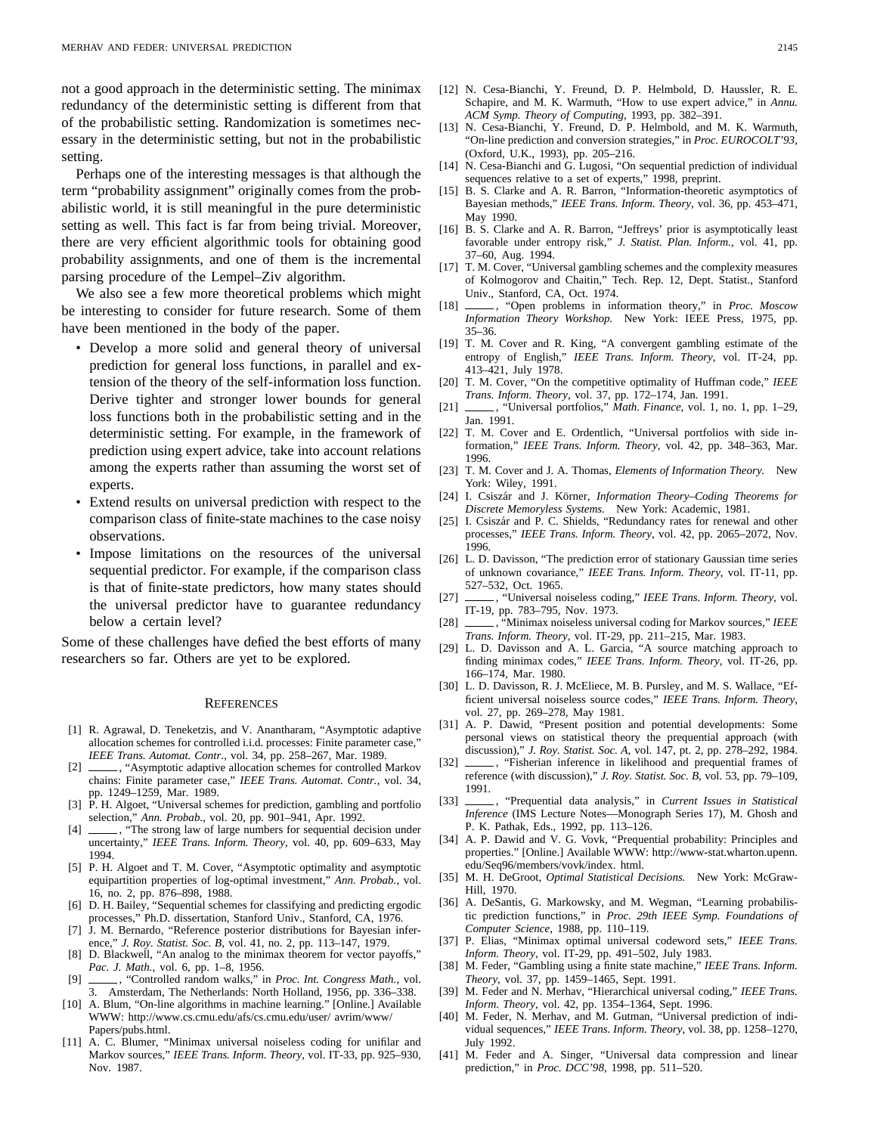not a good approach in the deterministic setting. The minimax redundancy of the deterministic setting is different from that of the probabilistic setting. Randomization is sometimes necessary in the deterministic setting, but not in the probabilistic setting.

Perhaps one of the interesting messages is that although the term "probability assignment" originally comes from the probabilistic world, it is still meaningful in the pure deterministic setting as well. This fact is far from being trivial. Moreover, there are very efficient algorithmic tools for obtaining good probability assignments, and one of them is the incremental parsing procedure of the Lempel–Ziv algorithm.

We also see a few more theoretical problems which might be interesting to consider for future research. Some of them have been mentioned in the body of the paper.

- Develop a more solid and general theory of universal prediction for general loss functions, in parallel and extension of the theory of the self-information loss function. Derive tighter and stronger lower bounds for general loss functions both in the probabilistic setting and in the deterministic setting. For example, in the framework of prediction using expert advice, take into account relations among the experts rather than assuming the worst set of experts.
- Extend results on universal prediction with respect to the comparison class of finite-state machines to the case noisy observations.
- Impose limitations on the resources of the universal sequential predictor. For example, if the comparison class is that of finite-state predictors, how many states should the universal predictor have to guarantee redundancy below a certain level?

Some of these challenges have defied the best efforts of many researchers so far. Others are yet to be explored.

#### **REFERENCES**

- [1] R. Agrawal, D. Teneketzis, and V. Anantharam, "Asymptotic adaptive allocation schemes for controlled i.i.d. processes: Finite parameter case," *IEEE Trans. Automat. Contr.*, vol. 34, pp. 258–267, Mar. 1989.
- [2] \_\_\_\_\_\_, "Asymptotic adaptive allocation schemes for controlled Markov chains: Finite parameter case," *IEEE Trans. Automat. Contr.*, vol. 34, pp. 1249–1259, Mar. 1989.
- [3] P. H. Algoet, "Universal schemes for prediction, gambling and portfolio selection," *Ann. Probab.*, vol. 20, pp. 901–941, Apr. 1992.
- [4] \_\_\_\_\_, "The strong law of large numbers for sequential decision under uncertainty," *IEEE Trans. Inform. Theory*, vol. 40, pp. 609–633, May 1994.
- [5] P. H. Algoet and T. M. Cover, "Asymptotic optimality and asymptotic equipartition properties of log-optimal investment," *Ann. Probab.*, vol. 16, no. 2, pp. 876–898, 1988.
- [6] D. H. Bailey, "Sequential schemes for classifying and predicting ergodic processes," Ph.D. dissertation, Stanford Univ., Stanford, CA, 1976.
- [7] J. M. Bernardo, "Reference posterior distributions for Bayesian inference," *J. Roy. Statist. Soc. B*, vol. 41, no. 2, pp. 113–147, 1979.
- [8] D. Blackwell, "An analog to the minimax theorem for vector payoffs," *Pac. J. Math.*, vol. 6, pp. 1–8, 1956.
- [9] , "Controlled random walks," in *Proc. Int. Congress Math.*, vol. 3. Amsterdam, The Netherlands: North Holland, 1956, pp. 336–338.
- [10] A. Blum, "On-line algorithms in machine learning." [Online.] Available WWW: http://www.cs.cmu.edu/afs/cs.cmu.edu/user/ avrim/www/ Papers/pubs.html.
- [11] A. C. Blumer, "Minimax universal noiseless coding for unifilar and Markov sources," *IEEE Trans. Inform. Theory*, vol. IT-33, pp. 925–930, Nov. 1987.
- [12] N. Cesa-Bianchi, Y. Freund, D. P. Helmbold, D. Haussler, R. E. Schapire, and M. K. Warmuth, "How to use expert advice," in *Annu. ACM Symp. Theory of Computing*, 1993, pp. 382–391.
- [13] N. Cesa-Bianchi, Y. Freund, D. P. Helmbold, and M. K. Warmuth, "On-line prediction and conversion strategies," in *Proc. EUROCOLT'93*, (Oxford, U.K., 1993), pp. 205–216.
- [14] N. Cesa-Bianchi and G. Lugosi, "On sequential prediction of individual sequences relative to a set of experts," 1998, preprint.
- [15] B. S. Clarke and A. R. Barron, "Information-theoretic asymptotics of Bayesian methods," *IEEE Trans. Inform. Theory*, vol. 36, pp. 453–471, May 1990.
- [16] B. S. Clarke and A. R. Barron, "Jeffreys' prior is asymptotically least favorable under entropy risk," *J. Statist. Plan. Inform.*, vol. 41, pp. 37–60, Aug. 1994.
- [17] T. M. Cover, "Universal gambling schemes and the complexity measures of Kolmogorov and Chaitin," Tech. Rep. 12, Dept. Statist., Stanford Univ., Stanford, CA, Oct. 1974.
- [18]  $\_\_\_\_\$ , "Open problems in information theory," in *Proc. Moscow Information Theory Workshop.* New York: IEEE Press, 1975, pp. 35–36.
- [19] T. M. Cover and R. King, "A convergent gambling estimate of the entropy of English," *IEEE Trans. Inform. Theory*, vol. IT-24, pp. 413–421, July 1978.
- [20] T. M. Cover, "On the competitive optimality of Huffman code," *IEEE Trans. Inform. Theory*, vol. 37, pp. 172–174, Jan. 1991.
- [21] , "Universal portfolios," *Math. Finance*, vol. 1, no. 1, pp. 1–29, Jan. 1991.
- [22] T. M. Cover and E. Ordentlich, "Universal portfolios with side information," *IEEE Trans. Inform. Theory*, vol. 42, pp. 348–363, Mar. 1996.
- [23] T. M. Cover and J. A. Thomas, *Elements of Information Theory.* New York: Wiley, 1991.
- [24] I. Csiszár and J. Körner, *Information Theory–Coding Theorems for Discrete Memoryless Systems.* New York: Academic, 1981.
- [25] I. Csiszár and P. C. Shields, "Redundancy rates for renewal and other processes," *IEEE Trans. Inform. Theory*, vol. 42, pp. 2065–2072, Nov. 1996.
- [26] L. D. Davisson, "The prediction error of stationary Gaussian time series of unknown covariance," *IEEE Trans. Inform. Theory*, vol. IT-11, pp. 527–532, Oct. 1965.
- [27] \_\_\_\_, "Universal noiseless coding," *IEEE Trans. Inform. Theory*, vol. IT-19, pp. 783–795, Nov. 1973.
- [28] , "Minimax noiseless universal coding for Markov sources," *IEEE Trans. Inform. Theory*, vol. IT-29, pp. 211–215, Mar. 1983.
- [29] L. D. Davisson and A. L. Garcia, "A source matching approach to finding minimax codes," *IEEE Trans. Inform. Theory*, vol. IT-26, pp. 166–174, Mar. 1980.
- [30] L. D. Davisson, R. J. McEliece, M. B. Pursley, and M. S. Wallace, "Efficient universal noiseless source codes," *IEEE Trans. Inform. Theory*, vol. 27, pp. 269–278, May 1981.
- [31] A. P. Dawid, "Present position and potential developments: Some personal views on statistical theory the prequential approach (with discussion)," *J. Roy. Statist. Soc. A*, vol. 147, pt. 2, pp. 278–292, 1984.
- [32] \_\_\_\_\_, "Fisherian inference in likelihood and prequential frames of reference (with discussion)," *J. Roy. Statist. Soc. B*, vol. 53, pp. 79–109, 1991.
- [33] , "Prequential data analysis," in *Current Issues in Statistical Inference* (IMS Lecture Notes—Monograph Series 17), M. Ghosh and P. K. Pathak, Eds., 1992, pp. 113–126.
- [34] A. P. Dawid and V. G. Vovk, "Prequential probability: Principles and properties." [Online.] Available WWW: http://www-stat.wharton.upenn. edu/Seq96/members/vovk/index. html.
- [35] M. H. DeGroot, *Optimal Statistical Decisions.* New York: McGraw-Hill, 1970.
- [36] A. DeSantis, G. Markowsky, and M. Wegman, "Learning probabilistic prediction functions," in *Proc. 29th IEEE Symp. Foundations of Computer Science*, 1988, pp. 110–119.
- [37] P. Elias, "Minimax optimal universal codeword sets," *IEEE Trans. Inform. Theory*, vol. IT-29, pp. 491–502, July 1983.
- [38] M. Feder, "Gambling using a finite state machine," *IEEE Trans. Inform. Theory*, vol. 37, pp. 1459–1465, Sept. 1991.
- [39] M. Feder and N. Merhav, "Hierarchical universal coding," *IEEE Trans. Inform. Theory*, vol. 42, pp. 1354–1364, Sept. 1996.
- [40] M. Feder, N. Merhav, and M. Gutman, "Universal prediction of individual sequences," *IEEE Trans. Inform. Theory*, vol. 38, pp. 1258–1270, July 1992.
- [41] M. Feder and A. Singer, "Universal data compression and linear prediction," in *Proc. DCC'98*, 1998, pp. 511–520.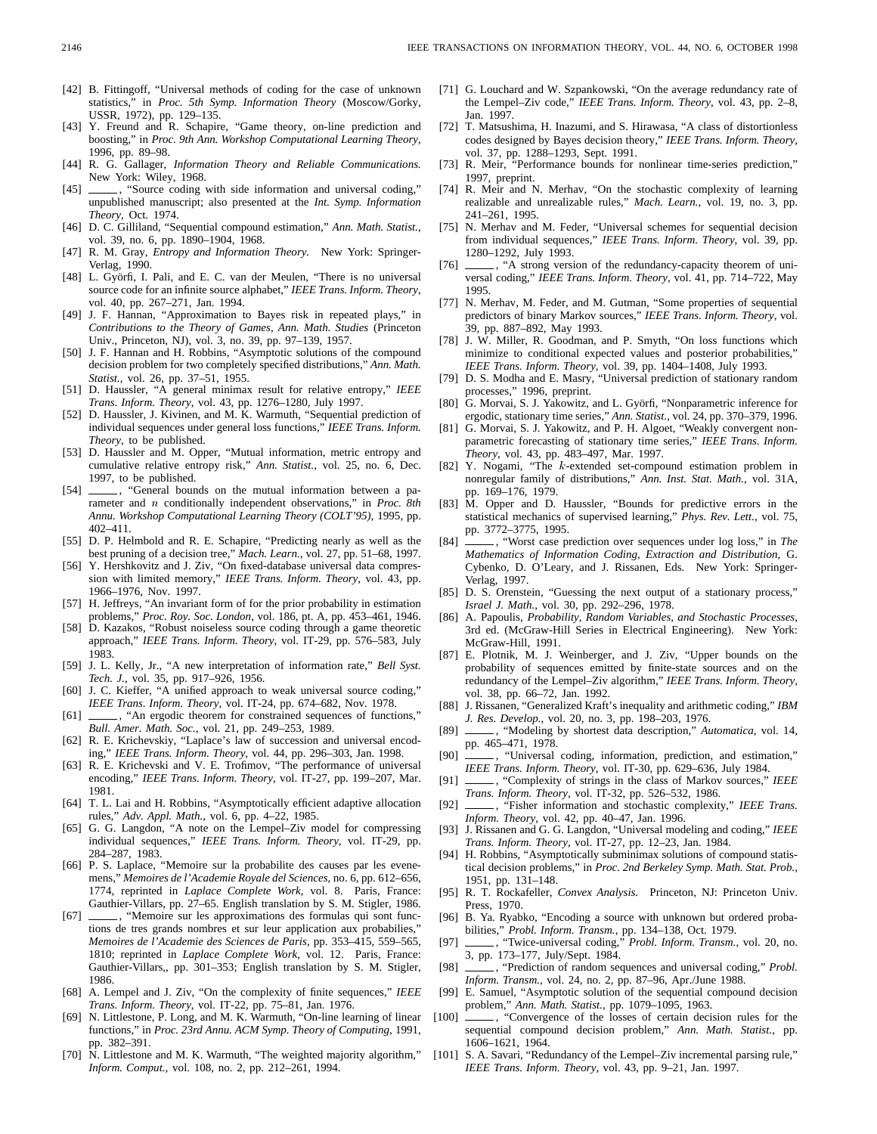- [42] B. Fittingoff, "Universal methods of coding for the case of unknown statistics," in *Proc. 5th Symp. Information Theory* (Moscow/Gorky, USSR, 1972), pp. 129–135.
- [43] Y. Freund and R. Schapire, "Game theory, on-line prediction and boosting," in *Proc. 9th Ann. Workshop Computational Learning Theory*, 1996, pp. 89–98.
- [44] R. G. Gallager, *Information Theory and Reliable Communications.* New York: Wiley, 1968.
- [45]  $\_\_\_\$ , "Source coding with side information and universal coding," unpublished manuscript; also presented at the *Int. Symp. Information Theory*, Oct. 1974.
- [46] D. C. Gilliland, "Sequential compound estimation," *Ann. Math. Statist.*, vol. 39, no. 6, pp. 1890–1904, 1968.
- [47] R. M. Gray, *Entropy and Information Theory.* New York: Springer-Verlag, 1990.
- [48] L. Györfi, I. Pali, and E. C. van der Meulen, "There is no universal source code for an infinite source alphabet," *IEEE Trans. Inform. Theory*, vol. 40, pp. 267–271, Jan. 1994.
- [49] J. F. Hannan, "Approximation to Bayes risk in repeated plays," in *Contributions to the Theory of Games, Ann. Math. Studies* (Princeton Univ., Princeton, NJ), vol. 3, no. 39, pp. 97–139, 1957.
- [50] J. F. Hannan and H. Robbins, "Asymptotic solutions of the compound decision problem for two completely specified distributions," *Ann. Math. Statist.*, vol. 26, pp. 37–51, 1955.
- [51] D. Haussler, "A general minimax result for relative entropy," *IEEE Trans. Inform. Theory*, vol. 43, pp. 1276–1280, July 1997.
- [52] D. Haussler, J. Kivinen, and M. K. Warmuth, "Sequential prediction of individual sequences under general loss functions," *IEEE Trans. Inform. Theory*, to be published.
- [53] D. Haussler and M. Opper, "Mutual information, metric entropy and cumulative relative entropy risk," *Ann. Statist.*, vol. 25, no. 6, Dec. 1997, to be published.
- -, "General bounds on the mutual information between a parameter and n conditionally independent observations," in *Proc. 8th Annu. Workshop Computational Learning Theory (COLT'95)*, 1995, pp. 402–411.
- [55] D. P. Helmbold and R. E. Schapire, "Predicting nearly as well as the best pruning of a decision tree," *Mach. Learn.*, vol. 27, pp. 51–68, 1997.
- [56] Y. Hershkovitz and J. Ziv, "On fixed-database universal data compression with limited memory," *IEEE Trans. Inform. Theory*, vol. 43, pp. 1966–1976, Nov. 1997.
- [57] H. Jeffreys, "An invariant form of for the prior probability in estimation problems," *Proc. Roy. Soc. London*, vol. 186, pt. A, pp. 453–461, 1946.
- [58] D. Kazakos, "Robust noiseless source coding through a game theoretic approach," *IEEE Trans. Inform. Theory*, vol. IT-29, pp. 576–583, July 1983.
- [59] J. L. Kelly, Jr., "A new interpretation of information rate," *Bell Syst. Tech. J.*, vol. 35, pp. 917–926, 1956.
- [60] J. C. Kieffer, "A unified approach to weak universal source coding," *IEEE Trans. Inform. Theory*, vol. IT-24, pp. 674–682, Nov. 1978.
- [61]  $\_\_\_\$ , "An ergodic theorem for constrained sequences of functions," *Bull. Amer. Math. Soc.*, vol. 21, pp. 249–253, 1989.
- [62] R. E. Krichevskiy, "Laplace's law of succession and universal encoding," *IEEE Trans. Inform. Theory*, vol. 44, pp. 296–303, Jan. 1998.
- [63] R. E. Krichevski and V. E. Trofimov, "The performance of universal encoding," *IEEE Trans. Inform. Theory*, vol. IT-27, pp. 199–207, Mar. 1981.
- [64] T. L. Lai and H. Robbins, "Asymptotically efficient adaptive allocation rules," *Adv. Appl. Math.*, vol. 6, pp. 4–22, 1985.
- [65] G. G. Langdon, "A note on the Lempel–Ziv model for compressing individual sequences," *IEEE Trans. Inform. Theory*, vol. IT-29, pp. 284–287, 1983.
- [66] P. S. Laplace, "Memoire sur la probabilite des causes par les evenemens," *Memoires de l'Academie Royale del Sciences*, no. 6, pp. 612–656, 1774, reprinted in *Laplace Complete Work*, vol. 8. Paris, France: Gauthier-Villars, pp. 27–65. English translation by S. M. Stigler, 1986.
- [67]  $\_\_\_\$ , "Memoire sur les approximations des formulas qui sont functions de tres grands nombres et sur leur application aux probabilies,' *Memoires de l'Academie des Sciences de Paris*, pp. 353–415, 559–565, 1810; reprinted in *Laplace Complete Work,* vol. 12. Paris, France: Gauthier-Villars,, pp. 301–353; English translation by S. M. Stigler, 1986.
- [68] A. Lempel and J. Ziv, "On the complexity of finite sequences," *IEEE Trans. Inform. Theory*, vol. IT-22, pp. 75–81, Jan. 1976.
- [69] N. Littlestone, P. Long, and M. K. Warmuth, "On-line learning of linear functions," in *Proc. 23rd Annu. ACM Symp. Theory of Computing*, 1991, pp. 382–391.
- [70] N. Littlestone and M. K. Warmuth, "The weighted majority algorithm," *Inform. Comput.*, vol. 108, no. 2, pp. 212–261, 1994.
- [71] G. Louchard and W. Szpankowski, "On the average redundancy rate of the Lempel–Ziv code," *IEEE Trans. Inform. Theory*, vol. 43, pp. 2–8, Jan. 1997.
- [72] T. Matsushima, H. Inazumi, and S. Hirawasa, "A class of distortionless codes designed by Bayes decision theory," *IEEE Trans. Inform. Theory*, vol. 37, pp. 1288–1293, Sept. 1991.
- [73] R. Meir, "Performance bounds for nonlinear time-series prediction," 1997, preprint.
- [74] R. Meir and N. Merhav, "On the stochastic complexity of learning realizable and unrealizable rules," *Mach. Learn.*, vol. 19, no. 3, pp. 241–261, 1995.
- [75] N. Merhav and M. Feder, "Universal schemes for sequential decision from individual sequences," *IEEE Trans. Inform. Theory*, vol. 39, pp. 1280–1292, July 1993.
- [76]  $\qquad \qquad$ , "A strong version of the redundancy-capacity theorem of universal coding," *IEEE Trans. Inform. Theory*, vol. 41, pp. 714–722, May 1995.
- [77] N. Merhav, M. Feder, and M. Gutman, "Some properties of sequential predictors of binary Markov sources," *IEEE Trans. Inform. Theory*, vol. 39, pp. 887–892, May 1993.
- [78] J. W. Miller, R. Goodman, and P. Smyth, "On loss functions which minimize to conditional expected values and posterior probabilities," *IEEE Trans. Inform. Theory*, vol. 39, pp. 1404–1408, July 1993.
- [79] D. S. Modha and E. Masry, "Universal prediction of stationary random processes," 1996, preprint.
- [80] G. Morvai, S. J. Yakowitz, and L. Györfi, "Nonparametric inference for ergodic, stationary time series," *Ann. Statist.*, vol. 24, pp. 370–379, 1996.
- [81] G. Morvai, S. J. Yakowitz, and P. H. Algoet, "Weakly convergent nonparametric forecasting of stationary time series," *IEEE Trans. Inform. Theory*, vol. 43, pp. 483–497, Mar. 1997.
- [82] Y. Nogami, "The k-extended set-compound estimation problem in nonregular family of distributions," *Ann. Inst. Stat. Math.*, vol. 31A, pp. 169–176, 1979.
- [83] M. Opper and D. Haussler, "Bounds for predictive errors in the statistical mechanics of supervised learning," *Phys. Rev. Lett.*, vol. 75, pp. 3772–3775, 1995.
- [84]  $\_\_\_\$ , "Worst case prediction over sequences under log loss," in *The Mathematics of Information Coding, Extraction and Distribution*, G. Cybenko, D. O'Leary, and J. Rissanen, Eds. New York: Springer-Verlag, 1997.
- [85] D. S. Orenstein, "Guessing the next output of a stationary process," *Israel J. Math.*, vol. 30, pp. 292–296, 1978.
- [86] A. Papoulis, *Probability, Random Variables, and Stochastic Processes*, 3rd ed. (McGraw-Hill Series in Electrical Engineering). New York: McGraw-Hill, 1991.
- [87] E. Plotnik, M. J. Weinberger, and J. Ziv, "Upper bounds on the probability of sequences emitted by finite-state sources and on the redundancy of the Lempel–Ziv algorithm," *IEEE Trans. Inform. Theory*, vol. 38, pp. 66–72, Jan. 1992.
- [88] J. Rissanen, "Generalized Kraft's inequality and arithmetic coding," *IBM J. Res. Develop.*, vol. 20, no. 3, pp. 198–203, 1976.
- [89]  $\_\_\_\$ , "Modeling by shortest data description," *Automatica*, vol. 14, pp. 465–471, 1978.
- [90] \_\_\_\_\_, "Universal coding, information, prediction, and estimation," *IEEE Trans. Inform. Theory*, vol. IT-30, pp. 629–636, July 1984.
- [91] , "Complexity of strings in the class of Markov sources," *IEEE Trans. Inform. Theory*, vol. IT-32, pp. 526–532, 1986.
- [92]  $\_\_\_\$ , "Fisher information and stochastic complexity," *IEEE Trans. Inform. Theory*, vol. 42, pp. 40–47, Jan. 1996.
- [93] J. Rissanen and G. G. Langdon, "Universal modeling and coding," *IEEE Trans. Inform. Theory*, vol. IT-27, pp. 12–23, Jan. 1984.
- [94] H. Robbins, "Asymptotically subminimax solutions of compound statistical decision problems," in *Proc. 2nd Berkeley Symp. Math. Stat. Prob.*, 1951, pp. 131–148.
- [95] R. T. Rockafeller, *Convex Analysis.* Princeton, NJ: Princeton Univ. Press, 1970.
- [96] B. Ya. Ryabko, "Encoding a source with unknown but ordered probabilities," *Probl. Inform. Transm.*, pp. 134–138, Oct. 1979.
- [97]  $\_\_\_\$ , "Twice-universal coding," *Probl. Inform. Transm.*, vol. 20, no. 3, pp. 173–177, July/Sept. 1984.
- [98]  $\_\_\_\$ , "Prediction of random sequences and universal coding," *Probl. Inform. Transm.*, vol. 24, no. 2, pp. 87–96, Apr./June 1988.
- [99] E. Samuel, "Asymptotic solution of the sequential compound decision problem," *Ann. Math. Statist.*, pp. 1079–1095, 1963.
- [100] \_\_\_\_\_, "Convergence of the losses of certain decision rules for the sequential compound decision problem," *Ann. Math. Statist.*, pp. 1606–1621, 1964.
- [101] S. A. Savari, "Redundancy of the Lempel–Ziv incremental parsing rule," *IEEE Trans. Inform. Theory*, vol. 43, pp. 9–21, Jan. 1997.